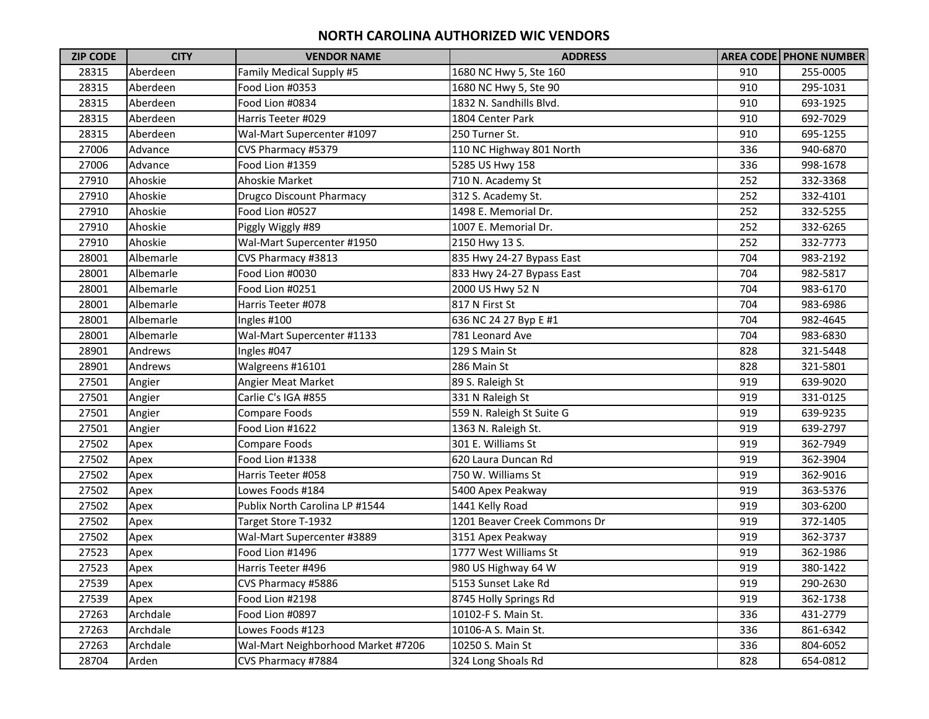| <b>ZIP CODE</b> | <b>CITY</b> | <b>VENDOR NAME</b>                 | <b>ADDRESS</b>               |     | <b>AREA CODE PHONE NUMBER</b> |
|-----------------|-------------|------------------------------------|------------------------------|-----|-------------------------------|
| 28315           | Aberdeen    | Family Medical Supply #5           | 1680 NC Hwy 5, Ste 160       | 910 | 255-0005                      |
| 28315           | Aberdeen    | Food Lion #0353                    | 1680 NC Hwy 5, Ste 90        | 910 | 295-1031                      |
| 28315           | Aberdeen    | Food Lion #0834                    | 1832 N. Sandhills Blvd.      | 910 | 693-1925                      |
| 28315           | Aberdeen    | Harris Teeter #029                 | 1804 Center Park             | 910 | 692-7029                      |
| 28315           | Aberdeen    | Wal-Mart Supercenter #1097         | 250 Turner St.               | 910 | 695-1255                      |
| 27006           | Advance     | CVS Pharmacy #5379                 | 110 NC Highway 801 North     | 336 | 940-6870                      |
| 27006           | Advance     | Food Lion #1359                    | 5285 US Hwy 158              | 336 | 998-1678                      |
| 27910           | Ahoskie     | Ahoskie Market                     | 710 N. Academy St            | 252 | 332-3368                      |
| 27910           | Ahoskie     | <b>Drugco Discount Pharmacy</b>    | 312 S. Academy St.           | 252 | 332-4101                      |
| 27910           | Ahoskie     | Food Lion #0527                    | 1498 E. Memorial Dr.         | 252 | 332-5255                      |
| 27910           | Ahoskie     | Piggly Wiggly #89                  | 1007 E. Memorial Dr.         | 252 | 332-6265                      |
| 27910           | Ahoskie     | Wal-Mart Supercenter #1950         | 2150 Hwy 13 S.               | 252 | 332-7773                      |
| 28001           | Albemarle   | CVS Pharmacy #3813                 | 835 Hwy 24-27 Bypass East    | 704 | 983-2192                      |
| 28001           | Albemarle   | Food Lion #0030                    | 833 Hwy 24-27 Bypass East    | 704 | 982-5817                      |
| 28001           | Albemarle   | Food Lion #0251                    | 2000 US Hwy 52 N             | 704 | 983-6170                      |
| 28001           | Albemarle   | Harris Teeter #078                 | 817 N First St               | 704 | 983-6986                      |
| 28001           | Albemarle   | Ingles #100                        | 636 NC 24 27 Byp E #1        | 704 | 982-4645                      |
| 28001           | Albemarle   | Wal-Mart Supercenter #1133         | 781 Leonard Ave              | 704 | 983-6830                      |
| 28901           | Andrews     | Ingles #047                        | 129 S Main St                | 828 | 321-5448                      |
| 28901           | Andrews     | Walgreens #16101                   | 286 Main St                  | 828 | 321-5801                      |
| 27501           | Angier      | Angier Meat Market                 | 89 S. Raleigh St             | 919 | 639-9020                      |
| 27501           | Angier      | Carlie C's IGA #855                | 331 N Raleigh St             | 919 | 331-0125                      |
| 27501           | Angier      | Compare Foods                      | 559 N. Raleigh St Suite G    | 919 | 639-9235                      |
| 27501           | Angier      | Food Lion #1622                    | 1363 N. Raleigh St.          | 919 | 639-2797                      |
| 27502           | Apex        | Compare Foods                      | 301 E. Williams St           | 919 | 362-7949                      |
| 27502           | Apex        | Food Lion #1338                    | 620 Laura Duncan Rd          | 919 | 362-3904                      |
| 27502           | Apex        | Harris Teeter #058                 | 750 W. Williams St           | 919 | 362-9016                      |
| 27502           | Apex        | Lowes Foods #184                   | 5400 Apex Peakway            | 919 | 363-5376                      |
| 27502           | Apex        | Publix North Carolina LP #1544     | 1441 Kelly Road              | 919 | 303-6200                      |
| 27502           | Apex        | Target Store T-1932                | 1201 Beaver Creek Commons Dr | 919 | 372-1405                      |
| 27502           | Apex        | Wal-Mart Supercenter #3889         | 3151 Apex Peakway            | 919 | 362-3737                      |
| 27523           | Apex        | Food Lion #1496                    | 1777 West Williams St        | 919 | 362-1986                      |
| 27523           | Apex        | Harris Teeter #496                 | 980 US Highway 64 W          | 919 | 380-1422                      |
| 27539           | Apex        | CVS Pharmacy #5886                 | 5153 Sunset Lake Rd          | 919 | 290-2630                      |
| 27539           | Apex        | Food Lion #2198                    | 8745 Holly Springs Rd        | 919 | 362-1738                      |
| 27263           | Archdale    | Food Lion #0897                    | 10102-F S. Main St.          | 336 | 431-2779                      |
| 27263           | Archdale    | Lowes Foods #123                   | 10106-A S. Main St.          | 336 | 861-6342                      |
| 27263           | Archdale    | Wal-Mart Neighborhood Market #7206 | 10250 S. Main St             | 336 | 804-6052                      |
| 28704           | Arden       | CVS Pharmacy #7884                 | 324 Long Shoals Rd           | 828 | 654-0812                      |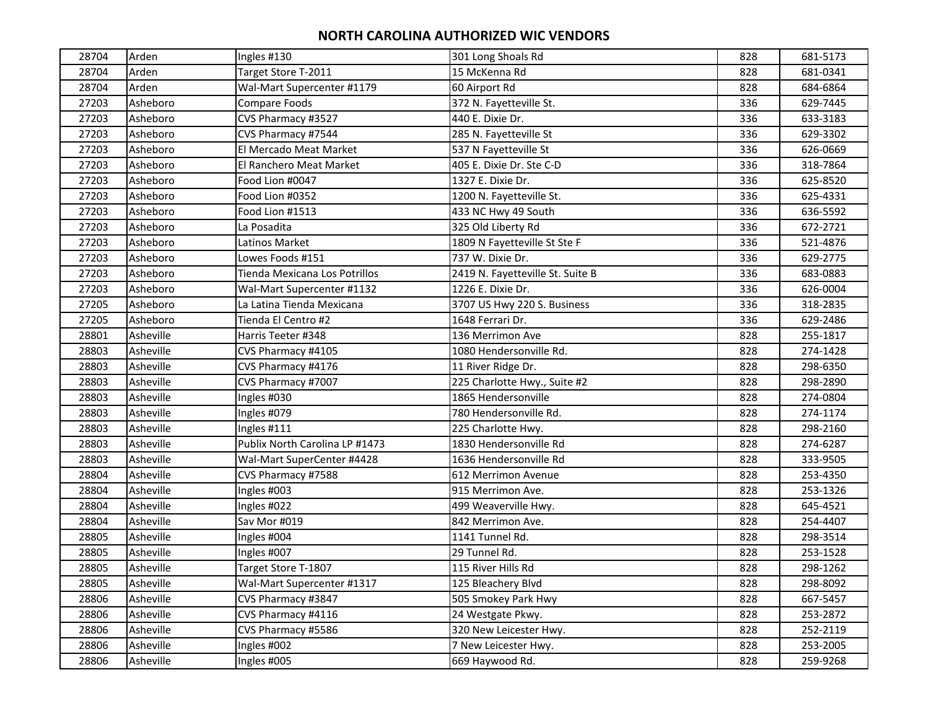| 28704 | Arden     | Ingles #130                    | 301 Long Shoals Rd               | 828 | 681-5173 |
|-------|-----------|--------------------------------|----------------------------------|-----|----------|
| 28704 | Arden     | Target Store T-2011            | 15 McKenna Rd                    | 828 | 681-0341 |
| 28704 | Arden     | Wal-Mart Supercenter #1179     | 60 Airport Rd                    | 828 | 684-6864 |
| 27203 | Asheboro  | Compare Foods                  | 372 N. Fayetteville St.          | 336 | 629-7445 |
| 27203 | Asheboro  | CVS Pharmacy #3527             | 440 E. Dixie Dr.                 | 336 | 633-3183 |
| 27203 | Asheboro  | CVS Pharmacy #7544             | 285 N. Fayetteville St           | 336 | 629-3302 |
| 27203 | Asheboro  | El Mercado Meat Market         | 537 N Fayetteville St            | 336 | 626-0669 |
| 27203 | Asheboro  | El Ranchero Meat Market        | 405 E. Dixie Dr. Ste C-D         | 336 | 318-7864 |
| 27203 | Asheboro  | Food Lion #0047                | 1327 E. Dixie Dr.                | 336 | 625-8520 |
| 27203 | Asheboro  | Food Lion #0352                | 1200 N. Fayetteville St.         | 336 | 625-4331 |
| 27203 | Asheboro  | Food Lion #1513                | 433 NC Hwy 49 South              | 336 | 636-5592 |
| 27203 | Asheboro  | La Posadita                    | 325 Old Liberty Rd               | 336 | 672-2721 |
| 27203 | Asheboro  | Latinos Market                 | 1809 N Fayetteville St Ste F     | 336 | 521-4876 |
| 27203 | Asheboro  | Lowes Foods #151               | 737 W. Dixie Dr.                 | 336 | 629-2775 |
| 27203 | Asheboro  | Tienda Mexicana Los Potrillos  | 2419 N. Fayetteville St. Suite B | 336 | 683-0883 |
| 27203 | Asheboro  | Wal-Mart Supercenter #1132     | 1226 E. Dixie Dr.                | 336 | 626-0004 |
| 27205 | Asheboro  | La Latina Tienda Mexicana      | 3707 US Hwy 220 S. Business      | 336 | 318-2835 |
| 27205 | Asheboro  | Tienda El Centro #2            | 1648 Ferrari Dr.                 | 336 | 629-2486 |
| 28801 | Asheville | Harris Teeter #348             | 136 Merrimon Ave                 | 828 | 255-1817 |
| 28803 | Asheville | CVS Pharmacy #4105             | 1080 Hendersonville Rd.          | 828 | 274-1428 |
| 28803 | Asheville | CVS Pharmacy #4176             | 11 River Ridge Dr.               | 828 | 298-6350 |
| 28803 | Asheville | CVS Pharmacy #7007             | 225 Charlotte Hwy., Suite #2     | 828 | 298-2890 |
| 28803 | Asheville | Ingles #030                    | 1865 Hendersonville              | 828 | 274-0804 |
| 28803 | Asheville | Ingles #079                    | 780 Hendersonville Rd.           | 828 | 274-1174 |
| 28803 | Asheville | Ingles #111                    | 225 Charlotte Hwy.               | 828 | 298-2160 |
| 28803 | Asheville | Publix North Carolina LP #1473 | 1830 Hendersonville Rd           | 828 | 274-6287 |
| 28803 | Asheville | Wal-Mart SuperCenter #4428     | 1636 Hendersonville Rd           | 828 | 333-9505 |
| 28804 | Asheville | CVS Pharmacy #7588             | 612 Merrimon Avenue              | 828 | 253-4350 |
| 28804 | Asheville | Ingles #003                    | 915 Merrimon Ave.                | 828 | 253-1326 |
| 28804 | Asheville | Ingles #022                    | 499 Weaverville Hwy.             | 828 | 645-4521 |
| 28804 | Asheville | Sav Mor #019                   | 842 Merrimon Ave.                | 828 | 254-4407 |
| 28805 | Asheville | Ingles #004                    | 1141 Tunnel Rd.                  | 828 | 298-3514 |
| 28805 | Asheville | Ingles #007                    | 29 Tunnel Rd.                    | 828 | 253-1528 |
| 28805 | Asheville | Target Store T-1807            | 115 River Hills Rd               | 828 | 298-1262 |
| 28805 | Asheville | Wal-Mart Supercenter #1317     | 125 Bleachery Blvd               | 828 | 298-8092 |
| 28806 | Asheville | CVS Pharmacy #3847             | 505 Smokey Park Hwy              | 828 | 667-5457 |
| 28806 | Asheville | CVS Pharmacy #4116             | 24 Westgate Pkwy.                | 828 | 253-2872 |
| 28806 | Asheville | CVS Pharmacy #5586             | 320 New Leicester Hwy.           | 828 | 252-2119 |
| 28806 | Asheville | Ingles #002                    | 7 New Leicester Hwy.             | 828 | 253-2005 |
| 28806 | Asheville | Ingles #005                    | 669 Haywood Rd.                  | 828 | 259-9268 |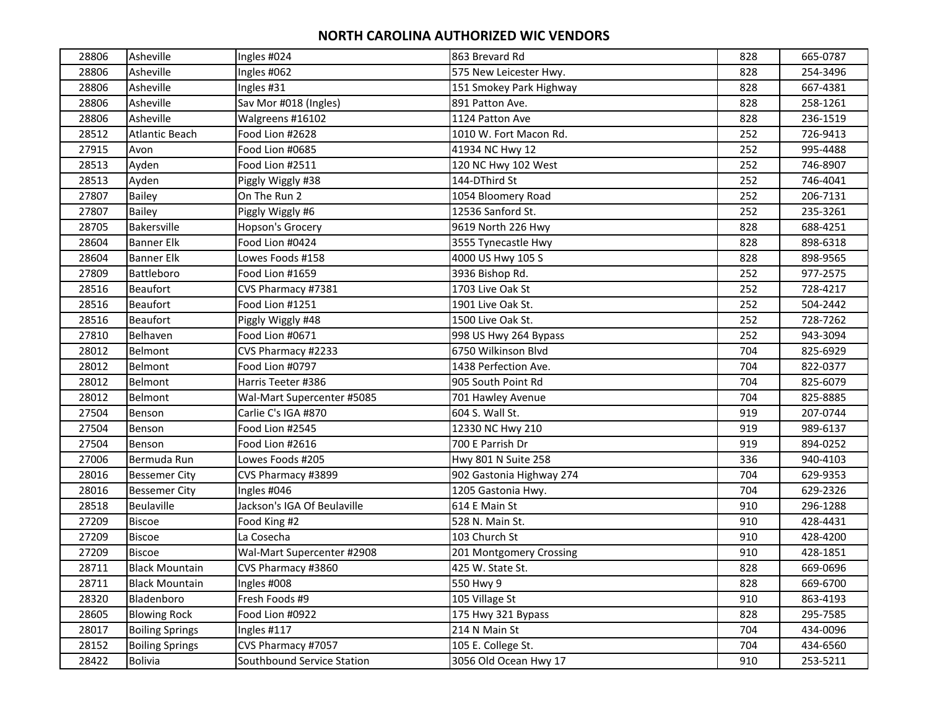| 28806 | Asheville              | Ingles #024                 | 863 Brevard Rd           | 828 | 665-0787 |
|-------|------------------------|-----------------------------|--------------------------|-----|----------|
| 28806 | Asheville              | Ingles #062                 | 575 New Leicester Hwy.   | 828 | 254-3496 |
| 28806 | Asheville              | Ingles #31                  | 151 Smokey Park Highway  | 828 | 667-4381 |
| 28806 | Asheville              | Sav Mor #018 (Ingles)       | 891 Patton Ave.          | 828 | 258-1261 |
| 28806 | Asheville              | Walgreens #16102            | 1124 Patton Ave          | 828 | 236-1519 |
| 28512 | <b>Atlantic Beach</b>  | Food Lion #2628             | 1010 W. Fort Macon Rd.   | 252 | 726-9413 |
| 27915 | Avon                   | Food Lion #0685             | 41934 NC Hwy 12          | 252 | 995-4488 |
| 28513 | Ayden                  | Food Lion #2511             | 120 NC Hwy 102 West      | 252 | 746-8907 |
| 28513 | Ayden                  | Piggly Wiggly #38           | 144-DThird St            | 252 | 746-4041 |
| 27807 | <b>Bailey</b>          | On The Run 2                | 1054 Bloomery Road       | 252 | 206-7131 |
| 27807 | <b>Bailey</b>          | Piggly Wiggly #6            | 12536 Sanford St.        | 252 | 235-3261 |
| 28705 | Bakersville            | Hopson's Grocery            | 9619 North 226 Hwy       | 828 | 688-4251 |
| 28604 | <b>Banner Elk</b>      | Food Lion #0424             | 3555 Tynecastle Hwy      | 828 | 898-6318 |
| 28604 | <b>Banner Elk</b>      | Lowes Foods #158            | 4000 US Hwy 105 S        | 828 | 898-9565 |
| 27809 | Battleboro             | Food Lion #1659             | 3936 Bishop Rd.          | 252 | 977-2575 |
| 28516 | <b>Beaufort</b>        | CVS Pharmacy #7381          | 1703 Live Oak St         | 252 | 728-4217 |
| 28516 | <b>Beaufort</b>        | Food Lion #1251             | 1901 Live Oak St.        | 252 | 504-2442 |
| 28516 | <b>Beaufort</b>        | Piggly Wiggly #48           | 1500 Live Oak St.        | 252 | 728-7262 |
| 27810 | Belhaven               | Food Lion #0671             | 998 US Hwy 264 Bypass    | 252 | 943-3094 |
| 28012 | Belmont                | CVS Pharmacy #2233          | 6750 Wilkinson Blvd      | 704 | 825-6929 |
| 28012 | Belmont                | Food Lion #0797             | 1438 Perfection Ave.     | 704 | 822-0377 |
| 28012 | Belmont                | Harris Teeter #386          | 905 South Point Rd       | 704 | 825-6079 |
| 28012 | Belmont                | Wal-Mart Supercenter #5085  | 701 Hawley Avenue        | 704 | 825-8885 |
| 27504 | Benson                 | Carlie C's IGA #870         | 604 S. Wall St.          | 919 | 207-0744 |
| 27504 | Benson                 | Food Lion #2545             | 12330 NC Hwy 210         | 919 | 989-6137 |
| 27504 | Benson                 | Food Lion #2616             | 700 E Parrish Dr         | 919 | 894-0252 |
| 27006 | Bermuda Run            | Lowes Foods #205            | Hwy 801 N Suite 258      | 336 | 940-4103 |
| 28016 | <b>Bessemer City</b>   | CVS Pharmacy #3899          | 902 Gastonia Highway 274 | 704 | 629-9353 |
| 28016 | <b>Bessemer City</b>   | Ingles #046                 | 1205 Gastonia Hwy.       | 704 | 629-2326 |
| 28518 | Beulaville             | Jackson's IGA Of Beulaville | 614 E Main St            | 910 | 296-1288 |
| 27209 | <b>Biscoe</b>          | Food King #2                | 528 N. Main St.          | 910 | 428-4431 |
| 27209 | <b>Biscoe</b>          | La Cosecha                  | 103 Church St            | 910 | 428-4200 |
| 27209 | <b>Biscoe</b>          | Wal-Mart Supercenter #2908  | 201 Montgomery Crossing  | 910 | 428-1851 |
| 28711 | <b>Black Mountain</b>  | CVS Pharmacy #3860          | 425 W. State St.         | 828 | 669-0696 |
| 28711 | <b>Black Mountain</b>  | Ingles #008                 | 550 Hwy 9                | 828 | 669-6700 |
| 28320 | Bladenboro             | Fresh Foods #9              | 105 Village St           | 910 | 863-4193 |
| 28605 | <b>Blowing Rock</b>    | Food Lion #0922             | 175 Hwy 321 Bypass       | 828 | 295-7585 |
| 28017 | <b>Boiling Springs</b> | Ingles #117                 | 214 N Main St            | 704 | 434-0096 |
| 28152 | <b>Boiling Springs</b> | CVS Pharmacy #7057          | 105 E. College St.       | 704 | 434-6560 |
| 28422 | <b>Bolivia</b>         | Southbound Service Station  | 3056 Old Ocean Hwy 17    | 910 | 253-5211 |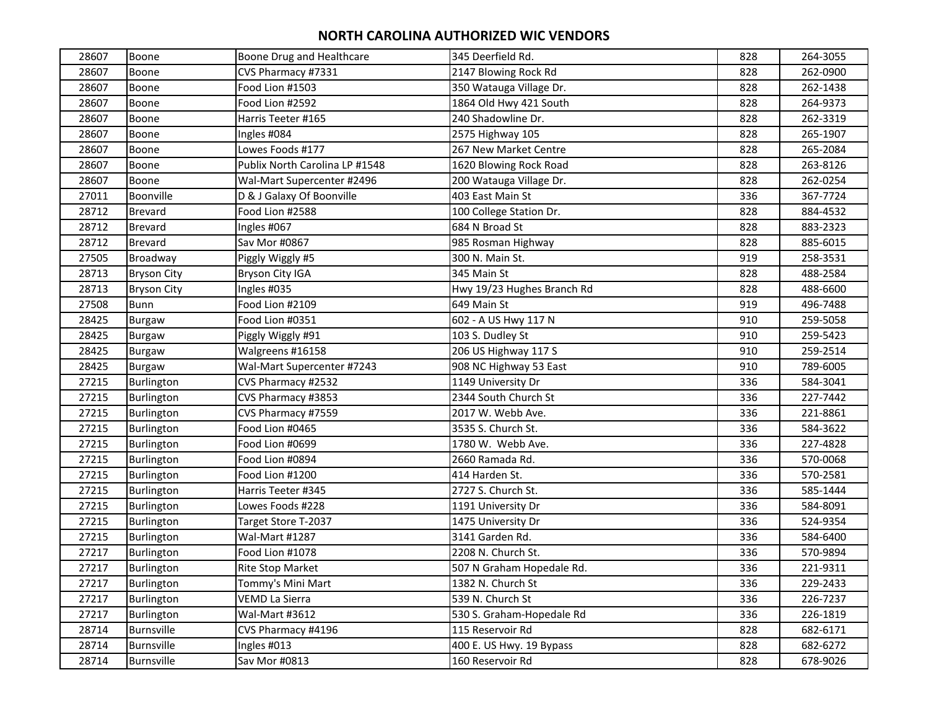| 28607 | Boone              | Boone Drug and Healthcare      | 345 Deerfield Rd.          | 828 | 264-3055 |
|-------|--------------------|--------------------------------|----------------------------|-----|----------|
| 28607 | Boone              | CVS Pharmacy #7331             | 2147 Blowing Rock Rd       | 828 | 262-0900 |
| 28607 | Boone              | Food Lion #1503                | 350 Watauga Village Dr.    | 828 | 262-1438 |
| 28607 | Boone              | Food Lion #2592                | 1864 Old Hwy 421 South     | 828 | 264-9373 |
| 28607 | Boone              | Harris Teeter #165             | 240 Shadowline Dr.         | 828 | 262-3319 |
| 28607 | Boone              | Ingles #084                    | 2575 Highway 105           | 828 | 265-1907 |
| 28607 | Boone              | Lowes Foods #177               | 267 New Market Centre      | 828 | 265-2084 |
| 28607 | Boone              | Publix North Carolina LP #1548 | 1620 Blowing Rock Road     | 828 | 263-8126 |
| 28607 | Boone              | Wal-Mart Supercenter #2496     | 200 Watauga Village Dr.    | 828 | 262-0254 |
| 27011 | Boonville          | D & J Galaxy Of Boonville      | 403 East Main St           | 336 | 367-7724 |
| 28712 | <b>Brevard</b>     | Food Lion #2588                | 100 College Station Dr.    | 828 | 884-4532 |
| 28712 | <b>Brevard</b>     | Ingles #067                    | 684 N Broad St             | 828 | 883-2323 |
| 28712 | <b>Brevard</b>     | Sav Mor #0867                  | 985 Rosman Highway         | 828 | 885-6015 |
| 27505 | Broadway           | Piggly Wiggly #5               | 300 N. Main St.            | 919 | 258-3531 |
| 28713 | <b>Bryson City</b> | Bryson City IGA                | 345 Main St                | 828 | 488-2584 |
| 28713 | <b>Bryson City</b> | Ingles #035                    | Hwy 19/23 Hughes Branch Rd | 828 | 488-6600 |
| 27508 | Bunn               | Food Lion #2109                | 649 Main St                | 919 | 496-7488 |
| 28425 | <b>Burgaw</b>      | Food Lion #0351                | 602 - A US Hwy 117 N       | 910 | 259-5058 |
| 28425 | <b>Burgaw</b>      | Piggly Wiggly #91              | 103 S. Dudley St           | 910 | 259-5423 |
| 28425 | <b>Burgaw</b>      | Walgreens #16158               | 206 US Highway 117 S       | 910 | 259-2514 |
| 28425 | Burgaw             | Wal-Mart Supercenter #7243     | 908 NC Highway 53 East     | 910 | 789-6005 |
| 27215 | Burlington         | CVS Pharmacy #2532             | 1149 University Dr         | 336 | 584-3041 |
| 27215 | Burlington         | CVS Pharmacy #3853             | 2344 South Church St       | 336 | 227-7442 |
| 27215 | <b>Burlington</b>  | CVS Pharmacy #7559             | 2017 W. Webb Ave.          | 336 | 221-8861 |
| 27215 | <b>Burlington</b>  | Food Lion #0465                | 3535 S. Church St.         | 336 | 584-3622 |
| 27215 | Burlington         | Food Lion #0699                | 1780 W. Webb Ave.          | 336 | 227-4828 |
| 27215 | <b>Burlington</b>  | Food Lion #0894                | 2660 Ramada Rd.            | 336 | 570-0068 |
| 27215 | Burlington         | Food Lion #1200                | 414 Harden St.             | 336 | 570-2581 |
| 27215 | Burlington         | Harris Teeter #345             | 2727 S. Church St.         | 336 | 585-1444 |
| 27215 | Burlington         | Lowes Foods #228               | 1191 University Dr         | 336 | 584-8091 |
| 27215 | Burlington         | Target Store T-2037            | 1475 University Dr         | 336 | 524-9354 |
| 27215 | Burlington         | Wal-Mart #1287                 | 3141 Garden Rd.            | 336 | 584-6400 |
| 27217 | Burlington         | Food Lion #1078                | 2208 N. Church St.         | 336 | 570-9894 |
| 27217 | Burlington         | <b>Rite Stop Market</b>        | 507 N Graham Hopedale Rd.  | 336 | 221-9311 |
| 27217 | Burlington         | Tommy's Mini Mart              | 1382 N. Church St          | 336 | 229-2433 |
| 27217 | Burlington         | VEMD La Sierra                 | 539 N. Church St           | 336 | 226-7237 |
| 27217 | Burlington         | Wal-Mart #3612                 | 530 S. Graham-Hopedale Rd  | 336 | 226-1819 |
| 28714 | Burnsville         | CVS Pharmacy #4196             | 115 Reservoir Rd           | 828 | 682-6171 |
| 28714 | Burnsville         | Ingles #013                    | 400 E. US Hwy. 19 Bypass   | 828 | 682-6272 |
| 28714 | Burnsville         | Sav Mor #0813                  | 160 Reservoir Rd           | 828 | 678-9026 |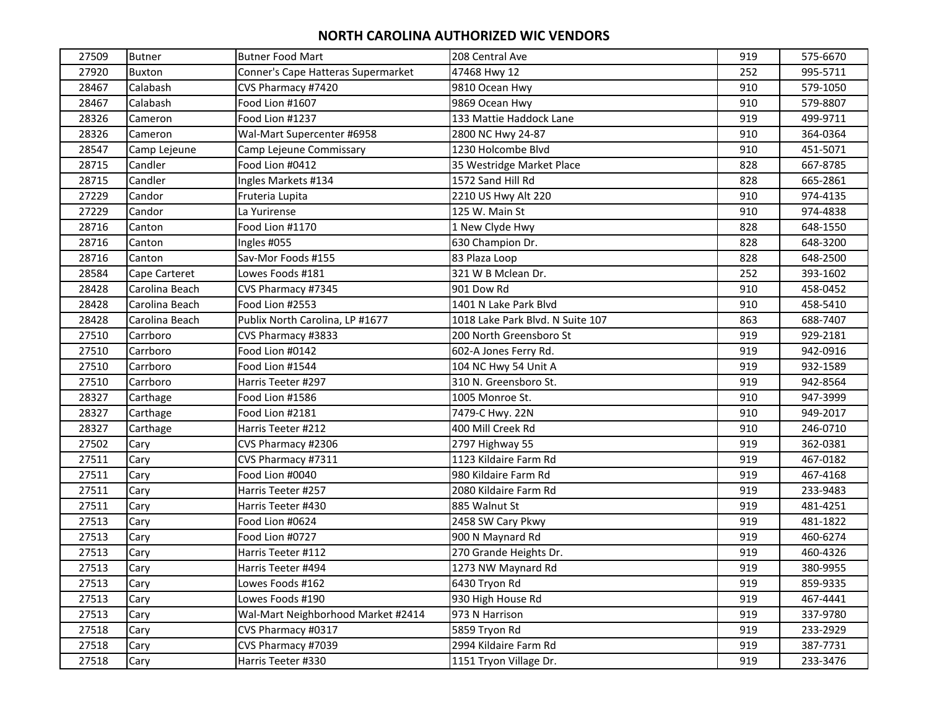| 27509 | <b>Butner</b>  | <b>Butner Food Mart</b>            | 208 Central Ave                  | 919 | 575-6670 |
|-------|----------------|------------------------------------|----------------------------------|-----|----------|
| 27920 | <b>Buxton</b>  | Conner's Cape Hatteras Supermarket | 47468 Hwy 12                     | 252 | 995-5711 |
| 28467 | Calabash       | CVS Pharmacy #7420                 | 9810 Ocean Hwy                   | 910 | 579-1050 |
| 28467 | Calabash       | Food Lion #1607                    | 9869 Ocean Hwy                   | 910 | 579-8807 |
| 28326 | Cameron        | Food Lion #1237                    | 133 Mattie Haddock Lane          | 919 | 499-9711 |
| 28326 | Cameron        | Wal-Mart Supercenter #6958         | 2800 NC Hwy 24-87                | 910 | 364-0364 |
| 28547 | Camp Lejeune   | Camp Lejeune Commissary            | 1230 Holcombe Blvd               | 910 | 451-5071 |
| 28715 | Candler        | Food Lion #0412                    | 35 Westridge Market Place        | 828 | 667-8785 |
| 28715 | Candler        | Ingles Markets #134                | 1572 Sand Hill Rd                | 828 | 665-2861 |
| 27229 | Candor         | Fruteria Lupita                    | 2210 US Hwy Alt 220              | 910 | 974-4135 |
| 27229 | Candor         | La Yurirense                       | 125 W. Main St                   | 910 | 974-4838 |
| 28716 | Canton         | Food Lion #1170                    | 1 New Clyde Hwy                  | 828 | 648-1550 |
| 28716 | Canton         | Ingles #055                        | 630 Champion Dr.                 | 828 | 648-3200 |
| 28716 | Canton         | Sav-Mor Foods #155                 | 83 Plaza Loop                    | 828 | 648-2500 |
| 28584 | Cape Carteret  | Lowes Foods #181                   | 321 W B Mclean Dr.               | 252 | 393-1602 |
| 28428 | Carolina Beach | CVS Pharmacy #7345                 | 901 Dow Rd                       | 910 | 458-0452 |
| 28428 | Carolina Beach | Food Lion #2553                    | 1401 N Lake Park Blvd            | 910 | 458-5410 |
| 28428 | Carolina Beach | Publix North Carolina, LP #1677    | 1018 Lake Park Blvd. N Suite 107 | 863 | 688-7407 |
| 27510 | Carrboro       | CVS Pharmacy #3833                 | 200 North Greensboro St          | 919 | 929-2181 |
| 27510 | Carrboro       | Food Lion #0142                    | 602-A Jones Ferry Rd.            | 919 | 942-0916 |
| 27510 | Carrboro       | Food Lion #1544                    | 104 NC Hwy 54 Unit A             | 919 | 932-1589 |
| 27510 | Carrboro       | Harris Teeter #297                 | 310 N. Greensboro St.            | 919 | 942-8564 |
| 28327 | Carthage       | Food Lion #1586                    | 1005 Monroe St.                  | 910 | 947-3999 |
| 28327 | Carthage       | Food Lion #2181                    | 7479-C Hwy. 22N                  | 910 | 949-2017 |
| 28327 | Carthage       | Harris Teeter #212                 | 400 Mill Creek Rd                | 910 | 246-0710 |
| 27502 | Cary           | CVS Pharmacy #2306                 | 2797 Highway 55                  | 919 | 362-0381 |
| 27511 | Cary           | CVS Pharmacy #7311                 | 1123 Kildaire Farm Rd            | 919 | 467-0182 |
| 27511 | Cary           | Food Lion #0040                    | 980 Kildaire Farm Rd             | 919 | 467-4168 |
| 27511 | Cary           | Harris Teeter #257                 | 2080 Kildaire Farm Rd            | 919 | 233-9483 |
| 27511 | Cary           | Harris Teeter #430                 | 885 Walnut St                    | 919 | 481-4251 |
| 27513 | Cary           | Food Lion #0624                    | 2458 SW Cary Pkwy                | 919 | 481-1822 |
| 27513 | Cary           | Food Lion #0727                    | 900 N Maynard Rd                 | 919 | 460-6274 |
| 27513 | Cary           | Harris Teeter #112                 | 270 Grande Heights Dr.           | 919 | 460-4326 |
| 27513 | Cary           | Harris Teeter #494                 | 1273 NW Maynard Rd               | 919 | 380-9955 |
| 27513 | Cary           | Lowes Foods #162                   | 6430 Tryon Rd                    | 919 | 859-9335 |
| 27513 | Cary           | Lowes Foods #190                   | 930 High House Rd                | 919 | 467-4441 |
| 27513 | Cary           | Wal-Mart Neighborhood Market #2414 | 973 N Harrison                   | 919 | 337-9780 |
| 27518 | Cary           | CVS Pharmacy #0317                 | 5859 Tryon Rd                    | 919 | 233-2929 |
| 27518 | Cary           | CVS Pharmacy #7039                 | 2994 Kildaire Farm Rd            | 919 | 387-7731 |
| 27518 | Cary           | Harris Teeter #330                 | 1151 Tryon Village Dr.           | 919 | 233-3476 |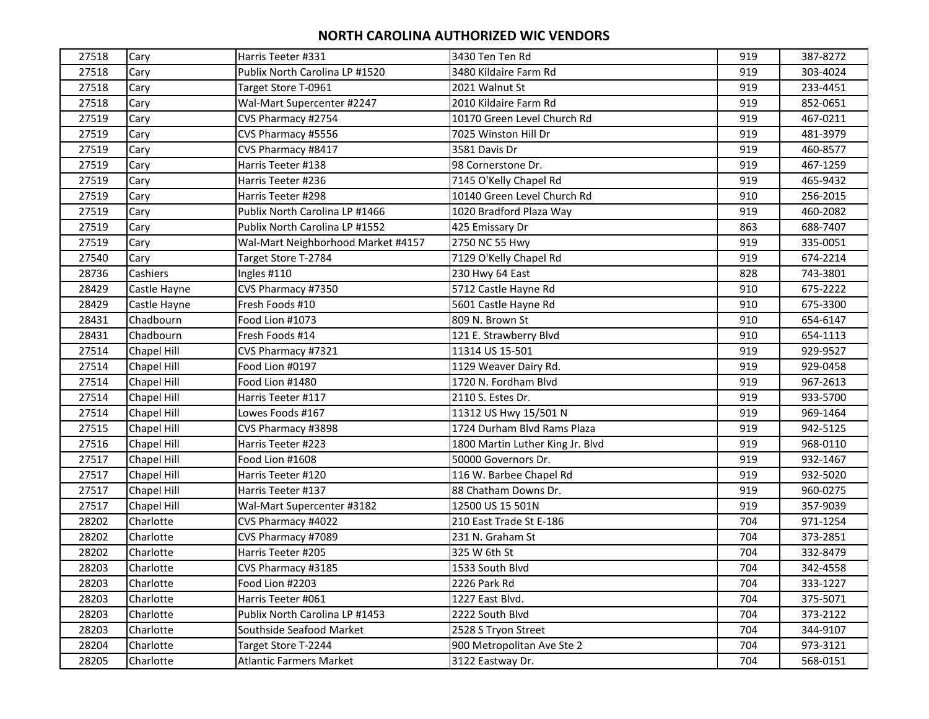| 27518 | Cary               | Harris Teeter #331                 | 3430 Ten Ten Rd                  | 919 | 387-8272 |
|-------|--------------------|------------------------------------|----------------------------------|-----|----------|
| 27518 | Cary               | Publix North Carolina LP #1520     | 3480 Kildaire Farm Rd            | 919 | 303-4024 |
| 27518 | Cary               | Target Store T-0961                | 2021 Walnut St                   | 919 | 233-4451 |
| 27518 | Cary               | Wal-Mart Supercenter #2247         | 2010 Kildaire Farm Rd            | 919 | 852-0651 |
| 27519 | Cary               | CVS Pharmacy #2754                 | 10170 Green Level Church Rd      | 919 | 467-0211 |
| 27519 | Cary               | CVS Pharmacy #5556                 | 7025 Winston Hill Dr             | 919 | 481-3979 |
| 27519 | Cary               | CVS Pharmacy #8417                 | 3581 Davis Dr                    | 919 | 460-8577 |
| 27519 | Cary               | Harris Teeter #138                 | 98 Cornerstone Dr.               | 919 | 467-1259 |
| 27519 | Cary               | Harris Teeter #236                 | 7145 O'Kelly Chapel Rd           | 919 | 465-9432 |
| 27519 | Cary               | Harris Teeter #298                 | 10140 Green Level Church Rd      | 910 | 256-2015 |
| 27519 | Cary               | Publix North Carolina LP #1466     | 1020 Bradford Plaza Way          | 919 | 460-2082 |
| 27519 | Cary               | Publix North Carolina LP #1552     | 425 Emissary Dr                  | 863 | 688-7407 |
| 27519 | Cary               | Wal-Mart Neighborhood Market #4157 | 2750 NC 55 Hwy                   | 919 | 335-0051 |
| 27540 | Cary               | Target Store T-2784                | 7129 O'Kelly Chapel Rd           | 919 | 674-2214 |
| 28736 | Cashiers           | Ingles #110                        | 230 Hwy 64 East                  | 828 | 743-3801 |
| 28429 | Castle Hayne       | CVS Pharmacy #7350                 | 5712 Castle Hayne Rd             | 910 | 675-2222 |
| 28429 | Castle Hayne       | Fresh Foods #10                    | 5601 Castle Hayne Rd             | 910 | 675-3300 |
| 28431 | Chadbourn          | Food Lion #1073                    | 809 N. Brown St                  | 910 | 654-6147 |
| 28431 | Chadbourn          | Fresh Foods #14                    | 121 E. Strawberry Blvd           | 910 | 654-1113 |
| 27514 | Chapel Hill        | CVS Pharmacy #7321                 | 11314 US 15-501                  | 919 | 929-9527 |
| 27514 | Chapel Hill        | Food Lion #0197                    | 1129 Weaver Dairy Rd.            | 919 | 929-0458 |
| 27514 | Chapel Hill        | Food Lion #1480                    | 1720 N. Fordham Blvd             | 919 | 967-2613 |
| 27514 | <b>Chapel Hill</b> | Harris Teeter #117                 | 2110 S. Estes Dr.                | 919 | 933-5700 |
| 27514 | Chapel Hill        | Lowes Foods #167                   | 11312 US Hwy 15/501 N            | 919 | 969-1464 |
| 27515 | Chapel Hill        | CVS Pharmacy #3898                 | 1724 Durham Blvd Rams Plaza      | 919 | 942-5125 |
| 27516 | Chapel Hill        | Harris Teeter #223                 | 1800 Martin Luther King Jr. Blvd | 919 | 968-0110 |
| 27517 | Chapel Hill        | Food Lion #1608                    | 50000 Governors Dr.              | 919 | 932-1467 |
| 27517 | <b>Chapel Hill</b> | Harris Teeter #120                 | 116 W. Barbee Chapel Rd          | 919 | 932-5020 |
| 27517 | Chapel Hill        | Harris Teeter #137                 | 88 Chatham Downs Dr.             | 919 | 960-0275 |
| 27517 | Chapel Hill        | Wal-Mart Supercenter #3182         | 12500 US 15 501N                 | 919 | 357-9039 |
| 28202 | Charlotte          | CVS Pharmacy #4022                 | 210 East Trade St E-186          | 704 | 971-1254 |
| 28202 | Charlotte          | CVS Pharmacy #7089                 | 231 N. Graham St                 | 704 | 373-2851 |
| 28202 | Charlotte          | Harris Teeter #205                 | 325 W 6th St                     | 704 | 332-8479 |
| 28203 | Charlotte          | CVS Pharmacy #3185                 | 1533 South Blvd                  | 704 | 342-4558 |
| 28203 | Charlotte          | Food Lion #2203                    | 2226 Park Rd                     | 704 | 333-1227 |
| 28203 | Charlotte          | Harris Teeter #061                 | 1227 East Blvd.                  | 704 | 375-5071 |
| 28203 | Charlotte          | Publix North Carolina LP #1453     | 2222 South Blvd                  | 704 | 373-2122 |
| 28203 | Charlotte          | Southside Seafood Market           | 2528 S Tryon Street              | 704 | 344-9107 |
| 28204 | Charlotte          | Target Store T-2244                | 900 Metropolitan Ave Ste 2       | 704 | 973-3121 |
| 28205 | Charlotte          | <b>Atlantic Farmers Market</b>     | 3122 Eastway Dr.                 | 704 | 568-0151 |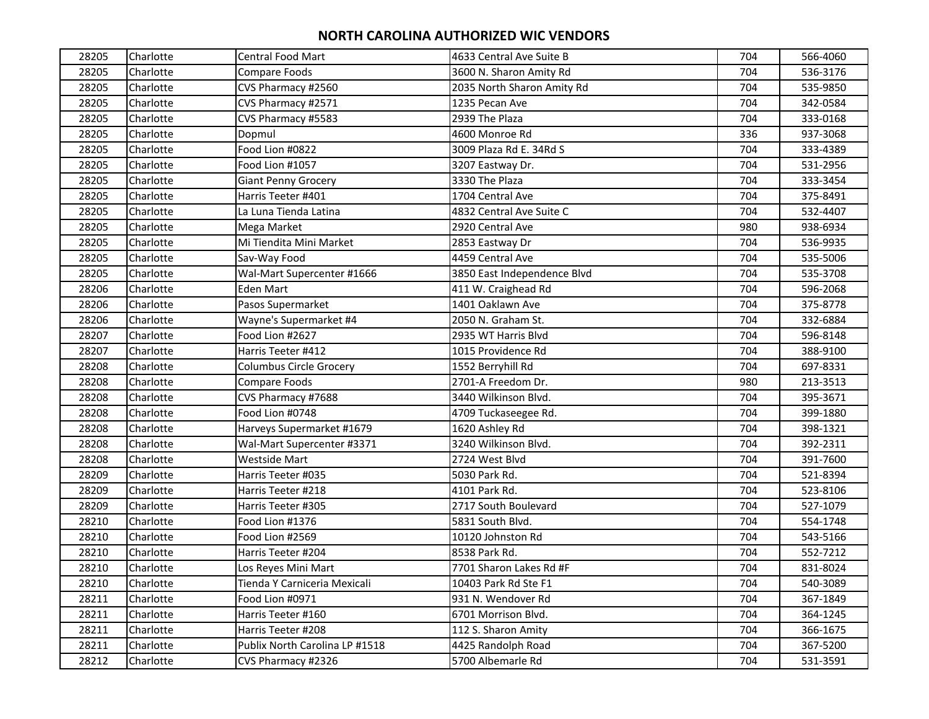| 28205 | Charlotte | <b>Central Food Mart</b>       | 4633 Central Ave Suite B    | 704 | 566-4060 |
|-------|-----------|--------------------------------|-----------------------------|-----|----------|
| 28205 | Charlotte | Compare Foods                  | 3600 N. Sharon Amity Rd     | 704 | 536-3176 |
| 28205 | Charlotte | CVS Pharmacy #2560             | 2035 North Sharon Amity Rd  | 704 | 535-9850 |
| 28205 | Charlotte | CVS Pharmacy #2571             | 1235 Pecan Ave              | 704 | 342-0584 |
| 28205 | Charlotte | CVS Pharmacy #5583             | 2939 The Plaza              | 704 | 333-0168 |
| 28205 | Charlotte | Dopmul                         | 4600 Monroe Rd              | 336 | 937-3068 |
| 28205 | Charlotte | Food Lion #0822                | 3009 Plaza Rd E. 34Rd S     | 704 | 333-4389 |
| 28205 | Charlotte | Food Lion #1057                | 3207 Eastway Dr.            | 704 | 531-2956 |
| 28205 | Charlotte | <b>Giant Penny Grocery</b>     | 3330 The Plaza              | 704 | 333-3454 |
| 28205 | Charlotte | Harris Teeter #401             | 1704 Central Ave            | 704 | 375-8491 |
| 28205 | Charlotte | La Luna Tienda Latina          | 4832 Central Ave Suite C    | 704 | 532-4407 |
| 28205 | Charlotte | Mega Market                    | 2920 Central Ave            | 980 | 938-6934 |
| 28205 | Charlotte | Mi Tiendita Mini Market        | 2853 Eastway Dr             | 704 | 536-9935 |
| 28205 | Charlotte | Sav-Way Food                   | 4459 Central Ave            | 704 | 535-5006 |
| 28205 | Charlotte | Wal-Mart Supercenter #1666     | 3850 East Independence Blvd | 704 | 535-3708 |
| 28206 | Charlotte | <b>Eden Mart</b>               | 411 W. Craighead Rd         | 704 | 596-2068 |
| 28206 | Charlotte | Pasos Supermarket              | 1401 Oaklawn Ave            | 704 | 375-8778 |
| 28206 | Charlotte | Wayne's Supermarket #4         | 2050 N. Graham St.          | 704 | 332-6884 |
| 28207 | Charlotte | Food Lion #2627                | 2935 WT Harris Blvd         | 704 | 596-8148 |
| 28207 | Charlotte | Harris Teeter #412             | 1015 Providence Rd          | 704 | 388-9100 |
| 28208 | Charlotte | Columbus Circle Grocery        | 1552 Berryhill Rd           | 704 | 697-8331 |
| 28208 | Charlotte | Compare Foods                  | 2701-A Freedom Dr.          | 980 | 213-3513 |
| 28208 | Charlotte | CVS Pharmacy #7688             | 3440 Wilkinson Blvd.        | 704 | 395-3671 |
| 28208 | Charlotte | Food Lion #0748                | 4709 Tuckaseegee Rd.        | 704 | 399-1880 |
| 28208 | Charlotte | Harveys Supermarket #1679      | 1620 Ashley Rd              | 704 | 398-1321 |
| 28208 | Charlotte | Wal-Mart Supercenter #3371     | 3240 Wilkinson Blvd.        | 704 | 392-2311 |
| 28208 | Charlotte | <b>Westside Mart</b>           | 2724 West Blvd              | 704 | 391-7600 |
| 28209 | Charlotte | Harris Teeter #035             | 5030 Park Rd.               | 704 | 521-8394 |
| 28209 | Charlotte | Harris Teeter #218             | 4101 Park Rd.               | 704 | 523-8106 |
| 28209 | Charlotte | Harris Teeter #305             | 2717 South Boulevard        | 704 | 527-1079 |
| 28210 | Charlotte | Food Lion #1376                | 5831 South Blvd.            | 704 | 554-1748 |
| 28210 | Charlotte | Food Lion #2569                | 10120 Johnston Rd           | 704 | 543-5166 |
| 28210 | Charlotte | Harris Teeter #204             | 8538 Park Rd.               | 704 | 552-7212 |
| 28210 | Charlotte | Los Reyes Mini Mart            | 7701 Sharon Lakes Rd #F     | 704 | 831-8024 |
| 28210 | Charlotte | Tienda Y Carniceria Mexicali   | 10403 Park Rd Ste F1        | 704 | 540-3089 |
| 28211 | Charlotte | Food Lion #0971                | 931 N. Wendover Rd          | 704 | 367-1849 |
| 28211 | Charlotte | Harris Teeter #160             | 6701 Morrison Blvd.         | 704 | 364-1245 |
| 28211 | Charlotte | Harris Teeter #208             | 112 S. Sharon Amity         | 704 | 366-1675 |
| 28211 | Charlotte | Publix North Carolina LP #1518 | 4425 Randolph Road          | 704 | 367-5200 |
| 28212 | Charlotte | CVS Pharmacy #2326             | 5700 Albemarle Rd           | 704 | 531-3591 |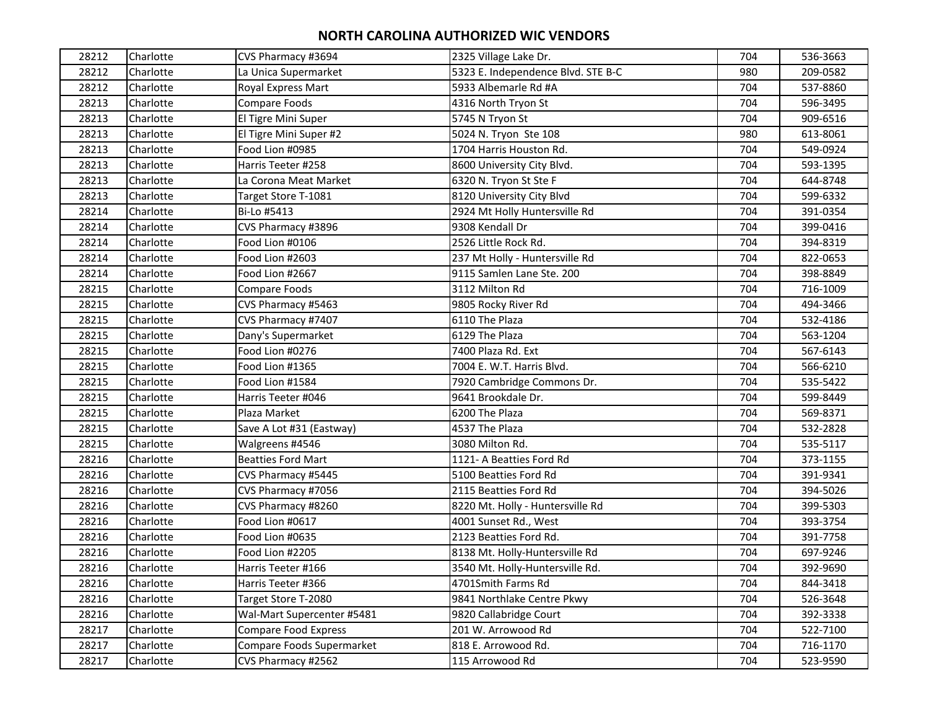| 28212 | Charlotte | CVS Pharmacy #3694         | 2325 Village Lake Dr.              | 704 | 536-3663 |
|-------|-----------|----------------------------|------------------------------------|-----|----------|
| 28212 | Charlotte | La Unica Supermarket       | 5323 E. Independence Blvd. STE B-C | 980 | 209-0582 |
| 28212 | Charlotte | Royal Express Mart         | 5933 Albemarle Rd #A               | 704 | 537-8860 |
| 28213 | Charlotte | Compare Foods              | 4316 North Tryon St                | 704 | 596-3495 |
| 28213 | Charlotte | El Tigre Mini Super        | 5745 N Tryon St                    | 704 | 909-6516 |
| 28213 | Charlotte | El Tigre Mini Super #2     | 5024 N. Tryon Ste 108              | 980 | 613-8061 |
| 28213 | Charlotte | Food Lion #0985            | 1704 Harris Houston Rd.            | 704 | 549-0924 |
| 28213 | Charlotte | Harris Teeter #258         | 8600 University City Blvd.         | 704 | 593-1395 |
| 28213 | Charlotte | La Corona Meat Market      | 6320 N. Tryon St Ste F             | 704 | 644-8748 |
| 28213 | Charlotte | Target Store T-1081        | 8120 University City Blvd          | 704 | 599-6332 |
| 28214 | Charlotte | Bi-Lo #5413                | 2924 Mt Holly Huntersville Rd      | 704 | 391-0354 |
| 28214 | Charlotte | CVS Pharmacy #3896         | 9308 Kendall Dr                    | 704 | 399-0416 |
| 28214 | Charlotte | Food Lion #0106            | 2526 Little Rock Rd.               | 704 | 394-8319 |
| 28214 | Charlotte | Food Lion #2603            | 237 Mt Holly - Huntersville Rd     | 704 | 822-0653 |
| 28214 | Charlotte | Food Lion #2667            | 9115 Samlen Lane Ste. 200          | 704 | 398-8849 |
| 28215 | Charlotte | Compare Foods              | 3112 Milton Rd                     | 704 | 716-1009 |
| 28215 | Charlotte | CVS Pharmacy #5463         | 9805 Rocky River Rd                | 704 | 494-3466 |
| 28215 | Charlotte | CVS Pharmacy #7407         | 6110 The Plaza                     | 704 | 532-4186 |
| 28215 | Charlotte | Dany's Supermarket         | 6129 The Plaza                     | 704 | 563-1204 |
| 28215 | Charlotte | Food Lion #0276            | 7400 Plaza Rd. Ext                 | 704 | 567-6143 |
| 28215 | Charlotte | Food Lion #1365            | 7004 E. W.T. Harris Blvd.          | 704 | 566-6210 |
| 28215 | Charlotte | Food Lion #1584            | 7920 Cambridge Commons Dr.         | 704 | 535-5422 |
| 28215 | Charlotte | Harris Teeter #046         | 9641 Brookdale Dr.                 | 704 | 599-8449 |
| 28215 | Charlotte | Plaza Market               | 6200 The Plaza                     | 704 | 569-8371 |
| 28215 | Charlotte | Save A Lot #31 (Eastway)   | 4537 The Plaza                     | 704 | 532-2828 |
| 28215 | Charlotte | Walgreens #4546            | 3080 Milton Rd.                    | 704 | 535-5117 |
| 28216 | Charlotte | <b>Beatties Ford Mart</b>  | 1121- A Beatties Ford Rd           | 704 | 373-1155 |
| 28216 | Charlotte | CVS Pharmacy #5445         | 5100 Beatties Ford Rd              | 704 | 391-9341 |
| 28216 | Charlotte | CVS Pharmacy #7056         | 2115 Beatties Ford Rd              | 704 | 394-5026 |
| 28216 | Charlotte | CVS Pharmacy #8260         | 8220 Mt. Holly - Huntersville Rd   | 704 | 399-5303 |
| 28216 | Charlotte | Food Lion #0617            | 4001 Sunset Rd., West              | 704 | 393-3754 |
| 28216 | Charlotte | Food Lion #0635            | 2123 Beatties Ford Rd.             | 704 | 391-7758 |
| 28216 | Charlotte | Food Lion #2205            | 8138 Mt. Holly-Huntersville Rd     | 704 | 697-9246 |
| 28216 | Charlotte | Harris Teeter #166         | 3540 Mt. Holly-Huntersville Rd.    | 704 | 392-9690 |
| 28216 | Charlotte | Harris Teeter #366         | 4701Smith Farms Rd                 | 704 | 844-3418 |
| 28216 | Charlotte | Target Store T-2080        | 9841 Northlake Centre Pkwy         | 704 | 526-3648 |
| 28216 | Charlotte | Wal-Mart Supercenter #5481 | 9820 Callabridge Court             | 704 | 392-3338 |
| 28217 | Charlotte | Compare Food Express       | 201 W. Arrowood Rd                 | 704 | 522-7100 |
| 28217 | Charlotte | Compare Foods Supermarket  | 818 E. Arrowood Rd.                | 704 | 716-1170 |
| 28217 | Charlotte | CVS Pharmacy #2562         | 115 Arrowood Rd                    | 704 | 523-9590 |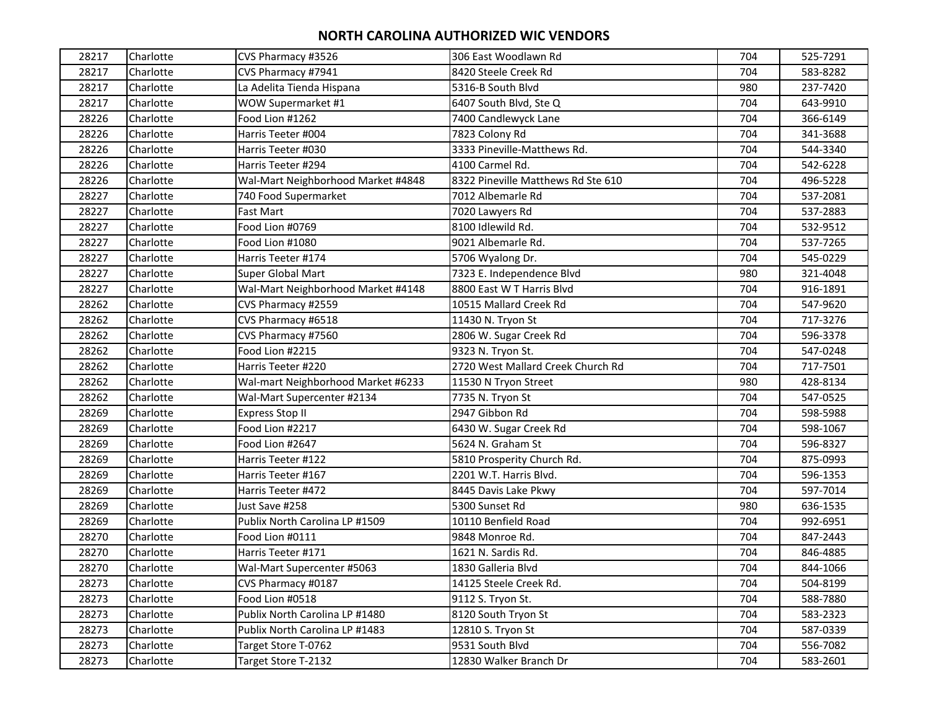| 28217 | Charlotte | CVS Pharmacy #3526                 | 306 East Woodlawn Rd               | 704 | 525-7291 |
|-------|-----------|------------------------------------|------------------------------------|-----|----------|
| 28217 | Charlotte | CVS Pharmacy #7941                 | 8420 Steele Creek Rd               | 704 | 583-8282 |
| 28217 | Charlotte | La Adelita Tienda Hispana          | 5316-B South Blvd                  | 980 | 237-7420 |
| 28217 | Charlotte | WOW Supermarket #1                 | 6407 South Blvd, Ste Q             | 704 | 643-9910 |
| 28226 | Charlotte | Food Lion #1262                    | 7400 Candlewyck Lane               | 704 | 366-6149 |
| 28226 | Charlotte | Harris Teeter #004                 | 7823 Colony Rd                     | 704 | 341-3688 |
| 28226 | Charlotte | Harris Teeter #030                 | 3333 Pineville-Matthews Rd.        | 704 | 544-3340 |
| 28226 | Charlotte | Harris Teeter #294                 | 4100 Carmel Rd.                    | 704 | 542-6228 |
| 28226 | Charlotte | Wal-Mart Neighborhood Market #4848 | 8322 Pineville Matthews Rd Ste 610 | 704 | 496-5228 |
| 28227 | Charlotte | 740 Food Supermarket               | 7012 Albemarle Rd                  | 704 | 537-2081 |
| 28227 | Charlotte | Fast Mart                          | 7020 Lawyers Rd                    | 704 | 537-2883 |
| 28227 | Charlotte | Food Lion #0769                    | 8100 Idlewild Rd.                  | 704 | 532-9512 |
| 28227 | Charlotte | Food Lion #1080                    | 9021 Albemarle Rd.                 | 704 | 537-7265 |
| 28227 | Charlotte | Harris Teeter #174                 | 5706 Wyalong Dr.                   | 704 | 545-0229 |
| 28227 | Charlotte | Super Global Mart                  | 7323 E. Independence Blvd          | 980 | 321-4048 |
| 28227 | Charlotte | Wal-Mart Neighborhood Market #4148 | 8800 East W T Harris Blvd          | 704 | 916-1891 |
| 28262 | Charlotte | CVS Pharmacy #2559                 | 10515 Mallard Creek Rd             | 704 | 547-9620 |
| 28262 | Charlotte | CVS Pharmacy #6518                 | 11430 N. Tryon St                  | 704 | 717-3276 |
| 28262 | Charlotte | CVS Pharmacy #7560                 | 2806 W. Sugar Creek Rd             | 704 | 596-3378 |
| 28262 | Charlotte | Food Lion #2215                    | 9323 N. Tryon St.                  | 704 | 547-0248 |
| 28262 | Charlotte | Harris Teeter #220                 | 2720 West Mallard Creek Church Rd  | 704 | 717-7501 |
| 28262 | Charlotte | Wal-mart Neighborhood Market #6233 | 11530 N Tryon Street               | 980 | 428-8134 |
| 28262 | Charlotte | Wal-Mart Supercenter #2134         | 7735 N. Tryon St                   | 704 | 547-0525 |
| 28269 | Charlotte | <b>Express Stop II</b>             | 2947 Gibbon Rd                     | 704 | 598-5988 |
| 28269 | Charlotte | Food Lion #2217                    | 6430 W. Sugar Creek Rd             | 704 | 598-1067 |
| 28269 | Charlotte | Food Lion #2647                    | 5624 N. Graham St                  | 704 | 596-8327 |
| 28269 | Charlotte | Harris Teeter #122                 | 5810 Prosperity Church Rd.         | 704 | 875-0993 |
| 28269 | Charlotte | Harris Teeter #167                 | 2201 W.T. Harris Blvd.             | 704 | 596-1353 |
| 28269 | Charlotte | Harris Teeter #472                 | 8445 Davis Lake Pkwy               | 704 | 597-7014 |
| 28269 | Charlotte | Just Save #258                     | 5300 Sunset Rd                     | 980 | 636-1535 |
| 28269 | Charlotte | Publix North Carolina LP #1509     | 10110 Benfield Road                | 704 | 992-6951 |
| 28270 | Charlotte | Food Lion #0111                    | 9848 Monroe Rd.                    | 704 | 847-2443 |
| 28270 | Charlotte | Harris Teeter #171                 | 1621 N. Sardis Rd.                 | 704 | 846-4885 |
| 28270 | Charlotte | Wal-Mart Supercenter #5063         | 1830 Galleria Blvd                 | 704 | 844-1066 |
| 28273 | Charlotte | CVS Pharmacy #0187                 | 14125 Steele Creek Rd.             | 704 | 504-8199 |
| 28273 | Charlotte | Food Lion #0518                    | 9112 S. Tryon St.                  | 704 | 588-7880 |
| 28273 | Charlotte | Publix North Carolina LP #1480     | 8120 South Tryon St                | 704 | 583-2323 |
| 28273 | Charlotte | Publix North Carolina LP #1483     | 12810 S. Tryon St                  | 704 | 587-0339 |
| 28273 | Charlotte | Target Store T-0762                | 9531 South Blvd                    | 704 | 556-7082 |
| 28273 | Charlotte | Target Store T-2132                | 12830 Walker Branch Dr             | 704 | 583-2601 |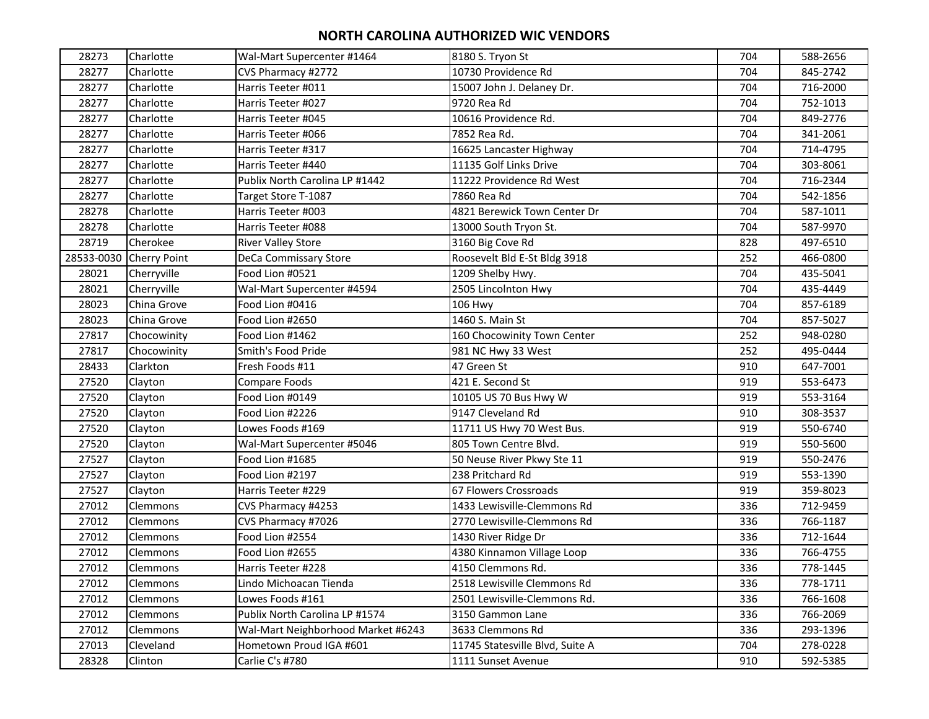| 28273      | Charlotte           | Wal-Mart Supercenter #1464         | 8180 S. Tryon St                | 704 | 588-2656 |
|------------|---------------------|------------------------------------|---------------------------------|-----|----------|
| 28277      | Charlotte           | CVS Pharmacy #2772                 | 10730 Providence Rd             | 704 | 845-2742 |
| 28277      | Charlotte           | Harris Teeter #011                 | 15007 John J. Delaney Dr.       | 704 | 716-2000 |
| 28277      | Charlotte           | Harris Teeter #027                 | 9720 Rea Rd                     | 704 | 752-1013 |
| 28277      | Charlotte           | Harris Teeter #045                 | 10616 Providence Rd.            | 704 | 849-2776 |
| 28277      | Charlotte           | Harris Teeter #066                 | 7852 Rea Rd.                    | 704 | 341-2061 |
| 28277      | Charlotte           | Harris Teeter #317                 | 16625 Lancaster Highway         | 704 | 714-4795 |
| 28277      | Charlotte           | Harris Teeter #440                 | 11135 Golf Links Drive          | 704 | 303-8061 |
| 28277      | Charlotte           | Publix North Carolina LP #1442     | 11222 Providence Rd West        | 704 | 716-2344 |
| 28277      | Charlotte           | Target Store T-1087                | 7860 Rea Rd                     | 704 | 542-1856 |
| 28278      | Charlotte           | Harris Teeter #003                 | 4821 Berewick Town Center Dr    | 704 | 587-1011 |
| 28278      | Charlotte           | Harris Teeter #088                 | 13000 South Tryon St.           | 704 | 587-9970 |
| 28719      | Cherokee            | <b>River Valley Store</b>          | 3160 Big Cove Rd                | 828 | 497-6510 |
| 28533-0030 | <b>Cherry Point</b> | DeCa Commissary Store              | Roosevelt Bld E-St Bldg 3918    | 252 | 466-0800 |
| 28021      | Cherryville         | Food Lion #0521                    | 1209 Shelby Hwy.                | 704 | 435-5041 |
| 28021      | Cherryville         | Wal-Mart Supercenter #4594         | 2505 Lincolnton Hwy             | 704 | 435-4449 |
| 28023      | China Grove         | Food Lion #0416                    | 106 Hwy                         | 704 | 857-6189 |
| 28023      | China Grove         | Food Lion #2650                    | 1460 S. Main St                 | 704 | 857-5027 |
| 27817      | Chocowinity         | Food Lion #1462                    | 160 Chocowinity Town Center     | 252 | 948-0280 |
| 27817      | Chocowinity         | Smith's Food Pride                 | 981 NC Hwy 33 West              | 252 | 495-0444 |
| 28433      | Clarkton            | Fresh Foods #11                    | 47 Green St                     | 910 | 647-7001 |
| 27520      | Clayton             | Compare Foods                      | 421 E. Second St                | 919 | 553-6473 |
| 27520      | Clayton             | Food Lion #0149                    | 10105 US 70 Bus Hwy W           | 919 | 553-3164 |
| 27520      | Clayton             | Food Lion #2226                    | 9147 Cleveland Rd               | 910 | 308-3537 |
| 27520      | Clayton             | Lowes Foods #169                   | 11711 US Hwy 70 West Bus.       | 919 | 550-6740 |
| 27520      | Clayton             | Wal-Mart Supercenter #5046         | 805 Town Centre Blvd.           | 919 | 550-5600 |
| 27527      | Clayton             | Food Lion #1685                    | 50 Neuse River Pkwy Ste 11      | 919 | 550-2476 |
| 27527      | Clayton             | Food Lion #2197                    | 238 Pritchard Rd                | 919 | 553-1390 |
| 27527      | Clayton             | Harris Teeter #229                 | 67 Flowers Crossroads           | 919 | 359-8023 |
| 27012      | Clemmons            | CVS Pharmacy #4253                 | 1433 Lewisville-Clemmons Rd     | 336 | 712-9459 |
| 27012      | Clemmons            | CVS Pharmacy #7026                 | 2770 Lewisville-Clemmons Rd     | 336 | 766-1187 |
| 27012      | Clemmons            | Food Lion #2554                    | 1430 River Ridge Dr             | 336 | 712-1644 |
| 27012      | Clemmons            | Food Lion #2655                    | 4380 Kinnamon Village Loop      | 336 | 766-4755 |
| 27012      | Clemmons            | Harris Teeter #228                 | 4150 Clemmons Rd.               | 336 | 778-1445 |
| 27012      | Clemmons            | Lindo Michoacan Tienda             | 2518 Lewisville Clemmons Rd     | 336 | 778-1711 |
| 27012      | Clemmons            | Lowes Foods #161                   | 2501 Lewisville-Clemmons Rd.    | 336 | 766-1608 |
| 27012      | Clemmons            | Publix North Carolina LP #1574     | 3150 Gammon Lane                | 336 | 766-2069 |
| 27012      | Clemmons            | Wal-Mart Neighborhood Market #6243 | 3633 Clemmons Rd                | 336 | 293-1396 |
| 27013      | Cleveland           | Hometown Proud IGA #601            | 11745 Statesville Blvd, Suite A | 704 | 278-0228 |
| 28328      | Clinton             | Carlie C's #780                    | 1111 Sunset Avenue              | 910 | 592-5385 |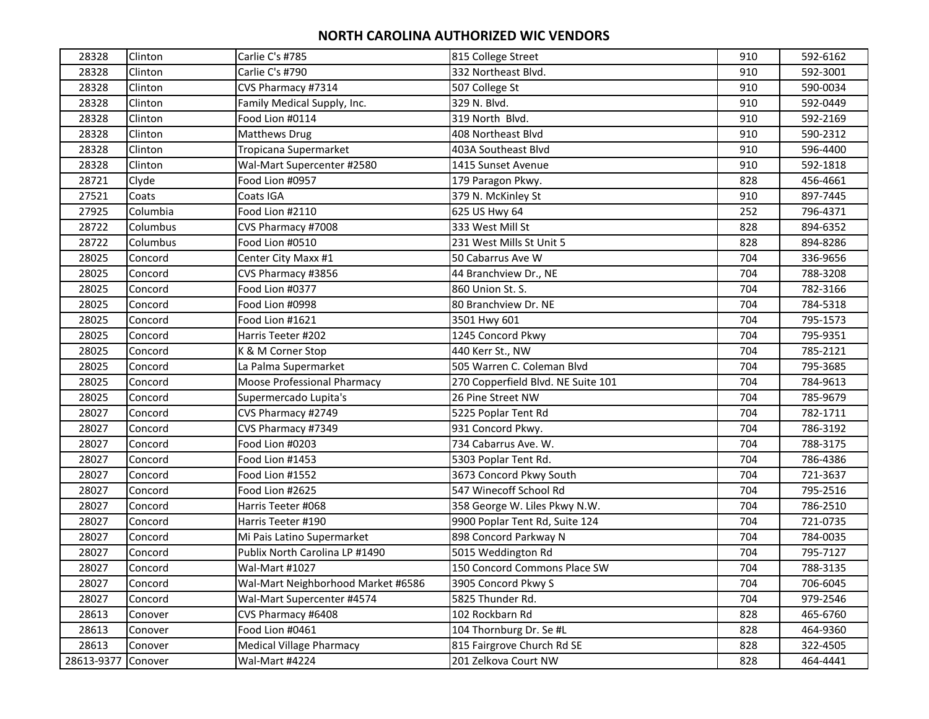| 28328      | Clinton  | Carlie C's #785                    | 815 College Street                 | 910 | 592-6162 |
|------------|----------|------------------------------------|------------------------------------|-----|----------|
| 28328      | Clinton  | Carlie C's #790                    | 332 Northeast Blvd.                | 910 | 592-3001 |
| 28328      | Clinton  | CVS Pharmacy #7314                 | 507 College St                     | 910 | 590-0034 |
| 28328      | Clinton  | Family Medical Supply, Inc.        | 329 N. Blvd.                       | 910 | 592-0449 |
| 28328      | Clinton  | Food Lion #0114                    | 319 North Blvd.                    | 910 | 592-2169 |
| 28328      | Clinton  | <b>Matthews Drug</b>               | 408 Northeast Blvd                 | 910 | 590-2312 |
| 28328      | Clinton  | Tropicana Supermarket              | 403A Southeast Blvd                | 910 | 596-4400 |
| 28328      | Clinton  | Wal-Mart Supercenter #2580         | 1415 Sunset Avenue                 | 910 | 592-1818 |
| 28721      | Clyde    | Food Lion #0957                    | 179 Paragon Pkwy.                  | 828 | 456-4661 |
| 27521      | Coats    | Coats IGA                          | 379 N. McKinley St                 | 910 | 897-7445 |
| 27925      | Columbia | Food Lion #2110                    | 625 US Hwy 64                      | 252 | 796-4371 |
| 28722      | Columbus | CVS Pharmacy #7008                 | 333 West Mill St                   | 828 | 894-6352 |
| 28722      | Columbus | Food Lion #0510                    | 231 West Mills St Unit 5           | 828 | 894-8286 |
| 28025      | Concord  | Center City Maxx #1                | 50 Cabarrus Ave W                  | 704 | 336-9656 |
| 28025      | Concord  | CVS Pharmacy #3856                 | 44 Branchview Dr., NE              | 704 | 788-3208 |
| 28025      | Concord  | Food Lion #0377                    | 860 Union St. S.                   | 704 | 782-3166 |
| 28025      | Concord  | Food Lion #0998                    | 80 Branchview Dr. NE               | 704 | 784-5318 |
| 28025      | Concord  | Food Lion #1621                    | 3501 Hwy 601                       | 704 | 795-1573 |
| 28025      | Concord  | Harris Teeter #202                 | 1245 Concord Pkwy                  | 704 | 795-9351 |
| 28025      | Concord  | K & M Corner Stop                  | 440 Kerr St., NW                   | 704 | 785-2121 |
| 28025      | Concord  | La Palma Supermarket               | 505 Warren C. Coleman Blvd         | 704 | 795-3685 |
| 28025      | Concord  | <b>Moose Professional Pharmacy</b> | 270 Copperfield Blvd. NE Suite 101 | 704 | 784-9613 |
| 28025      | Concord  | Supermercado Lupita's              | 26 Pine Street NW                  | 704 | 785-9679 |
| 28027      | Concord  | CVS Pharmacy #2749                 | 5225 Poplar Tent Rd                | 704 | 782-1711 |
| 28027      | Concord  | CVS Pharmacy #7349                 | 931 Concord Pkwy.                  | 704 | 786-3192 |
| 28027      | Concord  | Food Lion #0203                    | 734 Cabarrus Ave. W.               | 704 | 788-3175 |
| 28027      | Concord  | Food Lion #1453                    | 5303 Poplar Tent Rd.               | 704 | 786-4386 |
| 28027      | Concord  | Food Lion #1552                    | 3673 Concord Pkwy South            | 704 | 721-3637 |
| 28027      | Concord  | Food Lion #2625                    | 547 Winecoff School Rd             | 704 | 795-2516 |
| 28027      | Concord  | Harris Teeter #068                 | 358 George W. Liles Pkwy N.W.      | 704 | 786-2510 |
| 28027      | Concord  | Harris Teeter #190                 | 9900 Poplar Tent Rd, Suite 124     | 704 | 721-0735 |
| 28027      | Concord  | Mi Pais Latino Supermarket         | 898 Concord Parkway N              | 704 | 784-0035 |
| 28027      | Concord  | Publix North Carolina LP #1490     | 5015 Weddington Rd                 | 704 | 795-7127 |
| 28027      | Concord  | <b>Wal-Mart #1027</b>              | 150 Concord Commons Place SW       | 704 | 788-3135 |
| 28027      | Concord  | Wal-Mart Neighborhood Market #6586 | 3905 Concord Pkwy S                | 704 | 706-6045 |
| 28027      | Concord  | Wal-Mart Supercenter #4574         | 5825 Thunder Rd.                   | 704 | 979-2546 |
| 28613      | Conover  | CVS Pharmacy #6408                 | 102 Rockbarn Rd                    | 828 | 465-6760 |
| 28613      | Conover  | Food Lion #0461                    | 104 Thornburg Dr. Se #L            | 828 | 464-9360 |
| 28613      | Conover  | <b>Medical Village Pharmacy</b>    | 815 Fairgrove Church Rd SE         | 828 | 322-4505 |
| 28613-9377 | Conover  | Wal-Mart #4224                     | 201 Zelkova Court NW               | 828 | 464-4441 |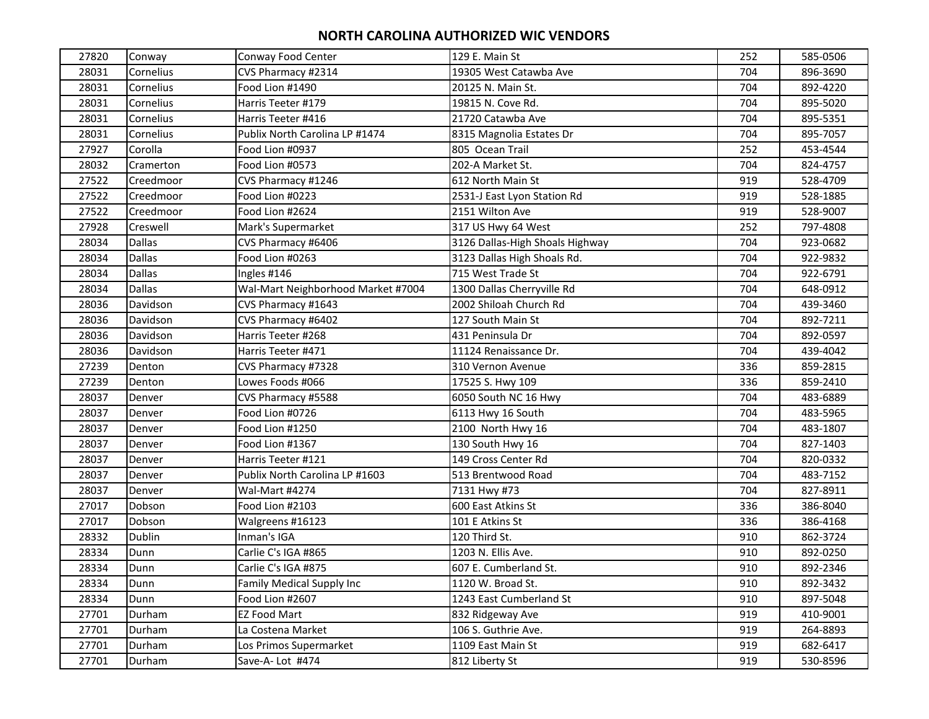| 27820 | Conway        | Conway Food Center                 | 129 E. Main St                  | 252 | 585-0506 |
|-------|---------------|------------------------------------|---------------------------------|-----|----------|
| 28031 | Cornelius     | CVS Pharmacy #2314                 | 19305 West Catawba Ave          | 704 | 896-3690 |
| 28031 | Cornelius     | Food Lion #1490                    | 20125 N. Main St.               | 704 | 892-4220 |
| 28031 | Cornelius     | Harris Teeter #179                 | 19815 N. Cove Rd.               | 704 | 895-5020 |
| 28031 | Cornelius     | Harris Teeter #416                 | 21720 Catawba Ave               | 704 | 895-5351 |
| 28031 | Cornelius     | Publix North Carolina LP #1474     | 8315 Magnolia Estates Dr        | 704 | 895-7057 |
| 27927 | Corolla       | Food Lion #0937                    | 805 Ocean Trail                 | 252 | 453-4544 |
| 28032 | Cramerton     | Food Lion #0573                    | 202-A Market St.                | 704 | 824-4757 |
| 27522 | Creedmoor     | CVS Pharmacy #1246                 | 612 North Main St               | 919 | 528-4709 |
| 27522 | Creedmoor     | Food Lion #0223                    | 2531-J East Lyon Station Rd     | 919 | 528-1885 |
| 27522 | Creedmoor     | Food Lion #2624                    | 2151 Wilton Ave                 | 919 | 528-9007 |
| 27928 | Creswell      | Mark's Supermarket                 | 317 US Hwy 64 West              | 252 | 797-4808 |
| 28034 | <b>Dallas</b> | CVS Pharmacy #6406                 | 3126 Dallas-High Shoals Highway | 704 | 923-0682 |
| 28034 | <b>Dallas</b> | Food Lion #0263                    | 3123 Dallas High Shoals Rd.     | 704 | 922-9832 |
| 28034 | <b>Dallas</b> | Ingles #146                        | 715 West Trade St               | 704 | 922-6791 |
| 28034 | <b>Dallas</b> | Wal-Mart Neighborhood Market #7004 | 1300 Dallas Cherryville Rd      | 704 | 648-0912 |
| 28036 | Davidson      | CVS Pharmacy #1643                 | 2002 Shiloah Church Rd          | 704 | 439-3460 |
| 28036 | Davidson      | CVS Pharmacy #6402                 | 127 South Main St               | 704 | 892-7211 |
| 28036 | Davidson      | Harris Teeter #268                 | 431 Peninsula Dr                | 704 | 892-0597 |
| 28036 | Davidson      | Harris Teeter #471                 | 11124 Renaissance Dr.           | 704 | 439-4042 |
| 27239 | Denton        | CVS Pharmacy #7328                 | 310 Vernon Avenue               | 336 | 859-2815 |
| 27239 | Denton        | Lowes Foods #066                   | 17525 S. Hwy 109                | 336 | 859-2410 |
| 28037 | Denver        | CVS Pharmacy #5588                 | 6050 South NC 16 Hwy            | 704 | 483-6889 |
| 28037 | Denver        | Food Lion #0726                    | 6113 Hwy 16 South               | 704 | 483-5965 |
| 28037 | Denver        | Food Lion #1250                    | 2100 North Hwy 16               | 704 | 483-1807 |
| 28037 | Denver        | Food Lion #1367                    | 130 South Hwy 16                | 704 | 827-1403 |
| 28037 | Denver        | Harris Teeter #121                 | 149 Cross Center Rd             | 704 | 820-0332 |
| 28037 | Denver        | Publix North Carolina LP #1603     | 513 Brentwood Road              | 704 | 483-7152 |
| 28037 | Denver        | Wal-Mart #4274                     | 7131 Hwy #73                    | 704 | 827-8911 |
| 27017 | Dobson        | Food Lion #2103                    | 600 East Atkins St              | 336 | 386-8040 |
| 27017 | Dobson        | Walgreens #16123                   | 101 E Atkins St                 | 336 | 386-4168 |
| 28332 | Dublin        | Inman's IGA                        | 120 Third St.                   | 910 | 862-3724 |
| 28334 | Dunn          | Carlie C's IGA #865                | 1203 N. Ellis Ave.              | 910 | 892-0250 |
| 28334 | Dunn          | Carlie C's IGA #875                | 607 E. Cumberland St.           | 910 | 892-2346 |
| 28334 | Dunn          | Family Medical Supply Inc          | 1120 W. Broad St.               | 910 | 892-3432 |
| 28334 | Dunn          | Food Lion #2607                    | 1243 East Cumberland St         | 910 | 897-5048 |
| 27701 | Durham        | <b>EZ Food Mart</b>                | 832 Ridgeway Ave                | 919 | 410-9001 |
| 27701 | Durham        | La Costena Market                  | 106 S. Guthrie Ave.             | 919 | 264-8893 |
| 27701 | Durham        | Los Primos Supermarket             | 1109 East Main St               | 919 | 682-6417 |
| 27701 | Durham        | Save-A-Lot #474                    | 812 Liberty St                  | 919 | 530-8596 |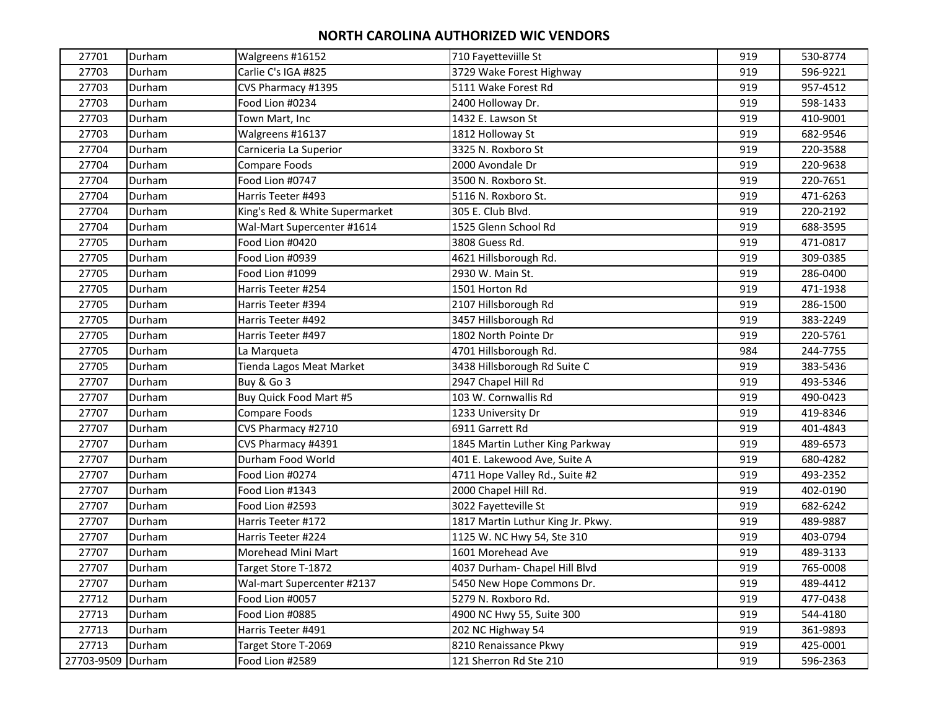| 27701             | Durham | Walgreens #16152               | 710 Fayetteviille St              | 919 | 530-8774 |
|-------------------|--------|--------------------------------|-----------------------------------|-----|----------|
| 27703             | Durham | Carlie C's IGA #825            | 3729 Wake Forest Highway          | 919 | 596-9221 |
| 27703             | Durham | CVS Pharmacy #1395             | 5111 Wake Forest Rd               | 919 | 957-4512 |
| 27703             | Durham | Food Lion #0234                | 2400 Holloway Dr.                 | 919 | 598-1433 |
| 27703             | Durham | Town Mart, Inc                 | 1432 E. Lawson St                 | 919 | 410-9001 |
| 27703             | Durham | Walgreens #16137               | 1812 Holloway St                  | 919 | 682-9546 |
| 27704             | Durham | Carniceria La Superior         | 3325 N. Roxboro St                | 919 | 220-3588 |
| 27704             | Durham | Compare Foods                  | 2000 Avondale Dr                  | 919 | 220-9638 |
| 27704             | Durham | Food Lion #0747                | 3500 N. Roxboro St.               | 919 | 220-7651 |
| 27704             | Durham | Harris Teeter #493             | 5116 N. Roxboro St.               | 919 | 471-6263 |
| 27704             | Durham | King's Red & White Supermarket | 305 E. Club Blvd.                 | 919 | 220-2192 |
| 27704             | Durham | Wal-Mart Supercenter #1614     | 1525 Glenn School Rd              | 919 | 688-3595 |
| 27705             | Durham | Food Lion #0420                | 3808 Guess Rd.                    | 919 | 471-0817 |
| 27705             | Durham | Food Lion #0939                | 4621 Hillsborough Rd.             | 919 | 309-0385 |
| 27705             | Durham | Food Lion #1099                | 2930 W. Main St.                  | 919 | 286-0400 |
| 27705             | Durham | Harris Teeter #254             | 1501 Horton Rd                    | 919 | 471-1938 |
| 27705             | Durham | Harris Teeter #394             | 2107 Hillsborough Rd              | 919 | 286-1500 |
| 27705             | Durham | Harris Teeter #492             | 3457 Hillsborough Rd              | 919 | 383-2249 |
| 27705             | Durham | Harris Teeter #497             | 1802 North Pointe Dr              | 919 | 220-5761 |
| 27705             | Durham | La Marqueta                    | 4701 Hillsborough Rd.             | 984 | 244-7755 |
| 27705             | Durham | Tienda Lagos Meat Market       | 3438 Hillsborough Rd Suite C      | 919 | 383-5436 |
| 27707             | Durham | Buy & Go 3                     | 2947 Chapel Hill Rd               | 919 | 493-5346 |
| 27707             | Durham | Buy Quick Food Mart #5         | 103 W. Cornwallis Rd              | 919 | 490-0423 |
| 27707             | Durham | Compare Foods                  | 1233 University Dr                | 919 | 419-8346 |
| 27707             | Durham | CVS Pharmacy #2710             | 6911 Garrett Rd                   | 919 | 401-4843 |
| 27707             | Durham | CVS Pharmacy #4391             | 1845 Martin Luther King Parkway   | 919 | 489-6573 |
| 27707             | Durham | Durham Food World              | 401 E. Lakewood Ave, Suite A      | 919 | 680-4282 |
| 27707             | Durham | Food Lion #0274                | 4711 Hope Valley Rd., Suite #2    | 919 | 493-2352 |
| 27707             | Durham | Food Lion #1343                | 2000 Chapel Hill Rd.              | 919 | 402-0190 |
| 27707             | Durham | Food Lion #2593                | 3022 Fayetteville St              | 919 | 682-6242 |
| 27707             | Durham | Harris Teeter #172             | 1817 Martin Luthur King Jr. Pkwy. | 919 | 489-9887 |
| 27707             | Durham | Harris Teeter #224             | 1125 W. NC Hwy 54, Ste 310        | 919 | 403-0794 |
| 27707             | Durham | Morehead Mini Mart             | 1601 Morehead Ave                 | 919 | 489-3133 |
| 27707             | Durham | Target Store T-1872            | 4037 Durham- Chapel Hill Blvd     | 919 | 765-0008 |
| 27707             | Durham | Wal-mart Supercenter #2137     | 5450 New Hope Commons Dr.         | 919 | 489-4412 |
| 27712             | Durham | Food Lion #0057                | 5279 N. Roxboro Rd.               | 919 | 477-0438 |
| 27713             | Durham | Food Lion #0885                | 4900 NC Hwy 55, Suite 300         | 919 | 544-4180 |
| 27713             | Durham | Harris Teeter #491             | 202 NC Highway 54                 | 919 | 361-9893 |
| 27713             | Durham | Target Store T-2069            | 8210 Renaissance Pkwy             | 919 | 425-0001 |
| 27703-9509 Durham |        | Food Lion #2589                | 121 Sherron Rd Ste 210            | 919 | 596-2363 |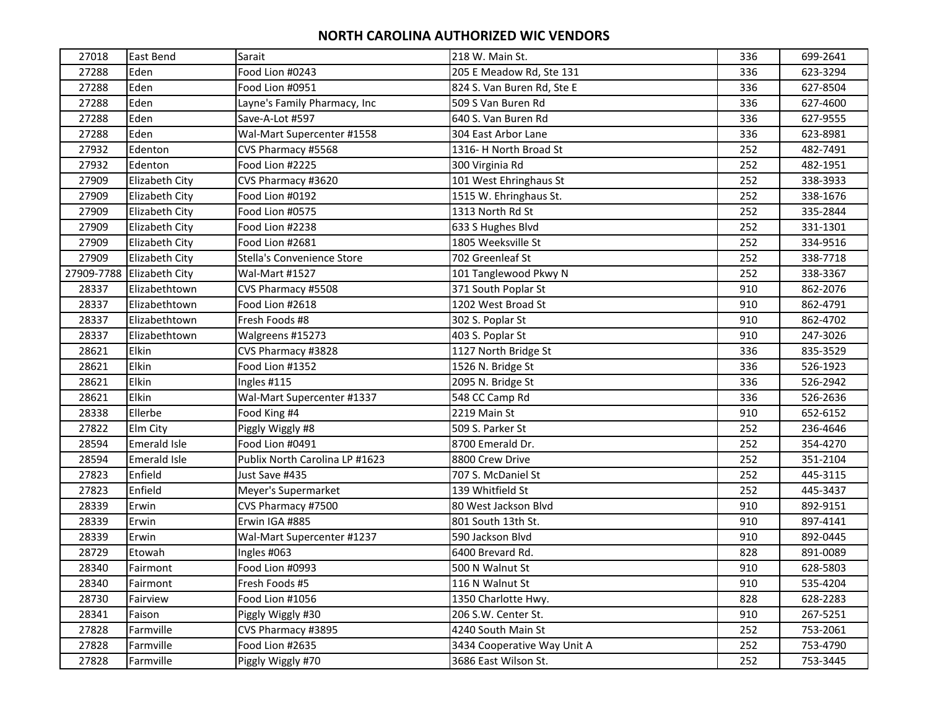| 27018      | East Bend             | Sarait                         | 218 W. Main St.             | 336 | 699-2641 |
|------------|-----------------------|--------------------------------|-----------------------------|-----|----------|
| 27288      | Eden                  | Food Lion #0243                | 205 E Meadow Rd, Ste 131    | 336 | 623-3294 |
| 27288      | Eden                  | Food Lion #0951                | 824 S. Van Buren Rd, Ste E  | 336 | 627-8504 |
| 27288      | Eden                  | Layne's Family Pharmacy, Inc   | 509 S Van Buren Rd          | 336 | 627-4600 |
| 27288      | Eden                  | Save-A-Lot #597                | 640 S. Van Buren Rd         | 336 | 627-9555 |
| 27288      | Eden                  | Wal-Mart Supercenter #1558     | 304 East Arbor Lane         | 336 | 623-8981 |
| 27932      | Edenton               | CVS Pharmacy #5568             | 1316- H North Broad St      | 252 | 482-7491 |
| 27932      | Edenton               | Food Lion #2225                | 300 Virginia Rd             | 252 | 482-1951 |
| 27909      | Elizabeth City        | CVS Pharmacy #3620             | 101 West Ehringhaus St      | 252 | 338-3933 |
| 27909      | Elizabeth City        | Food Lion #0192                | 1515 W. Ehringhaus St.      | 252 | 338-1676 |
| 27909      | Elizabeth City        | Food Lion #0575                | 1313 North Rd St            | 252 | 335-2844 |
| 27909      | Elizabeth City        | Food Lion #2238                | 633 S Hughes Blvd           | 252 | 331-1301 |
| 27909      | Elizabeth City        | Food Lion #2681                | 1805 Weeksville St          | 252 | 334-9516 |
| 27909      | Elizabeth City        | Stella's Convenience Store     | 702 Greenleaf St            | 252 | 338-7718 |
| 27909-7788 | <b>Elizabeth City</b> | Wal-Mart #1527                 | 101 Tanglewood Pkwy N       | 252 | 338-3367 |
| 28337      | Elizabethtown         | CVS Pharmacy #5508             | 371 South Poplar St         | 910 | 862-2076 |
| 28337      | Elizabethtown         | Food Lion #2618                | 1202 West Broad St          | 910 | 862-4791 |
| 28337      | Elizabethtown         | Fresh Foods #8                 | 302 S. Poplar St            | 910 | 862-4702 |
| 28337      | Elizabethtown         | Walgreens #15273               | 403 S. Poplar St            | 910 | 247-3026 |
| 28621      | Elkin                 | CVS Pharmacy #3828             | 1127 North Bridge St        | 336 | 835-3529 |
| 28621      | Elkin                 | Food Lion #1352                | 1526 N. Bridge St           | 336 | 526-1923 |
| 28621      | Elkin                 | Ingles #115                    | 2095 N. Bridge St           | 336 | 526-2942 |
| 28621      | Elkin                 | Wal-Mart Supercenter #1337     | 548 CC Camp Rd              | 336 | 526-2636 |
| 28338      | Ellerbe               | Food King #4                   | 2219 Main St                | 910 | 652-6152 |
| 27822      | Elm City              | Piggly Wiggly #8               | 509 S. Parker St            | 252 | 236-4646 |
| 28594      | <b>Emerald Isle</b>   | Food Lion #0491                | 8700 Emerald Dr.            | 252 | 354-4270 |
| 28594      | <b>Emerald Isle</b>   | Publix North Carolina LP #1623 | 8800 Crew Drive             | 252 | 351-2104 |
| 27823      | Enfield               | Just Save #435                 | 707 S. McDaniel St          | 252 | 445-3115 |
| 27823      | Enfield               | Meyer's Supermarket            | 139 Whitfield St            | 252 | 445-3437 |
| 28339      | Erwin                 | CVS Pharmacy #7500             | 80 West Jackson Blvd        | 910 | 892-9151 |
| 28339      | Erwin                 | Erwin IGA #885                 | 801 South 13th St.          | 910 | 897-4141 |
| 28339      | Erwin                 | Wal-Mart Supercenter #1237     | 590 Jackson Blvd            | 910 | 892-0445 |
| 28729      | Etowah                | Ingles #063                    | 6400 Brevard Rd.            | 828 | 891-0089 |
| 28340      | Fairmont              | Food Lion #0993                | 500 N Walnut St             | 910 | 628-5803 |
| 28340      | Fairmont              | Fresh Foods #5                 | 116 N Walnut St             | 910 | 535-4204 |
| 28730      | Fairview              | Food Lion #1056                | 1350 Charlotte Hwy.         | 828 | 628-2283 |
| 28341      | Faison                | Piggly Wiggly #30              | 206 S.W. Center St.         | 910 | 267-5251 |
| 27828      | Farmville             | CVS Pharmacy #3895             | 4240 South Main St          | 252 | 753-2061 |
| 27828      | Farmville             | Food Lion #2635                | 3434 Cooperative Way Unit A | 252 | 753-4790 |
| 27828      | Farmville             | Piggly Wiggly #70              | 3686 East Wilson St.        | 252 | 753-3445 |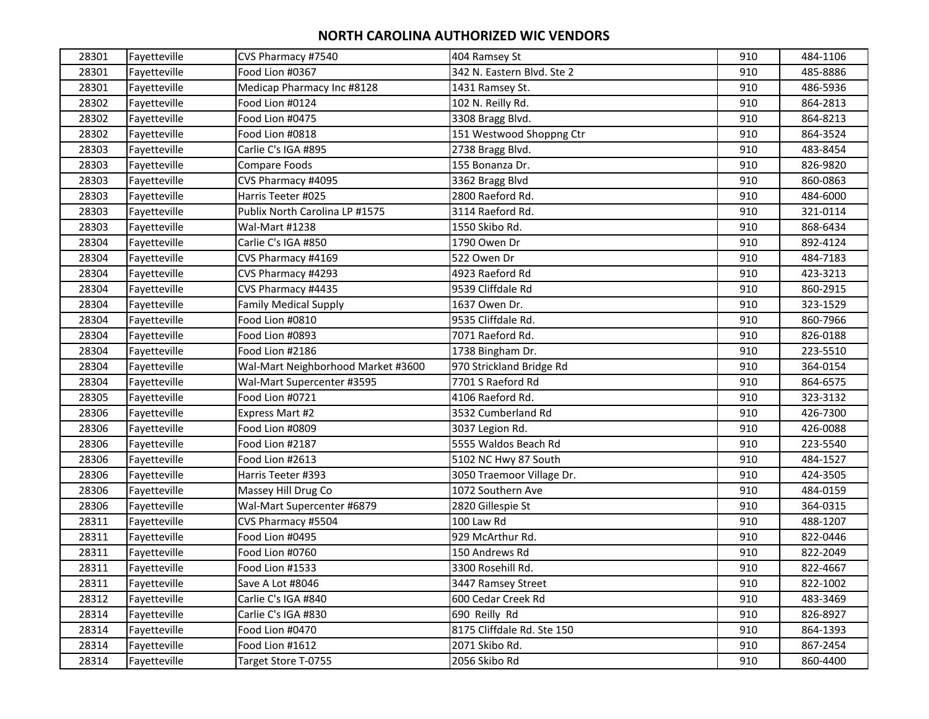| 28301 | Fayetteville | CVS Pharmacy #7540                 | 404 Ramsey St              | 910 | 484-1106 |
|-------|--------------|------------------------------------|----------------------------|-----|----------|
| 28301 | Fayetteville | Food Lion #0367                    | 342 N. Eastern Blvd. Ste 2 | 910 | 485-8886 |
| 28301 | Fayetteville | Medicap Pharmacy Inc #8128         | 1431 Ramsey St.            | 910 | 486-5936 |
| 28302 | Fayetteville | Food Lion #0124                    | 102 N. Reilly Rd.          | 910 | 864-2813 |
| 28302 | Fayetteville | Food Lion #0475                    | 3308 Bragg Blvd.           | 910 | 864-8213 |
| 28302 | Fayetteville | Food Lion #0818                    | 151 Westwood Shoppng Ctr   | 910 | 864-3524 |
| 28303 | Fayetteville | Carlie C's IGA #895                | 2738 Bragg Blvd.           | 910 | 483-8454 |
| 28303 | Fayetteville | Compare Foods                      | 155 Bonanza Dr.            | 910 | 826-9820 |
| 28303 | Fayetteville | CVS Pharmacy #4095                 | 3362 Bragg Blvd            | 910 | 860-0863 |
| 28303 | Fayetteville | Harris Teeter #025                 | 2800 Raeford Rd.           | 910 | 484-6000 |
| 28303 | Fayetteville | Publix North Carolina LP #1575     | 3114 Raeford Rd.           | 910 | 321-0114 |
| 28303 | Fayetteville | Wal-Mart #1238                     | 1550 Skibo Rd.             | 910 | 868-6434 |
| 28304 | Fayetteville | Carlie C's IGA #850                | 1790 Owen Dr               | 910 | 892-4124 |
| 28304 | Fayetteville | CVS Pharmacy #4169                 | 522 Owen Dr                | 910 | 484-7183 |
| 28304 | Fayetteville | CVS Pharmacy #4293                 | 4923 Raeford Rd            | 910 | 423-3213 |
| 28304 | Fayetteville | CVS Pharmacy #4435                 | 9539 Cliffdale Rd          | 910 | 860-2915 |
| 28304 | Fayetteville | <b>Family Medical Supply</b>       | 1637 Owen Dr.              | 910 | 323-1529 |
| 28304 | Fayetteville | Food Lion #0810                    | 9535 Cliffdale Rd.         | 910 | 860-7966 |
| 28304 | Fayetteville | Food Lion #0893                    | 7071 Raeford Rd.           | 910 | 826-0188 |
| 28304 | Fayetteville | Food Lion #2186                    | 1738 Bingham Dr.           | 910 | 223-5510 |
| 28304 | Fayetteville | Wal-Mart Neighborhood Market #3600 | 970 Strickland Bridge Rd   | 910 | 364-0154 |
| 28304 | Fayetteville | Wal-Mart Supercenter #3595         | 7701 S Raeford Rd          | 910 | 864-6575 |
| 28305 | Fayetteville | Food Lion #0721                    | 4106 Raeford Rd.           | 910 | 323-3132 |
| 28306 | Fayetteville | Express Mart #2                    | 3532 Cumberland Rd         | 910 | 426-7300 |
| 28306 | Fayetteville | Food Lion #0809                    | 3037 Legion Rd.            | 910 | 426-0088 |
| 28306 | Fayetteville | Food Lion #2187                    | 5555 Waldos Beach Rd       | 910 | 223-5540 |
| 28306 | Fayetteville | Food Lion #2613                    | 5102 NC Hwy 87 South       | 910 | 484-1527 |
| 28306 | Fayetteville | Harris Teeter #393                 | 3050 Traemoor Village Dr.  | 910 | 424-3505 |
| 28306 | Fayetteville | Massey Hill Drug Co                | 1072 Southern Ave          | 910 | 484-0159 |
| 28306 | Fayetteville | Wal-Mart Supercenter #6879         | 2820 Gillespie St          | 910 | 364-0315 |
| 28311 | Fayetteville | CVS Pharmacy #5504                 | 100 Law Rd                 | 910 | 488-1207 |
| 28311 | Fayetteville | Food Lion #0495                    | 929 McArthur Rd.           | 910 | 822-0446 |
| 28311 | Fayetteville | Food Lion #0760                    | 150 Andrews Rd             | 910 | 822-2049 |
| 28311 | Fayetteville | Food Lion #1533                    | 3300 Rosehill Rd.          | 910 | 822-4667 |
| 28311 | Fayetteville | Save A Lot #8046                   | 3447 Ramsey Street         | 910 | 822-1002 |
| 28312 | Fayetteville | Carlie C's IGA #840                | 600 Cedar Creek Rd         | 910 | 483-3469 |
| 28314 | Fayetteville | Carlie C's IGA #830                | 690 Reilly Rd              | 910 | 826-8927 |
| 28314 | Fayetteville | Food Lion #0470                    | 8175 Cliffdale Rd. Ste 150 | 910 | 864-1393 |
| 28314 | Fayetteville | Food Lion #1612                    | 2071 Skibo Rd.             | 910 | 867-2454 |
| 28314 | Fayetteville | Target Store T-0755                | 2056 Skibo Rd              | 910 | 860-4400 |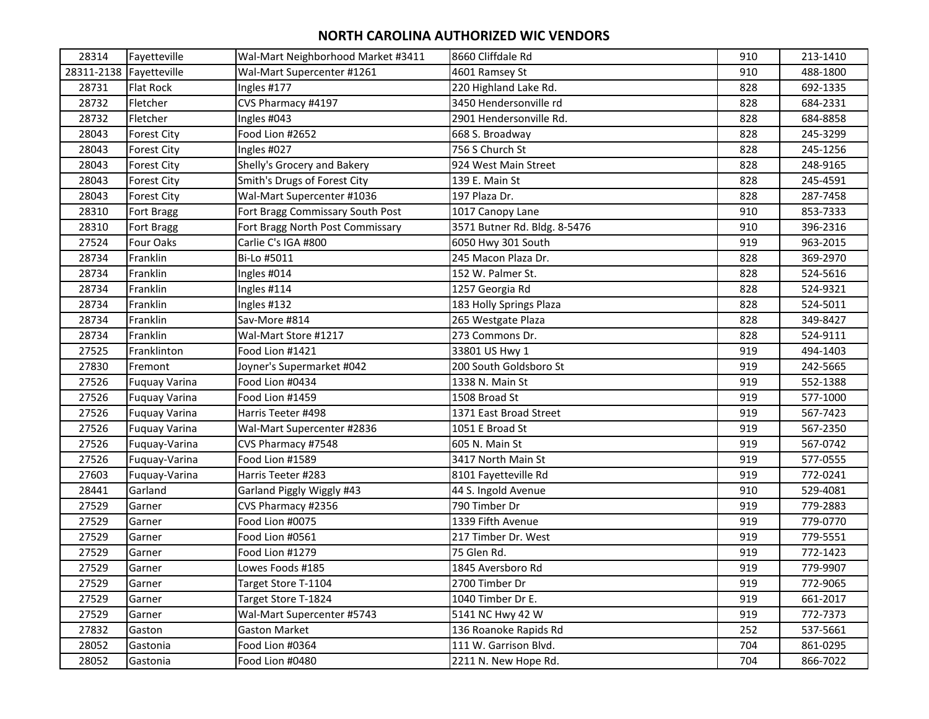| 28314 | Fayetteville            | Wal-Mart Neighborhood Market #3411 | 8660 Cliffdale Rd            | 910 | 213-1410 |
|-------|-------------------------|------------------------------------|------------------------------|-----|----------|
|       | 28311-2138 Fayetteville | Wal-Mart Supercenter #1261         | 4601 Ramsey St               | 910 | 488-1800 |
| 28731 | <b>Flat Rock</b>        | Ingles #177                        | 220 Highland Lake Rd.        | 828 | 692-1335 |
| 28732 | Fletcher                | CVS Pharmacy #4197                 | 3450 Hendersonville rd       | 828 | 684-2331 |
| 28732 | Fletcher                | Ingles #043                        | 2901 Hendersonville Rd.      | 828 | 684-8858 |
| 28043 | <b>Forest City</b>      | Food Lion #2652                    | 668 S. Broadway              | 828 | 245-3299 |
| 28043 | <b>Forest City</b>      | Ingles #027                        | 756 S Church St              | 828 | 245-1256 |
| 28043 | <b>Forest City</b>      | Shelly's Grocery and Bakery        | 924 West Main Street         | 828 | 248-9165 |
| 28043 | <b>Forest City</b>      | Smith's Drugs of Forest City       | 139 E. Main St               | 828 | 245-4591 |
| 28043 | <b>Forest City</b>      | Wal-Mart Supercenter #1036         | 197 Plaza Dr.                | 828 | 287-7458 |
| 28310 | Fort Bragg              | Fort Bragg Commissary South Post   | 1017 Canopy Lane             | 910 | 853-7333 |
| 28310 | Fort Bragg              | Fort Bragg North Post Commissary   | 3571 Butner Rd. Bldg. 8-5476 | 910 | 396-2316 |
| 27524 | Four Oaks               | Carlie C's IGA #800                | 6050 Hwy 301 South           | 919 | 963-2015 |
| 28734 | Franklin                | Bi-Lo #5011                        | 245 Macon Plaza Dr.          | 828 | 369-2970 |
| 28734 | Franklin                | Ingles #014                        | 152 W. Palmer St.            | 828 | 524-5616 |
| 28734 | Franklin                | Ingles #114                        | 1257 Georgia Rd              | 828 | 524-9321 |
| 28734 | Franklin                | Ingles #132                        | 183 Holly Springs Plaza      | 828 | 524-5011 |
| 28734 | Franklin                | Sav-More #814                      | 265 Westgate Plaza           | 828 | 349-8427 |
| 28734 | Franklin                | Wal-Mart Store #1217               | 273 Commons Dr.              | 828 | 524-9111 |
| 27525 | Franklinton             | Food Lion #1421                    | 33801 US Hwy 1               | 919 | 494-1403 |
| 27830 | Fremont                 | Joyner's Supermarket #042          | 200 South Goldsboro St       | 919 | 242-5665 |
| 27526 | Fuquay Varina           | Food Lion #0434                    | 1338 N. Main St              | 919 | 552-1388 |
| 27526 | <b>Fuquay Varina</b>    | Food Lion #1459                    | 1508 Broad St                | 919 | 577-1000 |
| 27526 | Fuquay Varina           | Harris Teeter #498                 | 1371 East Broad Street       | 919 | 567-7423 |
| 27526 | <b>Fuquay Varina</b>    | Wal-Mart Supercenter #2836         | 1051 E Broad St              | 919 | 567-2350 |
| 27526 | Fuquay-Varina           | CVS Pharmacy #7548                 | 605 N. Main St               | 919 | 567-0742 |
| 27526 | Fuquay-Varina           | Food Lion #1589                    | 3417 North Main St           | 919 | 577-0555 |
| 27603 | Fuquay-Varina           | Harris Teeter #283                 | 8101 Fayetteville Rd         | 919 | 772-0241 |
| 28441 | Garland                 | Garland Piggly Wiggly #43          | 44 S. Ingold Avenue          | 910 | 529-4081 |
| 27529 | Garner                  | CVS Pharmacy #2356                 | 790 Timber Dr                | 919 | 779-2883 |
| 27529 | Garner                  | Food Lion #0075                    | 1339 Fifth Avenue            | 919 | 779-0770 |
| 27529 | Garner                  | Food Lion #0561                    | 217 Timber Dr. West          | 919 | 779-5551 |
| 27529 | Garner                  | Food Lion #1279                    | 75 Glen Rd.                  | 919 | 772-1423 |
| 27529 | Garner                  | Lowes Foods #185                   | 1845 Aversboro Rd            | 919 | 779-9907 |
| 27529 | Garner                  | Target Store T-1104                | 2700 Timber Dr               | 919 | 772-9065 |
| 27529 | Garner                  | Target Store T-1824                | 1040 Timber Dr E.            | 919 | 661-2017 |
| 27529 | Garner                  | Wal-Mart Supercenter #5743         | 5141 NC Hwy 42 W             | 919 | 772-7373 |
| 27832 | Gaston                  | <b>Gaston Market</b>               | 136 Roanoke Rapids Rd        | 252 | 537-5661 |
| 28052 | Gastonia                | Food Lion #0364                    | 111 W. Garrison Blvd.        | 704 | 861-0295 |
| 28052 | Gastonia                | Food Lion #0480                    | 2211 N. New Hope Rd.         | 704 | 866-7022 |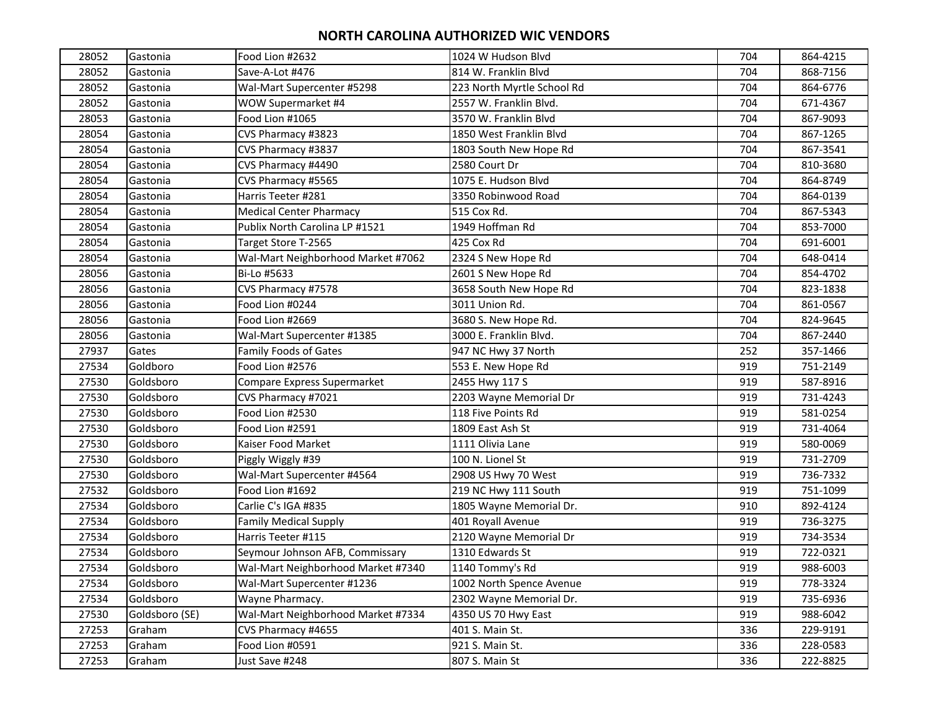| 28052 | Gastonia       | Food Lion #2632                    | 1024 W Hudson Blvd         | 704 | 864-4215 |
|-------|----------------|------------------------------------|----------------------------|-----|----------|
| 28052 | Gastonia       | Save-A-Lot #476                    | 814 W. Franklin Blvd       | 704 | 868-7156 |
| 28052 | Gastonia       | Wal-Mart Supercenter #5298         | 223 North Myrtle School Rd | 704 | 864-6776 |
| 28052 | Gastonia       | WOW Supermarket #4                 | 2557 W. Franklin Blvd.     | 704 | 671-4367 |
| 28053 | Gastonia       | Food Lion #1065                    | 3570 W. Franklin Blvd      | 704 | 867-9093 |
| 28054 | Gastonia       | CVS Pharmacy #3823                 | 1850 West Franklin Blvd    | 704 | 867-1265 |
| 28054 | Gastonia       | CVS Pharmacy #3837                 | 1803 South New Hope Rd     | 704 | 867-3541 |
| 28054 | Gastonia       | CVS Pharmacy #4490                 | 2580 Court Dr              | 704 | 810-3680 |
| 28054 | Gastonia       | CVS Pharmacy #5565                 | 1075 E. Hudson Blvd        | 704 | 864-8749 |
| 28054 | Gastonia       | Harris Teeter #281                 | 3350 Robinwood Road        | 704 | 864-0139 |
| 28054 | Gastonia       | <b>Medical Center Pharmacy</b>     | 515 Cox Rd.                | 704 | 867-5343 |
| 28054 | Gastonia       | Publix North Carolina LP #1521     | 1949 Hoffman Rd            | 704 | 853-7000 |
| 28054 | Gastonia       | Target Store T-2565                | 425 Cox Rd                 | 704 | 691-6001 |
| 28054 | Gastonia       | Wal-Mart Neighborhood Market #7062 | 2324 S New Hope Rd         | 704 | 648-0414 |
| 28056 | Gastonia       | Bi-Lo #5633                        | 2601 S New Hope Rd         | 704 | 854-4702 |
| 28056 | Gastonia       | CVS Pharmacy #7578                 | 3658 South New Hope Rd     | 704 | 823-1838 |
| 28056 | Gastonia       | Food Lion #0244                    | 3011 Union Rd.             | 704 | 861-0567 |
| 28056 | Gastonia       | Food Lion #2669                    | 3680 S. New Hope Rd.       | 704 | 824-9645 |
| 28056 | Gastonia       | Wal-Mart Supercenter #1385         | 3000 E. Franklin Blvd.     | 704 | 867-2440 |
| 27937 | Gates          | <b>Family Foods of Gates</b>       | 947 NC Hwy 37 North        | 252 | 357-1466 |
| 27534 | Goldboro       | Food Lion #2576                    | 553 E. New Hope Rd         | 919 | 751-2149 |
| 27530 | Goldsboro      | Compare Express Supermarket        | 2455 Hwy 117 S             | 919 | 587-8916 |
| 27530 | Goldsboro      | CVS Pharmacy #7021                 | 2203 Wayne Memorial Dr     | 919 | 731-4243 |
| 27530 | Goldsboro      | Food Lion #2530                    | 118 Five Points Rd         | 919 | 581-0254 |
| 27530 | Goldsboro      | Food Lion #2591                    | 1809 East Ash St           | 919 | 731-4064 |
| 27530 | Goldsboro      | Kaiser Food Market                 | 1111 Olivia Lane           | 919 | 580-0069 |
| 27530 | Goldsboro      | Piggly Wiggly #39                  | 100 N. Lionel St           | 919 | 731-2709 |
| 27530 | Goldsboro      | Wal-Mart Supercenter #4564         | 2908 US Hwy 70 West        | 919 | 736-7332 |
| 27532 | Goldsboro      | Food Lion #1692                    | 219 NC Hwy 111 South       | 919 | 751-1099 |
| 27534 | Goldsboro      | Carlie C's IGA #835                | 1805 Wayne Memorial Dr.    | 910 | 892-4124 |
| 27534 | Goldsboro      | <b>Family Medical Supply</b>       | 401 Royall Avenue          | 919 | 736-3275 |
| 27534 | Goldsboro      | Harris Teeter #115                 | 2120 Wayne Memorial Dr     | 919 | 734-3534 |
| 27534 | Goldsboro      | Seymour Johnson AFB, Commissary    | 1310 Edwards St            | 919 | 722-0321 |
| 27534 | Goldsboro      | Wal-Mart Neighborhood Market #7340 | 1140 Tommy's Rd            | 919 | 988-6003 |
| 27534 | Goldsboro      | Wal-Mart Supercenter #1236         | 1002 North Spence Avenue   | 919 | 778-3324 |
| 27534 | Goldsboro      | Wayne Pharmacy.                    | 2302 Wayne Memorial Dr.    | 919 | 735-6936 |
| 27530 | Goldsboro (SE) | Wal-Mart Neighborhood Market #7334 | 4350 US 70 Hwy East        | 919 | 988-6042 |
| 27253 | Graham         | CVS Pharmacy #4655                 | 401 S. Main St.            | 336 | 229-9191 |
| 27253 | Graham         | Food Lion #0591                    | 921 S. Main St.            | 336 | 228-0583 |
| 27253 | Graham         | Just Save #248                     | 807 S. Main St             | 336 | 222-8825 |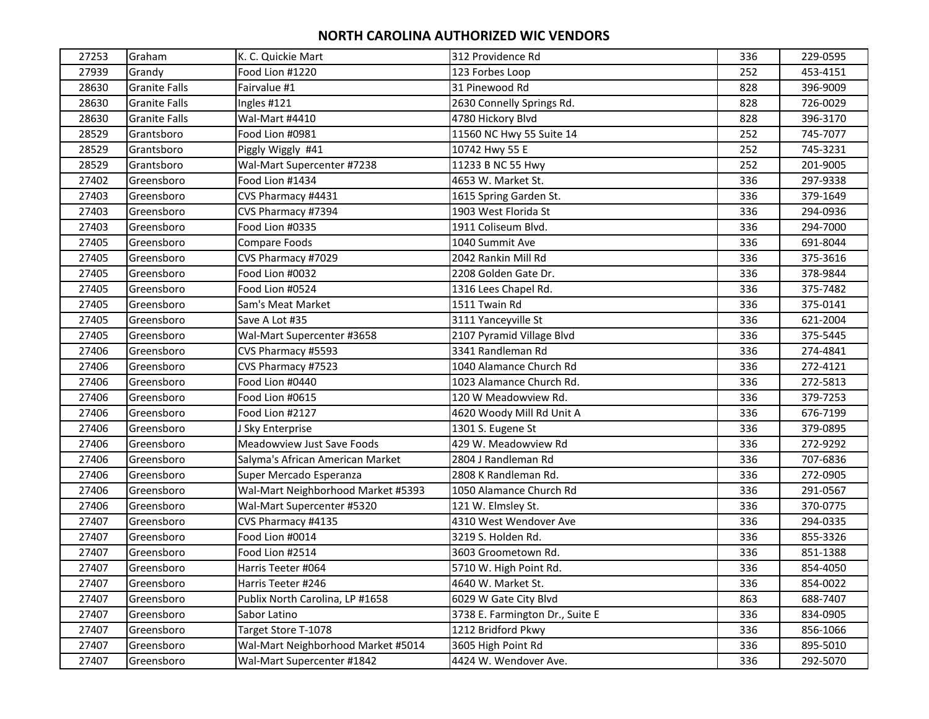| 27253 | Graham               | K. C. Quickie Mart                 | 312 Providence Rd               | 336 | 229-0595 |
|-------|----------------------|------------------------------------|---------------------------------|-----|----------|
| 27939 | Grandy               | Food Lion #1220                    | 123 Forbes Loop                 | 252 | 453-4151 |
| 28630 | <b>Granite Falls</b> | Fairvalue #1                       | 31 Pinewood Rd                  | 828 | 396-9009 |
| 28630 | <b>Granite Falls</b> | Ingles #121                        | 2630 Connelly Springs Rd.       | 828 | 726-0029 |
| 28630 | <b>Granite Falls</b> | Wal-Mart #4410                     | 4780 Hickory Blvd               | 828 | 396-3170 |
| 28529 | Grantsboro           | Food Lion #0981                    | 11560 NC Hwy 55 Suite 14        | 252 | 745-7077 |
| 28529 | Grantsboro           | Piggly Wiggly #41                  | 10742 Hwy 55 E                  | 252 | 745-3231 |
| 28529 | Grantsboro           | Wal-Mart Supercenter #7238         | 11233 B NC 55 Hwy               | 252 | 201-9005 |
| 27402 | Greensboro           | Food Lion #1434                    | 4653 W. Market St.              | 336 | 297-9338 |
| 27403 | Greensboro           | CVS Pharmacy #4431                 | 1615 Spring Garden St.          | 336 | 379-1649 |
| 27403 | Greensboro           | CVS Pharmacy #7394                 | 1903 West Florida St            | 336 | 294-0936 |
| 27403 | Greensboro           | Food Lion #0335                    | 1911 Coliseum Blvd.             | 336 | 294-7000 |
| 27405 | Greensboro           | Compare Foods                      | 1040 Summit Ave                 | 336 | 691-8044 |
| 27405 | Greensboro           | CVS Pharmacy #7029                 | 2042 Rankin Mill Rd             | 336 | 375-3616 |
| 27405 | Greensboro           | Food Lion #0032                    | 2208 Golden Gate Dr.            | 336 | 378-9844 |
| 27405 | Greensboro           | Food Lion #0524                    | 1316 Lees Chapel Rd.            | 336 | 375-7482 |
| 27405 | Greensboro           | Sam's Meat Market                  | 1511 Twain Rd                   | 336 | 375-0141 |
| 27405 | Greensboro           | Save A Lot #35                     | 3111 Yanceyville St             | 336 | 621-2004 |
| 27405 | Greensboro           | Wal-Mart Supercenter #3658         | 2107 Pyramid Village Blvd       | 336 | 375-5445 |
| 27406 | Greensboro           | CVS Pharmacy #5593                 | 3341 Randleman Rd               | 336 | 274-4841 |
| 27406 | Greensboro           | CVS Pharmacy #7523                 | 1040 Alamance Church Rd         | 336 | 272-4121 |
| 27406 | Greensboro           | Food Lion #0440                    | 1023 Alamance Church Rd.        | 336 | 272-5813 |
| 27406 | Greensboro           | Food Lion #0615                    | 120 W Meadowview Rd.            | 336 | 379-7253 |
| 27406 | Greensboro           | Food Lion #2127                    | 4620 Woody Mill Rd Unit A       | 336 | 676-7199 |
| 27406 | Greensboro           | J Sky Enterprise                   | 1301 S. Eugene St               | 336 | 379-0895 |
| 27406 | Greensboro           | Meadowview Just Save Foods         | 429 W. Meadowview Rd            | 336 | 272-9292 |
| 27406 | Greensboro           | Salyma's African American Market   | 2804 J Randleman Rd             | 336 | 707-6836 |
| 27406 | Greensboro           | Super Mercado Esperanza            | 2808 K Randleman Rd.            | 336 | 272-0905 |
| 27406 | Greensboro           | Wal-Mart Neighborhood Market #5393 | 1050 Alamance Church Rd         | 336 | 291-0567 |
| 27406 | Greensboro           | Wal-Mart Supercenter #5320         | 121 W. Elmsley St.              | 336 | 370-0775 |
| 27407 | Greensboro           | CVS Pharmacy #4135                 | 4310 West Wendover Ave          | 336 | 294-0335 |
| 27407 | Greensboro           | Food Lion #0014                    | 3219 S. Holden Rd.              | 336 | 855-3326 |
| 27407 | Greensboro           | Food Lion #2514                    | 3603 Groometown Rd.             | 336 | 851-1388 |
| 27407 | Greensboro           | Harris Teeter #064                 | 5710 W. High Point Rd.          | 336 | 854-4050 |
| 27407 | Greensboro           | Harris Teeter #246                 | 4640 W. Market St.              | 336 | 854-0022 |
| 27407 | Greensboro           | Publix North Carolina, LP #1658    | 6029 W Gate City Blvd           | 863 | 688-7407 |
| 27407 | Greensboro           | Sabor Latino                       | 3738 E. Farmington Dr., Suite E | 336 | 834-0905 |
| 27407 | Greensboro           | Target Store T-1078                | 1212 Bridford Pkwy              | 336 | 856-1066 |
| 27407 | Greensboro           | Wal-Mart Neighborhood Market #5014 | 3605 High Point Rd              | 336 | 895-5010 |
| 27407 | Greensboro           | Wal-Mart Supercenter #1842         | 4424 W. Wendover Ave.           | 336 | 292-5070 |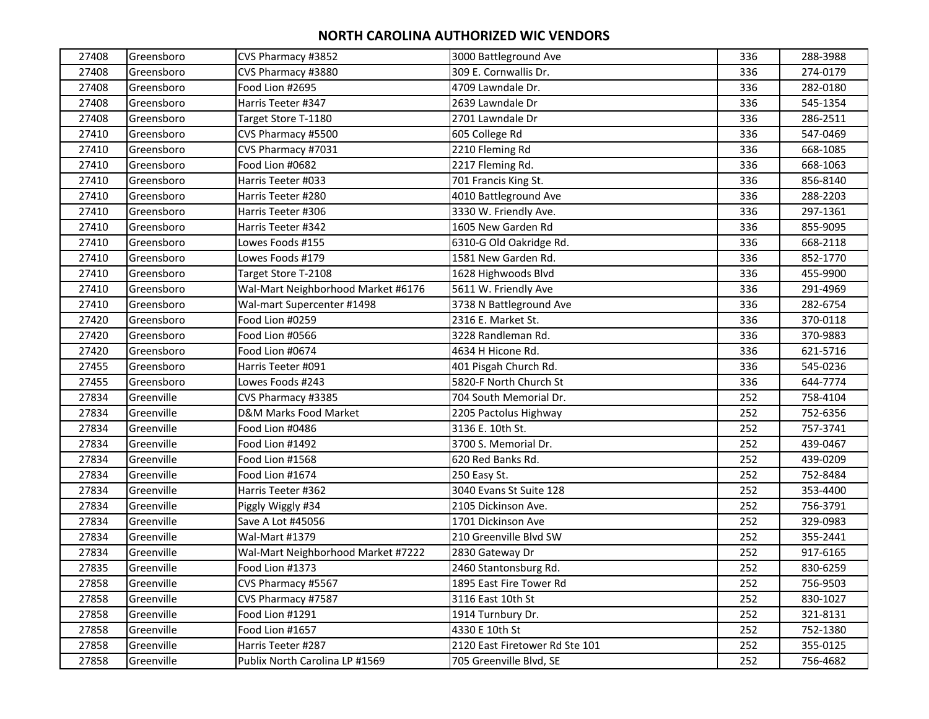| 27408 | Greensboro | CVS Pharmacy #3852                 | 3000 Battleground Ave          | 336 | 288-3988 |
|-------|------------|------------------------------------|--------------------------------|-----|----------|
| 27408 | Greensboro | CVS Pharmacy #3880                 | 309 E. Cornwallis Dr.          | 336 | 274-0179 |
| 27408 | Greensboro | Food Lion #2695                    | 4709 Lawndale Dr.              | 336 | 282-0180 |
| 27408 | Greensboro | Harris Teeter #347                 | 2639 Lawndale Dr               | 336 | 545-1354 |
| 27408 | Greensboro | Target Store T-1180                | 2701 Lawndale Dr               | 336 | 286-2511 |
| 27410 | Greensboro | CVS Pharmacy #5500                 | 605 College Rd                 | 336 | 547-0469 |
| 27410 | Greensboro | CVS Pharmacy #7031                 | 2210 Fleming Rd                | 336 | 668-1085 |
| 27410 | Greensboro | Food Lion #0682                    | 2217 Fleming Rd.               | 336 | 668-1063 |
| 27410 | Greensboro | Harris Teeter #033                 | 701 Francis King St.           | 336 | 856-8140 |
| 27410 | Greensboro | Harris Teeter #280                 | 4010 Battleground Ave          | 336 | 288-2203 |
| 27410 | Greensboro | Harris Teeter #306                 | 3330 W. Friendly Ave.          | 336 | 297-1361 |
| 27410 | Greensboro | Harris Teeter #342                 | 1605 New Garden Rd             | 336 | 855-9095 |
| 27410 | Greensboro | Lowes Foods #155                   | 6310-G Old Oakridge Rd.        | 336 | 668-2118 |
| 27410 | Greensboro | Lowes Foods #179                   | 1581 New Garden Rd.            | 336 | 852-1770 |
| 27410 | Greensboro | Target Store T-2108                | 1628 Highwoods Blvd            | 336 | 455-9900 |
| 27410 | Greensboro | Wal-Mart Neighborhood Market #6176 | 5611 W. Friendly Ave           | 336 | 291-4969 |
| 27410 | Greensboro | Wal-mart Supercenter #1498         | 3738 N Battleground Ave        | 336 | 282-6754 |
| 27420 | Greensboro | Food Lion #0259                    | 2316 E. Market St.             | 336 | 370-0118 |
| 27420 | Greensboro | Food Lion #0566                    | 3228 Randleman Rd.             | 336 | 370-9883 |
| 27420 | Greensboro | Food Lion #0674                    | 4634 H Hicone Rd.              | 336 | 621-5716 |
| 27455 | Greensboro | Harris Teeter #091                 | 401 Pisgah Church Rd.          | 336 | 545-0236 |
| 27455 | Greensboro | Lowes Foods #243                   | 5820-F North Church St         | 336 | 644-7774 |
| 27834 | Greenville | CVS Pharmacy #3385                 | 704 South Memorial Dr.         | 252 | 758-4104 |
| 27834 | Greenville | D&M Marks Food Market              | 2205 Pactolus Highway          | 252 | 752-6356 |
| 27834 | Greenville | Food Lion #0486                    | 3136 E. 10th St.               | 252 | 757-3741 |
| 27834 | Greenville | Food Lion #1492                    | 3700 S. Memorial Dr.           | 252 | 439-0467 |
| 27834 | Greenville | Food Lion #1568                    | 620 Red Banks Rd.              | 252 | 439-0209 |
| 27834 | Greenville | Food Lion #1674                    | 250 Easy St.                   | 252 | 752-8484 |
| 27834 | Greenville | Harris Teeter #362                 | 3040 Evans St Suite 128        | 252 | 353-4400 |
| 27834 | Greenville | Piggly Wiggly #34                  | 2105 Dickinson Ave.            | 252 | 756-3791 |
| 27834 | Greenville | Save A Lot #45056                  | 1701 Dickinson Ave             | 252 | 329-0983 |
| 27834 | Greenville | Wal-Mart #1379                     | 210 Greenville Blvd SW         | 252 | 355-2441 |
| 27834 | Greenville | Wal-Mart Neighborhood Market #7222 | 2830 Gateway Dr                | 252 | 917-6165 |
| 27835 | Greenville | Food Lion #1373                    | 2460 Stantonsburg Rd.          | 252 | 830-6259 |
| 27858 | Greenville | CVS Pharmacy #5567                 | 1895 East Fire Tower Rd        | 252 | 756-9503 |
| 27858 | Greenville | CVS Pharmacy #7587                 | 3116 East 10th St              | 252 | 830-1027 |
| 27858 | Greenville | Food Lion #1291                    | 1914 Turnbury Dr.              | 252 | 321-8131 |
| 27858 | Greenville | Food Lion #1657                    | 4330 E 10th St                 | 252 | 752-1380 |
| 27858 | Greenville | Harris Teeter #287                 | 2120 East Firetower Rd Ste 101 | 252 | 355-0125 |
| 27858 | Greenville | Publix North Carolina LP #1569     | 705 Greenville Blvd, SE        | 252 | 756-4682 |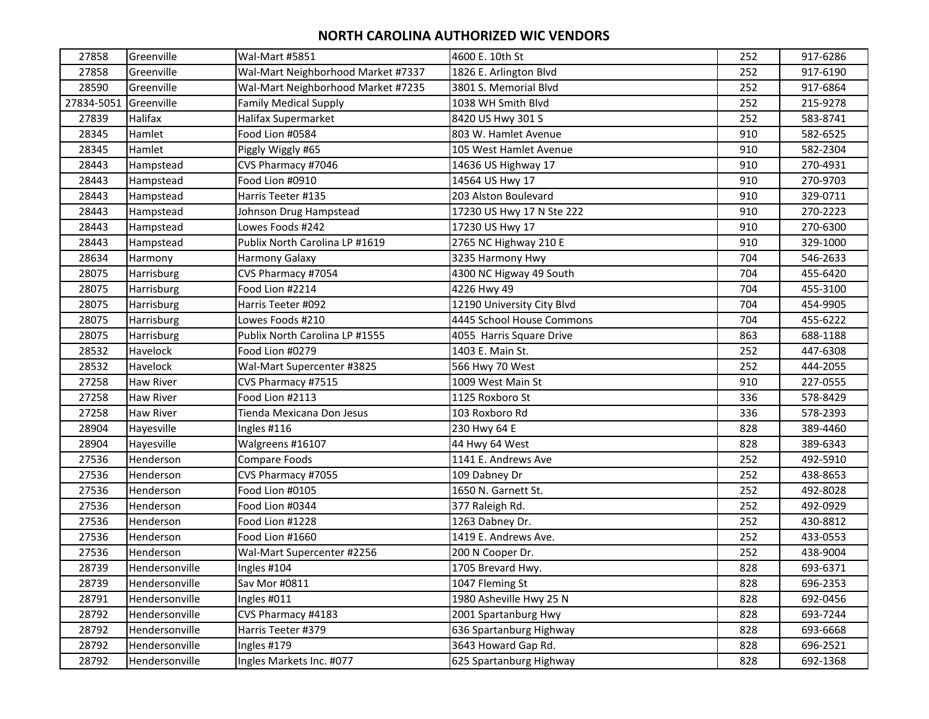| 27858      | Greenville       | Wal-Mart #5851                     | 4600 E. 10th St            | 252 | 917-6286 |
|------------|------------------|------------------------------------|----------------------------|-----|----------|
| 27858      | Greenville       | Wal-Mart Neighborhood Market #7337 | 1826 E. Arlington Blvd     | 252 | 917-6190 |
| 28590      | Greenville       | Wal-Mart Neighborhood Market #7235 | 3801 S. Memorial Blvd      | 252 | 917-6864 |
| 27834-5051 | Greenville       | <b>Family Medical Supply</b>       | 1038 WH Smith Blvd         | 252 | 215-9278 |
| 27839      | Halifax          | Halifax Supermarket                | 8420 US Hwy 301 S          | 252 | 583-8741 |
| 28345      | Hamlet           | Food Lion #0584                    | 803 W. Hamlet Avenue       | 910 | 582-6525 |
| 28345      | Hamlet           | Piggly Wiggly #65                  | 105 West Hamlet Avenue     | 910 | 582-2304 |
| 28443      | Hampstead        | CVS Pharmacy #7046                 | 14636 US Highway 17        | 910 | 270-4931 |
| 28443      | Hampstead        | Food Lion #0910                    | 14564 US Hwy 17            | 910 | 270-9703 |
| 28443      | Hampstead        | Harris Teeter #135                 | 203 Alston Boulevard       | 910 | 329-0711 |
| 28443      | Hampstead        | Johnson Drug Hampstead             | 17230 US Hwy 17 N Ste 222  | 910 | 270-2223 |
| 28443      | Hampstead        | Lowes Foods #242                   | 17230 US Hwy 17            | 910 | 270-6300 |
| 28443      | Hampstead        | Publix North Carolina LP #1619     | 2765 NC Highway 210 E      | 910 | 329-1000 |
| 28634      | Harmony          | Harmony Galaxy                     | 3235 Harmony Hwy           | 704 | 546-2633 |
| 28075      | Harrisburg       | CVS Pharmacy #7054                 | 4300 NC Higway 49 South    | 704 | 455-6420 |
| 28075      | Harrisburg       | Food Lion #2214                    | 4226 Hwy 49                | 704 | 455-3100 |
| 28075      | Harrisburg       | Harris Teeter #092                 | 12190 University City Blvd | 704 | 454-9905 |
| 28075      | Harrisburg       | Lowes Foods #210                   | 4445 School House Commons  | 704 | 455-6222 |
| 28075      | Harrisburg       | Publix North Carolina LP #1555     | 4055 Harris Square Drive   | 863 | 688-1188 |
| 28532      | Havelock         | Food Lion #0279                    | 1403 E. Main St.           | 252 | 447-6308 |
| 28532      | Havelock         | Wal-Mart Supercenter #3825         | 566 Hwy 70 West            | 252 | 444-2055 |
| 27258      | <b>Haw River</b> | CVS Pharmacy #7515                 | 1009 West Main St          | 910 | 227-0555 |
| 27258      | <b>Haw River</b> | Food Lion #2113                    | 1125 Roxboro St            | 336 | 578-8429 |
| 27258      | <b>Haw River</b> | Tienda Mexicana Don Jesus          | 103 Roxboro Rd             | 336 | 578-2393 |
| 28904      | Hayesville       | Ingles #116                        | 230 Hwy 64 E               | 828 | 389-4460 |
| 28904      | Hayesville       | Walgreens #16107                   | 44 Hwy 64 West             | 828 | 389-6343 |
| 27536      | Henderson        | Compare Foods                      | 1141 E. Andrews Ave        | 252 | 492-5910 |
| 27536      | Henderson        | CVS Pharmacy #7055                 | 109 Dabney Dr              | 252 | 438-8653 |
| 27536      | Henderson        | Food Lion #0105                    | 1650 N. Garnett St.        | 252 | 492-8028 |
| 27536      | Henderson        | Food Lion #0344                    | 377 Raleigh Rd.            | 252 | 492-0929 |
| 27536      | Henderson        | Food Lion #1228                    | 1263 Dabney Dr.            | 252 | 430-8812 |
| 27536      | Henderson        | Food Lion #1660                    | 1419 E. Andrews Ave.       | 252 | 433-0553 |
| 27536      | Henderson        | Wal-Mart Supercenter #2256         | 200 N Cooper Dr.           | 252 | 438-9004 |
| 28739      | Hendersonville   | Ingles #104                        | 1705 Brevard Hwy.          | 828 | 693-6371 |
| 28739      | Hendersonville   | Sav Mor #0811                      | 1047 Fleming St            | 828 | 696-2353 |
| 28791      | Hendersonville   | Ingles #011                        | 1980 Asheville Hwy 25 N    | 828 | 692-0456 |
| 28792      | Hendersonville   | CVS Pharmacy #4183                 | 2001 Spartanburg Hwy       | 828 | 693-7244 |
| 28792      | Hendersonville   | Harris Teeter #379                 | 636 Spartanburg Highway    | 828 | 693-6668 |
| 28792      | Hendersonville   | Ingles #179                        | 3643 Howard Gap Rd.        | 828 | 696-2521 |
| 28792      | Hendersonville   | Ingles Markets Inc. #077           | 625 Spartanburg Highway    | 828 | 692-1368 |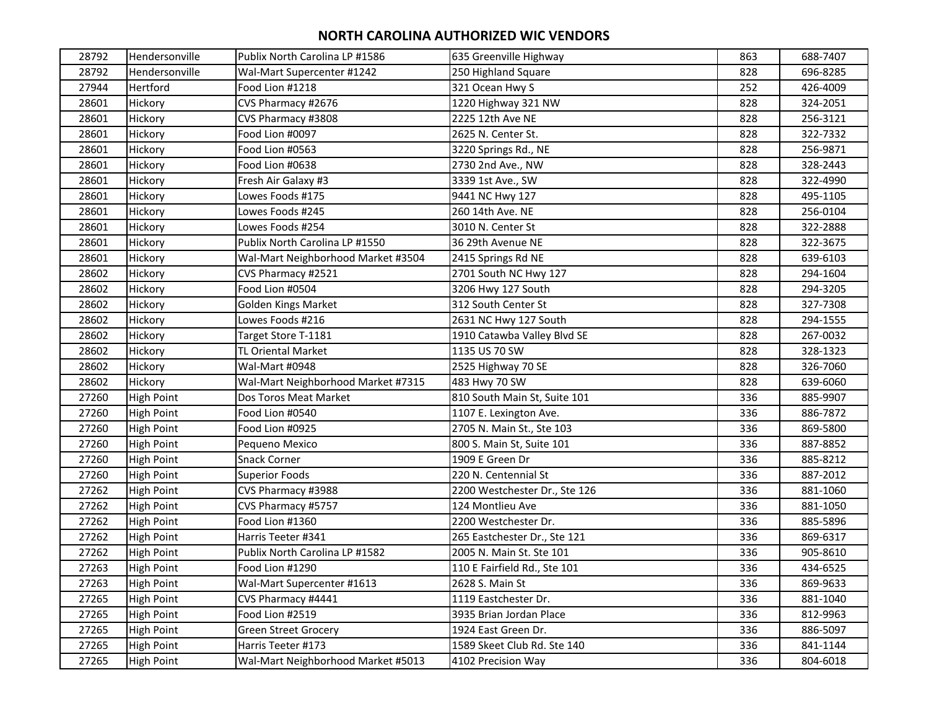| 28792 | Hendersonville    | Publix North Carolina LP #1586     | 635 Greenville Highway        | 863 | 688-7407 |
|-------|-------------------|------------------------------------|-------------------------------|-----|----------|
| 28792 | Hendersonville    | Wal-Mart Supercenter #1242         | 250 Highland Square           | 828 | 696-8285 |
| 27944 | Hertford          | Food Lion #1218                    | 321 Ocean Hwy S               | 252 | 426-4009 |
| 28601 | Hickory           | CVS Pharmacy #2676                 | 1220 Highway 321 NW           | 828 | 324-2051 |
| 28601 | Hickory           | CVS Pharmacy #3808                 | 2225 12th Ave NE              | 828 | 256-3121 |
| 28601 | Hickory           | Food Lion #0097                    | 2625 N. Center St.            | 828 | 322-7332 |
| 28601 | Hickory           | Food Lion #0563                    | 3220 Springs Rd., NE          | 828 | 256-9871 |
| 28601 | Hickory           | Food Lion #0638                    | 2730 2nd Ave., NW             | 828 | 328-2443 |
| 28601 | Hickory           | Fresh Air Galaxy #3                | 3339 1st Ave., SW             | 828 | 322-4990 |
| 28601 | Hickory           | Lowes Foods #175                   | 9441 NC Hwy 127               | 828 | 495-1105 |
| 28601 | Hickory           | Lowes Foods #245                   | 260 14th Ave. NE              | 828 | 256-0104 |
| 28601 | Hickory           | Lowes Foods #254                   | 3010 N. Center St             | 828 | 322-2888 |
| 28601 | Hickory           | Publix North Carolina LP #1550     | 36 29th Avenue NE             | 828 | 322-3675 |
| 28601 | Hickory           | Wal-Mart Neighborhood Market #3504 | 2415 Springs Rd NE            | 828 | 639-6103 |
| 28602 | Hickory           | CVS Pharmacy #2521                 | 2701 South NC Hwy 127         | 828 | 294-1604 |
| 28602 | Hickory           | Food Lion #0504                    | 3206 Hwy 127 South            | 828 | 294-3205 |
| 28602 | Hickory           | Golden Kings Market                | 312 South Center St           | 828 | 327-7308 |
| 28602 | Hickory           | Lowes Foods #216                   | 2631 NC Hwy 127 South         | 828 | 294-1555 |
| 28602 | Hickory           | Target Store T-1181                | 1910 Catawba Valley Blvd SE   | 828 | 267-0032 |
| 28602 | Hickory           | TL Oriental Market                 | 1135 US 70 SW                 | 828 | 328-1323 |
| 28602 | Hickory           | Wal-Mart #0948                     | 2525 Highway 70 SE            | 828 | 326-7060 |
| 28602 | Hickory           | Wal-Mart Neighborhood Market #7315 | 483 Hwy 70 SW                 | 828 | 639-6060 |
| 27260 | <b>High Point</b> | Dos Toros Meat Market              | 810 South Main St, Suite 101  | 336 | 885-9907 |
| 27260 | High Point        | Food Lion #0540                    | 1107 E. Lexington Ave.        | 336 | 886-7872 |
| 27260 | <b>High Point</b> | Food Lion #0925                    | 2705 N. Main St., Ste 103     | 336 | 869-5800 |
| 27260 | High Point        | Pequeno Mexico                     | 800 S. Main St, Suite 101     | 336 | 887-8852 |
| 27260 | High Point        | <b>Snack Corner</b>                | 1909 E Green Dr               | 336 | 885-8212 |
| 27260 | <b>High Point</b> | <b>Superior Foods</b>              | 220 N. Centennial St          | 336 | 887-2012 |
| 27262 | High Point        | CVS Pharmacy #3988                 | 2200 Westchester Dr., Ste 126 | 336 | 881-1060 |
| 27262 | <b>High Point</b> | CVS Pharmacy #5757                 | 124 Montlieu Ave              | 336 | 881-1050 |
| 27262 | High Point        | Food Lion #1360                    | 2200 Westchester Dr.          | 336 | 885-5896 |
| 27262 | <b>High Point</b> | Harris Teeter #341                 | 265 Eastchester Dr., Ste 121  | 336 | 869-6317 |
| 27262 | <b>High Point</b> | Publix North Carolina LP #1582     | 2005 N. Main St. Ste 101      | 336 | 905-8610 |
| 27263 | High Point        | Food Lion #1290                    | 110 E Fairfield Rd., Ste 101  | 336 | 434-6525 |
| 27263 | <b>High Point</b> | Wal-Mart Supercenter #1613         | 2628 S. Main St               | 336 | 869-9633 |
| 27265 | <b>High Point</b> | CVS Pharmacy #4441                 | 1119 Eastchester Dr.          | 336 | 881-1040 |
| 27265 | High Point        | Food Lion #2519                    | 3935 Brian Jordan Place       | 336 | 812-9963 |
| 27265 | High Point        | <b>Green Street Grocery</b>        | 1924 East Green Dr.           | 336 | 886-5097 |
| 27265 | High Point        | Harris Teeter #173                 | 1589 Skeet Club Rd. Ste 140   | 336 | 841-1144 |
| 27265 | High Point        | Wal-Mart Neighborhood Market #5013 | 4102 Precision Way            | 336 | 804-6018 |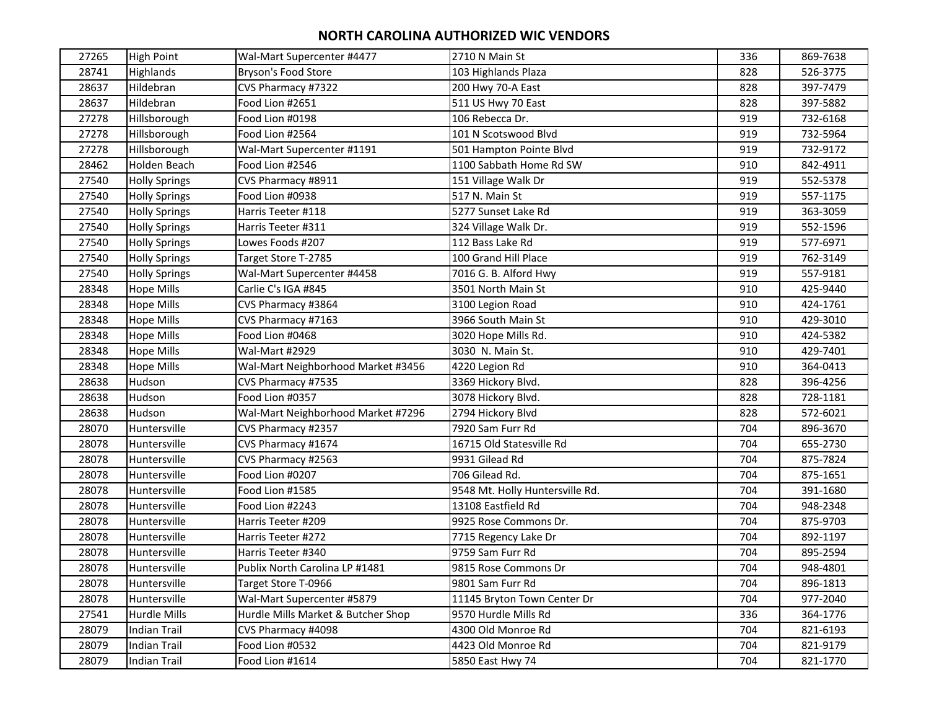| 27265 | <b>High Point</b>    | Wal-Mart Supercenter #4477         | 2710 N Main St                  | 336 | 869-7638 |
|-------|----------------------|------------------------------------|---------------------------------|-----|----------|
| 28741 | Highlands            | Bryson's Food Store                | 103 Highlands Plaza             | 828 | 526-3775 |
| 28637 | Hildebran            | CVS Pharmacy #7322                 | 200 Hwy 70-A East               | 828 | 397-7479 |
| 28637 | Hildebran            | Food Lion #2651                    | 511 US Hwy 70 East              | 828 | 397-5882 |
| 27278 | Hillsborough         | Food Lion #0198                    | 106 Rebecca Dr.                 | 919 | 732-6168 |
| 27278 | Hillsborough         | Food Lion #2564                    | 101 N Scotswood Blvd            | 919 | 732-5964 |
| 27278 | Hillsborough         | Wal-Mart Supercenter #1191         | 501 Hampton Pointe Blvd         | 919 | 732-9172 |
| 28462 | <b>Holden Beach</b>  | Food Lion #2546                    | 1100 Sabbath Home Rd SW         | 910 | 842-4911 |
| 27540 | <b>Holly Springs</b> | CVS Pharmacy #8911                 | 151 Village Walk Dr             | 919 | 552-5378 |
| 27540 | <b>Holly Springs</b> | Food Lion #0938                    | 517 N. Main St                  | 919 | 557-1175 |
| 27540 | <b>Holly Springs</b> | Harris Teeter #118                 | 5277 Sunset Lake Rd             | 919 | 363-3059 |
| 27540 | <b>Holly Springs</b> | Harris Teeter #311                 | 324 Village Walk Dr.            | 919 | 552-1596 |
| 27540 | <b>Holly Springs</b> | Lowes Foods #207                   | 112 Bass Lake Rd                | 919 | 577-6971 |
| 27540 | <b>Holly Springs</b> | Target Store T-2785                | 100 Grand Hill Place            | 919 | 762-3149 |
| 27540 | <b>Holly Springs</b> | Wal-Mart Supercenter #4458         | 7016 G. B. Alford Hwy           | 919 | 557-9181 |
| 28348 | <b>Hope Mills</b>    | Carlie C's IGA #845                | 3501 North Main St              | 910 | 425-9440 |
| 28348 | <b>Hope Mills</b>    | CVS Pharmacy #3864                 | 3100 Legion Road                | 910 | 424-1761 |
| 28348 | <b>Hope Mills</b>    | CVS Pharmacy #7163                 | 3966 South Main St              | 910 | 429-3010 |
| 28348 | <b>Hope Mills</b>    | Food Lion #0468                    | 3020 Hope Mills Rd.             | 910 | 424-5382 |
| 28348 | <b>Hope Mills</b>    | Wal-Mart #2929                     | 3030 N. Main St.                | 910 | 429-7401 |
| 28348 | <b>Hope Mills</b>    | Wal-Mart Neighborhood Market #3456 | 4220 Legion Rd                  | 910 | 364-0413 |
| 28638 | Hudson               | CVS Pharmacy #7535                 | 3369 Hickory Blvd.              | 828 | 396-4256 |
| 28638 | Hudson               | Food Lion #0357                    | 3078 Hickory Blvd.              | 828 | 728-1181 |
| 28638 | Hudson               | Wal-Mart Neighborhood Market #7296 | 2794 Hickory Blvd               | 828 | 572-6021 |
| 28070 | Huntersville         | CVS Pharmacy #2357                 | 7920 Sam Furr Rd                | 704 | 896-3670 |
| 28078 | Huntersville         | CVS Pharmacy #1674                 | 16715 Old Statesville Rd        | 704 | 655-2730 |
| 28078 | Huntersville         | CVS Pharmacy #2563                 | 9931 Gilead Rd                  | 704 | 875-7824 |
| 28078 | Huntersville         | Food Lion #0207                    | 706 Gilead Rd.                  | 704 | 875-1651 |
| 28078 | Huntersville         | Food Lion #1585                    | 9548 Mt. Holly Huntersville Rd. | 704 | 391-1680 |
| 28078 | Huntersville         | Food Lion #2243                    | 13108 Eastfield Rd              | 704 | 948-2348 |
| 28078 | Huntersville         | Harris Teeter #209                 | 9925 Rose Commons Dr.           | 704 | 875-9703 |
| 28078 | Huntersville         | Harris Teeter #272                 | 7715 Regency Lake Dr            | 704 | 892-1197 |
| 28078 | Huntersville         | Harris Teeter #340                 | 9759 Sam Furr Rd                | 704 | 895-2594 |
| 28078 | Huntersville         | Publix North Carolina LP #1481     | 9815 Rose Commons Dr            | 704 | 948-4801 |
| 28078 | Huntersville         | Target Store T-0966                | 9801 Sam Furr Rd                | 704 | 896-1813 |
| 28078 | Huntersville         | Wal-Mart Supercenter #5879         | 11145 Bryton Town Center Dr     | 704 | 977-2040 |
| 27541 | <b>Hurdle Mills</b>  | Hurdle Mills Market & Butcher Shop | 9570 Hurdle Mills Rd            | 336 | 364-1776 |
| 28079 | <b>Indian Trail</b>  | CVS Pharmacy #4098                 | 4300 Old Monroe Rd              | 704 | 821-6193 |
| 28079 | Indian Trail         | Food Lion #0532                    | 4423 Old Monroe Rd              | 704 | 821-9179 |
| 28079 | <b>Indian Trail</b>  | Food Lion #1614                    | 5850 East Hwy 74                | 704 | 821-1770 |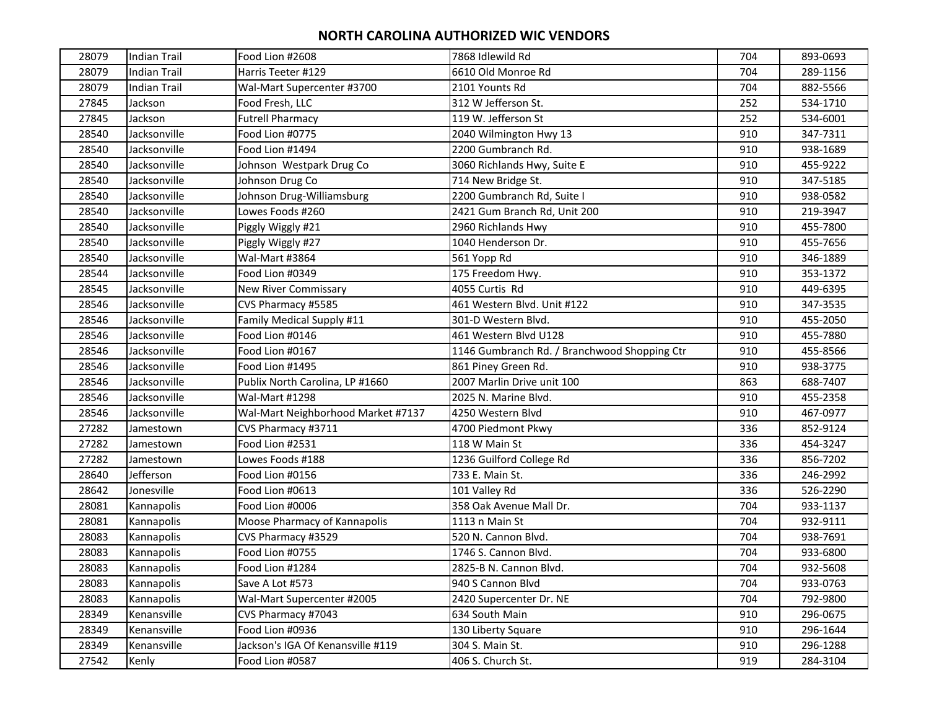| 28079 | <b>Indian Trail</b> | Food Lion #2608                    | 7868 Idlewild Rd                             | 704 | 893-0693 |
|-------|---------------------|------------------------------------|----------------------------------------------|-----|----------|
| 28079 | Indian Trail        | Harris Teeter #129                 | 6610 Old Monroe Rd                           | 704 | 289-1156 |
| 28079 | <b>Indian Trail</b> | Wal-Mart Supercenter #3700         | 2101 Younts Rd                               | 704 | 882-5566 |
| 27845 | Jackson             | Food Fresh, LLC                    | 312 W Jefferson St.                          | 252 | 534-1710 |
| 27845 | Jackson             | <b>Futrell Pharmacy</b>            | 119 W. Jefferson St                          | 252 | 534-6001 |
| 28540 | Jacksonville        | Food Lion #0775                    | 2040 Wilmington Hwy 13                       | 910 | 347-7311 |
| 28540 | Jacksonville        | Food Lion #1494                    | 2200 Gumbranch Rd.                           | 910 | 938-1689 |
| 28540 | Jacksonville        | Johnson Westpark Drug Co           | 3060 Richlands Hwy, Suite E                  | 910 | 455-9222 |
| 28540 | Jacksonville        | Johnson Drug Co                    | 714 New Bridge St.                           | 910 | 347-5185 |
| 28540 | Jacksonville        | Johnson Drug-Williamsburg          | 2200 Gumbranch Rd, Suite I                   | 910 | 938-0582 |
| 28540 | Jacksonville        | Lowes Foods #260                   | 2421 Gum Branch Rd, Unit 200                 | 910 | 219-3947 |
| 28540 | Jacksonville        | Piggly Wiggly #21                  | 2960 Richlands Hwy                           | 910 | 455-7800 |
| 28540 | Jacksonville        | Piggly Wiggly #27                  | 1040 Henderson Dr.                           | 910 | 455-7656 |
| 28540 | Jacksonville        | Wal-Mart #3864                     | 561 Yopp Rd                                  | 910 | 346-1889 |
| 28544 | Jacksonville        | Food Lion #0349                    | 175 Freedom Hwy.                             | 910 | 353-1372 |
| 28545 | Jacksonville        | <b>New River Commissary</b>        | 4055 Curtis Rd                               | 910 | 449-6395 |
| 28546 | Jacksonville        | CVS Pharmacy #5585                 | 461 Western Blvd. Unit #122                  | 910 | 347-3535 |
| 28546 | Jacksonville        | Family Medical Supply #11          | 301-D Western Blvd.                          | 910 | 455-2050 |
| 28546 | Jacksonville        | Food Lion #0146                    | 461 Western Blvd U128                        | 910 | 455-7880 |
| 28546 | Jacksonville        | Food Lion #0167                    | 1146 Gumbranch Rd. / Branchwood Shopping Ctr | 910 | 455-8566 |
| 28546 | Jacksonville        | Food Lion #1495                    | 861 Piney Green Rd.                          | 910 | 938-3775 |
| 28546 | Jacksonville        | Publix North Carolina, LP #1660    | 2007 Marlin Drive unit 100                   | 863 | 688-7407 |
| 28546 | Jacksonville        | Wal-Mart #1298                     | 2025 N. Marine Blvd.                         | 910 | 455-2358 |
| 28546 | Jacksonville        | Wal-Mart Neighborhood Market #7137 | 4250 Western Blvd                            | 910 | 467-0977 |
| 27282 | Jamestown           | CVS Pharmacy #3711                 | 4700 Piedmont Pkwy                           | 336 | 852-9124 |
| 27282 | Jamestown           | Food Lion #2531                    | 118 W Main St                                | 336 | 454-3247 |
| 27282 | Jamestown           | Lowes Foods #188                   | 1236 Guilford College Rd                     | 336 | 856-7202 |
| 28640 | Jefferson           | Food Lion #0156                    | 733 E. Main St.                              | 336 | 246-2992 |
| 28642 | Jonesville          | Food Lion #0613                    | 101 Valley Rd                                | 336 | 526-2290 |
| 28081 | Kannapolis          | Food Lion #0006                    | 358 Oak Avenue Mall Dr.                      | 704 | 933-1137 |
| 28081 | Kannapolis          | Moose Pharmacy of Kannapolis       | 1113 n Main St                               | 704 | 932-9111 |
| 28083 | Kannapolis          | CVS Pharmacy #3529                 | 520 N. Cannon Blvd.                          | 704 | 938-7691 |
| 28083 | Kannapolis          | Food Lion #0755                    | 1746 S. Cannon Blvd.                         | 704 | 933-6800 |
| 28083 | Kannapolis          | Food Lion #1284                    | 2825-B N. Cannon Blvd.                       | 704 | 932-5608 |
| 28083 | Kannapolis          | Save A Lot #573                    | 940 S Cannon Blvd                            | 704 | 933-0763 |
| 28083 | Kannapolis          | Wal-Mart Supercenter #2005         | 2420 Supercenter Dr. NE                      | 704 | 792-9800 |
| 28349 | Kenansville         | CVS Pharmacy #7043                 | 634 South Main                               | 910 | 296-0675 |
| 28349 | Kenansville         | Food Lion #0936                    | 130 Liberty Square                           | 910 | 296-1644 |
| 28349 | Kenansville         | Jackson's IGA Of Kenansville #119  | 304 S. Main St.                              | 910 | 296-1288 |
| 27542 | Kenly               | Food Lion #0587                    | 406 S. Church St.                            | 919 | 284-3104 |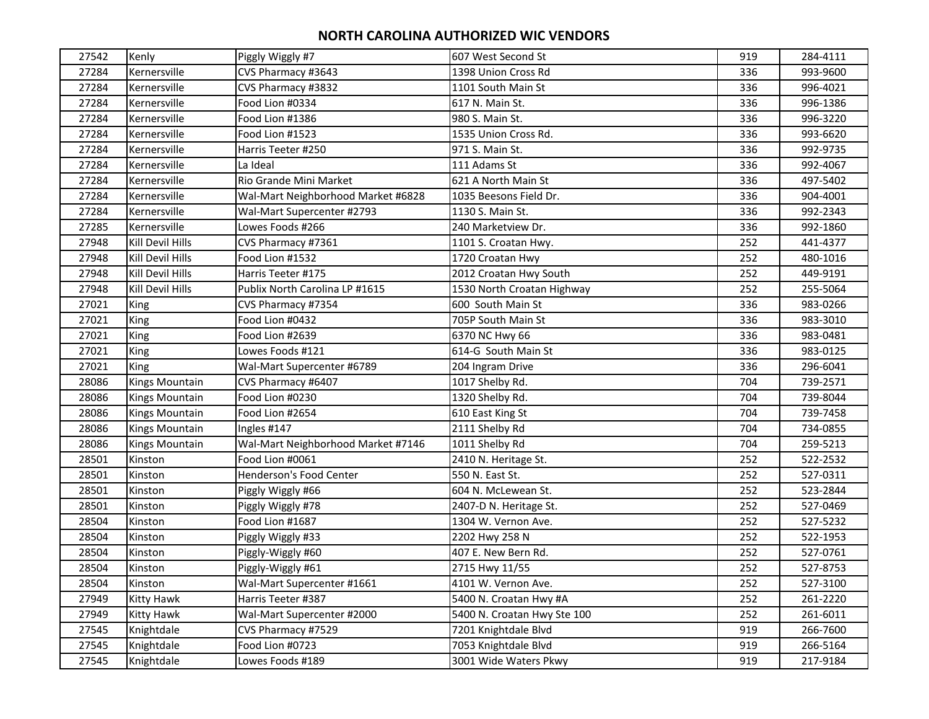| 27542 | Kenly            | Piggly Wiggly #7                   | 607 West Second St          | 919 | 284-4111 |
|-------|------------------|------------------------------------|-----------------------------|-----|----------|
| 27284 | Kernersville     | CVS Pharmacy #3643                 | 1398 Union Cross Rd         | 336 | 993-9600 |
| 27284 | Kernersville     | CVS Pharmacy #3832                 | 1101 South Main St          | 336 | 996-4021 |
| 27284 | Kernersville     | Food Lion #0334                    | 617 N. Main St.             | 336 | 996-1386 |
| 27284 | Kernersville     | Food Lion #1386                    | 980 S. Main St.             | 336 | 996-3220 |
| 27284 | Kernersville     | Food Lion #1523                    | 1535 Union Cross Rd.        | 336 | 993-6620 |
| 27284 | Kernersville     | Harris Teeter #250                 | 971 S. Main St.             | 336 | 992-9735 |
| 27284 | Kernersville     | La Ideal                           | 111 Adams St                | 336 | 992-4067 |
| 27284 | Kernersville     | Rio Grande Mini Market             | 621 A North Main St         | 336 | 497-5402 |
| 27284 | Kernersville     | Wal-Mart Neighborhood Market #6828 | 1035 Beesons Field Dr.      | 336 | 904-4001 |
| 27284 | Kernersville     | Wal-Mart Supercenter #2793         | 1130 S. Main St.            | 336 | 992-2343 |
| 27285 | Kernersville     | Lowes Foods #266                   | 240 Marketview Dr.          | 336 | 992-1860 |
| 27948 | Kill Devil Hills | CVS Pharmacy #7361                 | 1101 S. Croatan Hwy.        | 252 | 441-4377 |
| 27948 | Kill Devil Hills | Food Lion #1532                    | 1720 Croatan Hwy            | 252 | 480-1016 |
| 27948 | Kill Devil Hills | Harris Teeter #175                 | 2012 Croatan Hwy South      | 252 | 449-9191 |
| 27948 | Kill Devil Hills | Publix North Carolina LP #1615     | 1530 North Croatan Highway  | 252 | 255-5064 |
| 27021 | King             | CVS Pharmacy #7354                 | 600 South Main St           | 336 | 983-0266 |
| 27021 | King             | Food Lion #0432                    | 705P South Main St          | 336 | 983-3010 |
| 27021 | King             | Food Lion #2639                    | 6370 NC Hwy 66              | 336 | 983-0481 |
| 27021 | King             | Lowes Foods #121                   | 614-G South Main St         | 336 | 983-0125 |
| 27021 | King             | Wal-Mart Supercenter #6789         | 204 Ingram Drive            | 336 | 296-6041 |
| 28086 | Kings Mountain   | CVS Pharmacy #6407                 | 1017 Shelby Rd.             | 704 | 739-2571 |
| 28086 | Kings Mountain   | Food Lion #0230                    | 1320 Shelby Rd.             | 704 | 739-8044 |
| 28086 | Kings Mountain   | Food Lion #2654                    | 610 East King St            | 704 | 739-7458 |
| 28086 | Kings Mountain   | Ingles #147                        | 2111 Shelby Rd              | 704 | 734-0855 |
| 28086 | Kings Mountain   | Wal-Mart Neighborhood Market #7146 | 1011 Shelby Rd              | 704 | 259-5213 |
| 28501 | Kinston          | Food Lion #0061                    | 2410 N. Heritage St.        | 252 | 522-2532 |
| 28501 | Kinston          | Henderson's Food Center            | 550 N. East St.             | 252 | 527-0311 |
| 28501 | Kinston          | Piggly Wiggly #66                  | 604 N. McLewean St.         | 252 | 523-2844 |
| 28501 | Kinston          | Piggly Wiggly #78                  | 2407-D N. Heritage St.      | 252 | 527-0469 |
| 28504 | Kinston          | Food Lion #1687                    | 1304 W. Vernon Ave.         | 252 | 527-5232 |
| 28504 | Kinston          | Piggly Wiggly #33                  | 2202 Hwy 258 N              | 252 | 522-1953 |
| 28504 | Kinston          | Piggly-Wiggly #60                  | 407 E. New Bern Rd.         | 252 | 527-0761 |
| 28504 | Kinston          | Piggly-Wiggly #61                  | 2715 Hwy 11/55              | 252 | 527-8753 |
| 28504 | Kinston          | Wal-Mart Supercenter #1661         | 4101 W. Vernon Ave.         | 252 | 527-3100 |
| 27949 | Kitty Hawk       | Harris Teeter #387                 | 5400 N. Croatan Hwy #A      | 252 | 261-2220 |
| 27949 | Kitty Hawk       | Wal-Mart Supercenter #2000         | 5400 N. Croatan Hwy Ste 100 | 252 | 261-6011 |
| 27545 | Knightdale       | CVS Pharmacy #7529                 | 7201 Knightdale Blvd        | 919 | 266-7600 |
| 27545 | Knightdale       | Food Lion #0723                    | 7053 Knightdale Blvd        | 919 | 266-5164 |
| 27545 | Knightdale       | Lowes Foods #189                   | 3001 Wide Waters Pkwy       | 919 | 217-9184 |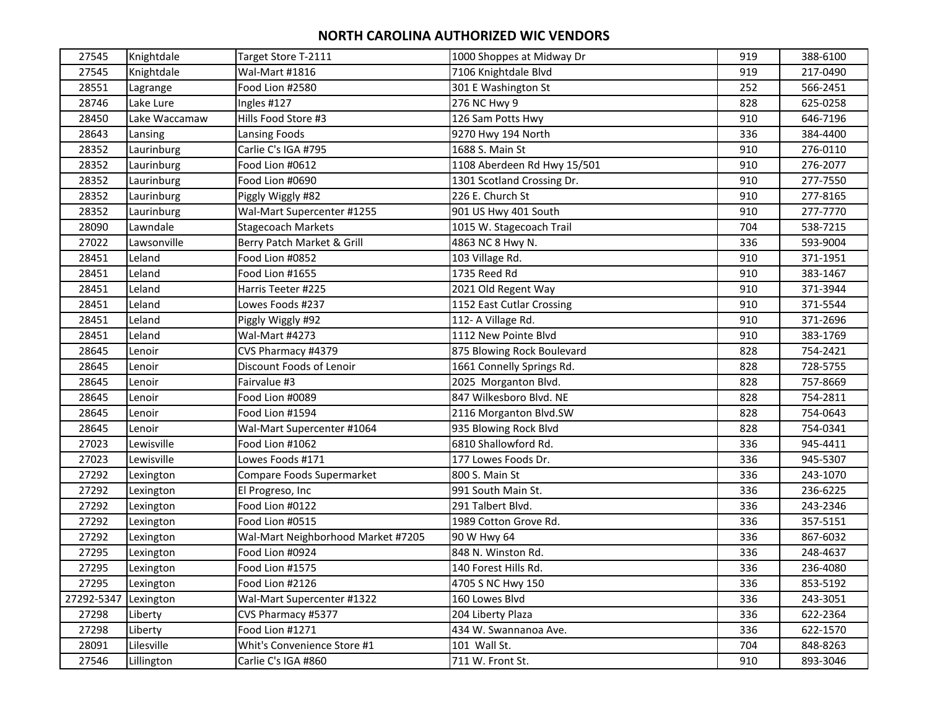| 27545      | Knightdale    | Target Store T-2111                | 1000 Shoppes at Midway Dr   | 919 | 388-6100 |
|------------|---------------|------------------------------------|-----------------------------|-----|----------|
| 27545      | Knightdale    | Wal-Mart #1816                     | 7106 Knightdale Blvd        | 919 | 217-0490 |
| 28551      | Lagrange      | Food Lion #2580                    | 301 E Washington St         | 252 | 566-2451 |
| 28746      | Lake Lure     | Ingles #127                        | 276 NC Hwy 9                | 828 | 625-0258 |
| 28450      | Lake Waccamaw | Hills Food Store #3                | 126 Sam Potts Hwy           | 910 | 646-7196 |
| 28643      | Lansing       | Lansing Foods                      | 9270 Hwy 194 North          | 336 | 384-4400 |
| 28352      | Laurinburg    | Carlie C's IGA #795                | 1688 S. Main St             | 910 | 276-0110 |
| 28352      | Laurinburg    | Food Lion #0612                    | 1108 Aberdeen Rd Hwy 15/501 | 910 | 276-2077 |
| 28352      | Laurinburg    | Food Lion #0690                    | 1301 Scotland Crossing Dr.  | 910 | 277-7550 |
| 28352      | Laurinburg    | Piggly Wiggly #82                  | 226 E. Church St            | 910 | 277-8165 |
| 28352      | Laurinburg    | Wal-Mart Supercenter #1255         | 901 US Hwy 401 South        | 910 | 277-7770 |
| 28090      | Lawndale      | <b>Stagecoach Markets</b>          | 1015 W. Stagecoach Trail    | 704 | 538-7215 |
| 27022      | Lawsonville   | Berry Patch Market & Grill         | 4863 NC 8 Hwy N.            | 336 | 593-9004 |
| 28451      | Leland        | Food Lion #0852                    | 103 Village Rd.             | 910 | 371-1951 |
| 28451      | Leland        | Food Lion #1655                    | 1735 Reed Rd                | 910 | 383-1467 |
| 28451      | Leland        | Harris Teeter #225                 | 2021 Old Regent Way         | 910 | 371-3944 |
| 28451      | Leland        | Lowes Foods #237                   | 1152 East Cutlar Crossing   | 910 | 371-5544 |
| 28451      | Leland        | Piggly Wiggly #92                  | 112- A Village Rd.          | 910 | 371-2696 |
| 28451      | Leland        | Wal-Mart #4273                     | 1112 New Pointe Blvd        | 910 | 383-1769 |
| 28645      | Lenoir        | CVS Pharmacy #4379                 | 875 Blowing Rock Boulevard  | 828 | 754-2421 |
| 28645      | Lenoir        | Discount Foods of Lenoir           | 1661 Connelly Springs Rd.   | 828 | 728-5755 |
| 28645      | Lenoir        | Fairvalue #3                       | 2025 Morganton Blvd.        | 828 | 757-8669 |
| 28645      | Lenoir        | Food Lion #0089                    | 847 Wilkesboro Blvd. NE     | 828 | 754-2811 |
| 28645      | Lenoir        | Food Lion #1594                    | 2116 Morganton Blvd.SW      | 828 | 754-0643 |
| 28645      | Lenoir        | Wal-Mart Supercenter #1064         | 935 Blowing Rock Blvd       | 828 | 754-0341 |
| 27023      | Lewisville    | Food Lion #1062                    | 6810 Shallowford Rd.        | 336 | 945-4411 |
| 27023      | Lewisville    | Lowes Foods #171                   | 177 Lowes Foods Dr.         | 336 | 945-5307 |
| 27292      | Lexington     | Compare Foods Supermarket          | 800 S. Main St              | 336 | 243-1070 |
| 27292      | Lexington     | El Progreso, Inc                   | 991 South Main St.          | 336 | 236-6225 |
| 27292      | Lexington     | Food Lion #0122                    | 291 Talbert Blvd.           | 336 | 243-2346 |
| 27292      | Lexington     | Food Lion #0515                    | 1989 Cotton Grove Rd.       | 336 | 357-5151 |
| 27292      | Lexington     | Wal-Mart Neighborhood Market #7205 | 90 W Hwy 64                 | 336 | 867-6032 |
| 27295      | Lexington     | Food Lion #0924                    | 848 N. Winston Rd.          | 336 | 248-4637 |
| 27295      | Lexington     | Food Lion #1575                    | 140 Forest Hills Rd.        | 336 | 236-4080 |
| 27295      | Lexington     | Food Lion #2126                    | 4705 S NC Hwy 150           | 336 | 853-5192 |
| 27292-5347 | Lexington     | Wal-Mart Supercenter #1322         | 160 Lowes Blvd              | 336 | 243-3051 |
| 27298      | Liberty       | CVS Pharmacy #5377                 | 204 Liberty Plaza           | 336 | 622-2364 |
| 27298      | Liberty       | Food Lion #1271                    | 434 W. Swannanoa Ave.       | 336 | 622-1570 |
| 28091      | Lilesville    | Whit's Convenience Store #1        | 101 Wall St.                | 704 | 848-8263 |
| 27546      | Lillington    | Carlie C's IGA #860                | 711 W. Front St.            | 910 | 893-3046 |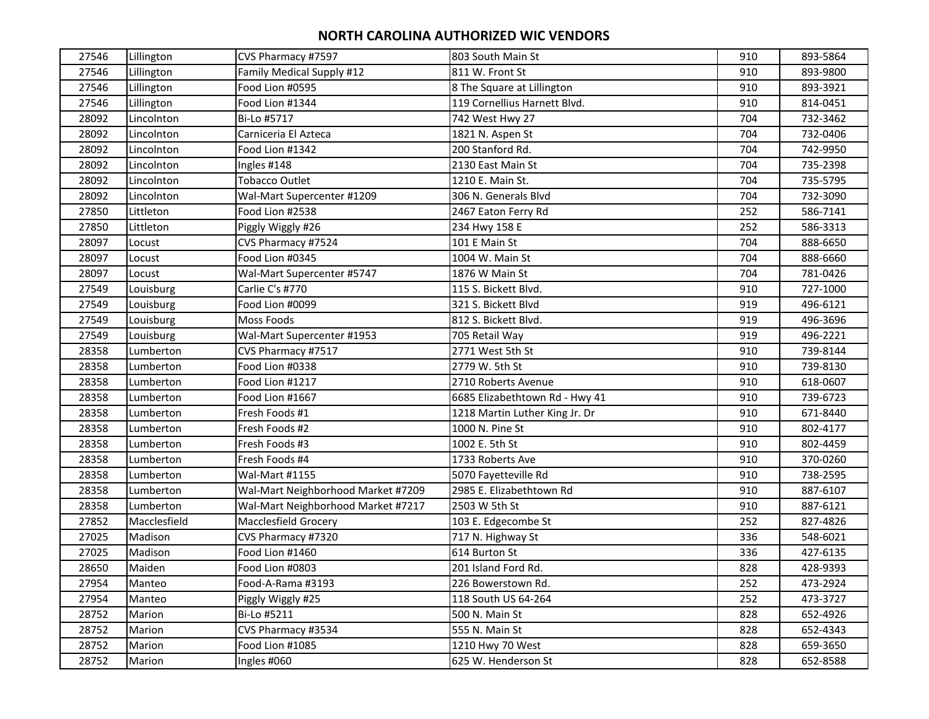| 27546 | Lillington   | CVS Pharmacy #7597                 | 803 South Main St              | 910 | 893-5864 |
|-------|--------------|------------------------------------|--------------------------------|-----|----------|
| 27546 | Lillington   | Family Medical Supply #12          | 811 W. Front St                | 910 | 893-9800 |
| 27546 | Lillington   | Food Lion #0595                    | 8 The Square at Lillington     | 910 | 893-3921 |
| 27546 | Lillington   | Food Lion #1344                    | 119 Cornellius Harnett Blvd.   | 910 | 814-0451 |
| 28092 | Lincolnton   | Bi-Lo #5717                        | 742 West Hwy 27                | 704 | 732-3462 |
| 28092 | Lincolnton   | Carniceria El Azteca               | 1821 N. Aspen St               | 704 | 732-0406 |
| 28092 | Lincolnton   | Food Lion #1342                    | 200 Stanford Rd.               | 704 | 742-9950 |
| 28092 | Lincolnton   | Ingles #148                        | 2130 East Main St              | 704 | 735-2398 |
| 28092 | Lincolnton   | <b>Tobacco Outlet</b>              | 1210 E. Main St.               | 704 | 735-5795 |
| 28092 | Lincolnton   | Wal-Mart Supercenter #1209         | 306 N. Generals Blvd           | 704 | 732-3090 |
| 27850 | Littleton    | Food Lion #2538                    | 2467 Eaton Ferry Rd            | 252 | 586-7141 |
| 27850 | Littleton    | Piggly Wiggly #26                  | 234 Hwy 158 E                  | 252 | 586-3313 |
| 28097 | Locust       | CVS Pharmacy #7524                 | 101 E Main St                  | 704 | 888-6650 |
| 28097 | Locust       | Food Lion #0345                    | 1004 W. Main St                | 704 | 888-6660 |
| 28097 | Locust       | Wal-Mart Supercenter #5747         | 1876 W Main St                 | 704 | 781-0426 |
| 27549 | Louisburg    | Carlie C's #770                    | 115 S. Bickett Blvd.           | 910 | 727-1000 |
| 27549 | Louisburg    | Food Lion #0099                    | 321 S. Bickett Blvd            | 919 | 496-6121 |
| 27549 | Louisburg    | <b>Moss Foods</b>                  | 812 S. Bickett Blvd.           | 919 | 496-3696 |
| 27549 | Louisburg    | Wal-Mart Supercenter #1953         | 705 Retail Way                 | 919 | 496-2221 |
| 28358 | Lumberton    | CVS Pharmacy #7517                 | 2771 West 5th St               | 910 | 739-8144 |
| 28358 | Lumberton    | Food Lion #0338                    | 2779 W. 5th St                 | 910 | 739-8130 |
| 28358 | Lumberton    | Food Lion #1217                    | 2710 Roberts Avenue            | 910 | 618-0607 |
| 28358 | Lumberton    | Food Lion #1667                    | 6685 Elizabethtown Rd - Hwy 41 | 910 | 739-6723 |
| 28358 | Lumberton    | Fresh Foods #1                     | 1218 Martin Luther King Jr. Dr | 910 | 671-8440 |
| 28358 | Lumberton    | Fresh Foods #2                     | 1000 N. Pine St                | 910 | 802-4177 |
| 28358 | Lumberton    | Fresh Foods #3                     | 1002 E. 5th St                 | 910 | 802-4459 |
| 28358 | Lumberton    | Fresh Foods #4                     | 1733 Roberts Ave               | 910 | 370-0260 |
| 28358 | Lumberton    | Wal-Mart #1155                     | 5070 Fayetteville Rd           | 910 | 738-2595 |
| 28358 | Lumberton    | Wal-Mart Neighborhood Market #7209 | 2985 E. Elizabethtown Rd       | 910 | 887-6107 |
| 28358 | Lumberton    | Wal-Mart Neighborhood Market #7217 | 2503 W 5th St                  | 910 | 887-6121 |
| 27852 | Macclesfield | Macclesfield Grocery               | 103 E. Edgecombe St            | 252 | 827-4826 |
| 27025 | Madison      | CVS Pharmacy #7320                 | 717 N. Highway St              | 336 | 548-6021 |
| 27025 | Madison      | Food Lion #1460                    | 614 Burton St                  | 336 | 427-6135 |
| 28650 | Maiden       | Food Lion #0803                    | 201 Island Ford Rd.            | 828 | 428-9393 |
| 27954 | Manteo       | Food-A-Rama #3193                  | 226 Bowerstown Rd.             | 252 | 473-2924 |
| 27954 | Manteo       | Piggly Wiggly #25                  | 118 South US 64-264            | 252 | 473-3727 |
| 28752 | Marion       | Bi-Lo #5211                        | 500 N. Main St                 | 828 | 652-4926 |
| 28752 | Marion       | CVS Pharmacy #3534                 | 555 N. Main St                 | 828 | 652-4343 |
| 28752 | Marion       | Food Lion #1085                    | 1210 Hwy 70 West               | 828 | 659-3650 |
| 28752 | Marion       | Ingles #060                        | 625 W. Henderson St            | 828 | 652-8588 |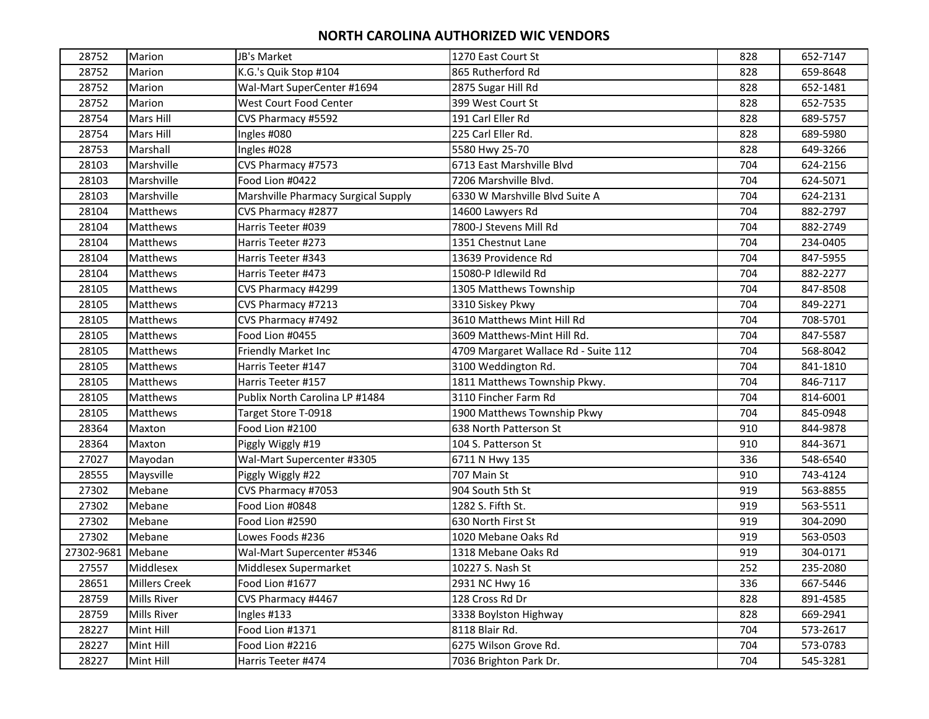| 28752      | Marion               | JB's Market                         | 1270 East Court St                   | 828 | 652-7147 |
|------------|----------------------|-------------------------------------|--------------------------------------|-----|----------|
| 28752      | Marion               | K.G.'s Quik Stop #104               | 865 Rutherford Rd                    | 828 | 659-8648 |
| 28752      | Marion               | Wal-Mart SuperCenter #1694          | 2875 Sugar Hill Rd                   | 828 | 652-1481 |
| 28752      | Marion               | West Court Food Center              | 399 West Court St                    | 828 | 652-7535 |
| 28754      | Mars Hill            | CVS Pharmacy #5592                  | 191 Carl Eller Rd                    | 828 | 689-5757 |
| 28754      | Mars Hill            | Ingles #080                         | 225 Carl Eller Rd.                   | 828 | 689-5980 |
| 28753      | Marshall             | Ingles #028                         | 5580 Hwy 25-70                       | 828 | 649-3266 |
| 28103      | Marshville           | CVS Pharmacy #7573                  | 6713 East Marshville Blvd            | 704 | 624-2156 |
| 28103      | Marshville           | Food Lion #0422                     | 7206 Marshville Blvd.                | 704 | 624-5071 |
| 28103      | Marshville           | Marshville Pharmacy Surgical Supply | 6330 W Marshville Blvd Suite A       | 704 | 624-2131 |
| 28104      | Matthews             | CVS Pharmacy #2877                  | 14600 Lawyers Rd                     | 704 | 882-2797 |
| 28104      | Matthews             | Harris Teeter #039                  | 7800-J Stevens Mill Rd               | 704 | 882-2749 |
| 28104      | Matthews             | Harris Teeter #273                  | 1351 Chestnut Lane                   | 704 | 234-0405 |
| 28104      | Matthews             | Harris Teeter #343                  | 13639 Providence Rd                  | 704 | 847-5955 |
| 28104      | Matthews             | Harris Teeter #473                  | 15080-P Idlewild Rd                  | 704 | 882-2277 |
| 28105      | Matthews             | CVS Pharmacy #4299                  | 1305 Matthews Township               | 704 | 847-8508 |
| 28105      | Matthews             | CVS Pharmacy #7213                  | 3310 Siskey Pkwy                     | 704 | 849-2271 |
| 28105      | Matthews             | CVS Pharmacy #7492                  | 3610 Matthews Mint Hill Rd           | 704 | 708-5701 |
| 28105      | Matthews             | Food Lion #0455                     | 3609 Matthews-Mint Hill Rd.          | 704 | 847-5587 |
| 28105      | Matthews             | <b>Friendly Market Inc</b>          | 4709 Margaret Wallace Rd - Suite 112 | 704 | 568-8042 |
| 28105      | Matthews             | Harris Teeter #147                  | 3100 Weddington Rd.                  | 704 | 841-1810 |
| 28105      | Matthews             | Harris Teeter #157                  | 1811 Matthews Township Pkwy.         | 704 | 846-7117 |
| 28105      | Matthews             | Publix North Carolina LP #1484      | 3110 Fincher Farm Rd                 | 704 | 814-6001 |
| 28105      | Matthews             | Target Store T-0918                 | 1900 Matthews Township Pkwy          | 704 | 845-0948 |
| 28364      | Maxton               | Food Lion #2100                     | 638 North Patterson St               | 910 | 844-9878 |
| 28364      | Maxton               | Piggly Wiggly #19                   | 104 S. Patterson St                  | 910 | 844-3671 |
| 27027      | Mayodan              | Wal-Mart Supercenter #3305          | 6711 N Hwy 135                       | 336 | 548-6540 |
| 28555      | Maysville            | Piggly Wiggly #22                   | 707 Main St                          | 910 | 743-4124 |
| 27302      | Mebane               | CVS Pharmacy #7053                  | 904 South 5th St                     | 919 | 563-8855 |
| 27302      | Mebane               | Food Lion #0848                     | 1282 S. Fifth St.                    | 919 | 563-5511 |
| 27302      | Mebane               | Food Lion #2590                     | 630 North First St                   | 919 | 304-2090 |
| 27302      | Mebane               | Lowes Foods #236                    | 1020 Mebane Oaks Rd                  | 919 | 563-0503 |
| 27302-9681 | Mebane               | Wal-Mart Supercenter #5346          | 1318 Mebane Oaks Rd                  | 919 | 304-0171 |
| 27557      | Middlesex            | Middlesex Supermarket               | 10227 S. Nash St                     | 252 | 235-2080 |
| 28651      | <b>Millers Creek</b> | Food Lion #1677                     | 2931 NC Hwy 16                       | 336 | 667-5446 |
| 28759      | Mills River          | CVS Pharmacy #4467                  | 128 Cross Rd Dr                      | 828 | 891-4585 |
| 28759      | Mills River          | Ingles #133                         | 3338 Boylston Highway                | 828 | 669-2941 |
| 28227      | Mint Hill            | Food Lion #1371                     | 8118 Blair Rd.                       | 704 | 573-2617 |
| 28227      | Mint Hill            | Food Lion #2216                     | 6275 Wilson Grove Rd.                | 704 | 573-0783 |
| 28227      | Mint Hill            | Harris Teeter #474                  | 7036 Brighton Park Dr.               | 704 | 545-3281 |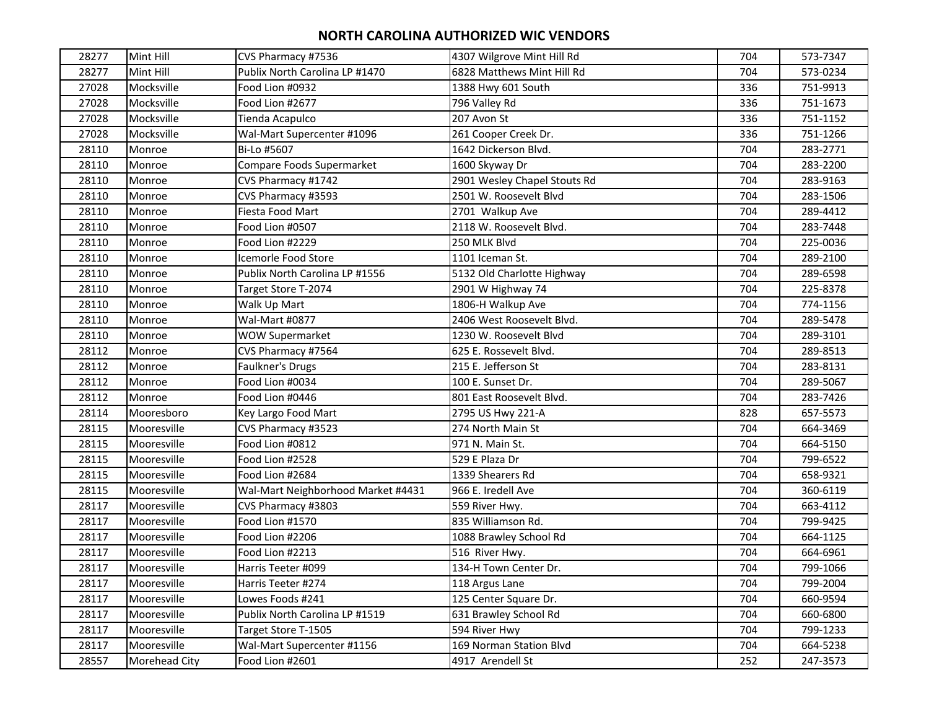| 28277 | Mint Hill     | CVS Pharmacy #7536                 | 4307 Wilgrove Mint Hill Rd   | 704 | 573-7347 |
|-------|---------------|------------------------------------|------------------------------|-----|----------|
| 28277 | Mint Hill     | Publix North Carolina LP #1470     | 6828 Matthews Mint Hill Rd   | 704 | 573-0234 |
| 27028 | Mocksville    | Food Lion #0932                    | 1388 Hwy 601 South           | 336 | 751-9913 |
| 27028 | Mocksville    | Food Lion #2677                    | 796 Valley Rd                | 336 | 751-1673 |
| 27028 | Mocksville    | Tienda Acapulco                    | 207 Avon St                  | 336 | 751-1152 |
| 27028 | Mocksville    | Wal-Mart Supercenter #1096         | 261 Cooper Creek Dr.         | 336 | 751-1266 |
| 28110 | Monroe        | Bi-Lo #5607                        | 1642 Dickerson Blvd.         | 704 | 283-2771 |
| 28110 | Monroe        | Compare Foods Supermarket          | 1600 Skyway Dr               | 704 | 283-2200 |
| 28110 | Monroe        | CVS Pharmacy #1742                 | 2901 Wesley Chapel Stouts Rd | 704 | 283-9163 |
| 28110 | Monroe        | CVS Pharmacy #3593                 | 2501 W. Roosevelt Blvd       | 704 | 283-1506 |
| 28110 | Monroe        | Fiesta Food Mart                   | 2701 Walkup Ave              | 704 | 289-4412 |
| 28110 | Monroe        | Food Lion #0507                    | 2118 W. Roosevelt Blvd.      | 704 | 283-7448 |
| 28110 | Monroe        | Food Lion #2229                    | 250 MLK Blvd                 | 704 | 225-0036 |
| 28110 | Monroe        | Icemorle Food Store                | 1101 Iceman St.              | 704 | 289-2100 |
| 28110 | Monroe        | Publix North Carolina LP #1556     | 5132 Old Charlotte Highway   | 704 | 289-6598 |
| 28110 | Monroe        | Target Store T-2074                | 2901 W Highway 74            | 704 | 225-8378 |
| 28110 | Monroe        | Walk Up Mart                       | 1806-H Walkup Ave            | 704 | 774-1156 |
| 28110 | Monroe        | Wal-Mart #0877                     | 2406 West Roosevelt Blvd.    | 704 | 289-5478 |
| 28110 | Monroe        | <b>WOW Supermarket</b>             | 1230 W. Roosevelt Blyd       | 704 | 289-3101 |
| 28112 | Monroe        | CVS Pharmacy #7564                 | 625 E. Rossevelt Blvd.       | 704 | 289-8513 |
| 28112 | Monroe        | Faulkner's Drugs                   | 215 E. Jefferson St          | 704 | 283-8131 |
| 28112 | Monroe        | Food Lion #0034                    | 100 E. Sunset Dr.            | 704 | 289-5067 |
| 28112 | Monroe        | Food Lion #0446                    | 801 East Roosevelt Blvd.     | 704 | 283-7426 |
| 28114 | Mooresboro    | Key Largo Food Mart                | 2795 US Hwy 221-A            | 828 | 657-5573 |
| 28115 | Mooresville   | CVS Pharmacy #3523                 | 274 North Main St            | 704 | 664-3469 |
| 28115 | Mooresville   | Food Lion #0812                    | 971 N. Main St.              | 704 | 664-5150 |
| 28115 | Mooresville   | Food Lion #2528                    | 529 E Plaza Dr               | 704 | 799-6522 |
| 28115 | Mooresville   | Food Lion #2684                    | 1339 Shearers Rd             | 704 | 658-9321 |
| 28115 | Mooresville   | Wal-Mart Neighborhood Market #4431 | 966 E. Iredell Ave           | 704 | 360-6119 |
| 28117 | Mooresville   | CVS Pharmacy #3803                 | 559 River Hwy.               | 704 | 663-4112 |
| 28117 | Mooresville   | Food Lion #1570                    | 835 Williamson Rd.           | 704 | 799-9425 |
| 28117 | Mooresville   | Food Lion #2206                    | 1088 Brawley School Rd       | 704 | 664-1125 |
| 28117 | Mooresville   | Food Lion #2213                    | 516 River Hwy.               | 704 | 664-6961 |
| 28117 | Mooresville   | Harris Teeter #099                 | 134-H Town Center Dr.        | 704 | 799-1066 |
| 28117 | Mooresville   | Harris Teeter #274                 | 118 Argus Lane               | 704 | 799-2004 |
| 28117 | Mooresville   | Lowes Foods #241                   | 125 Center Square Dr.        | 704 | 660-9594 |
| 28117 | Mooresville   | Publix North Carolina LP #1519     | 631 Brawley School Rd        | 704 | 660-6800 |
| 28117 | Mooresville   | Target Store T-1505                | 594 River Hwy                | 704 | 799-1233 |
| 28117 | Mooresville   | Wal-Mart Supercenter #1156         | 169 Norman Station Blvd      | 704 | 664-5238 |
| 28557 | Morehead City | Food Lion #2601                    | 4917 Arendell St             | 252 | 247-3573 |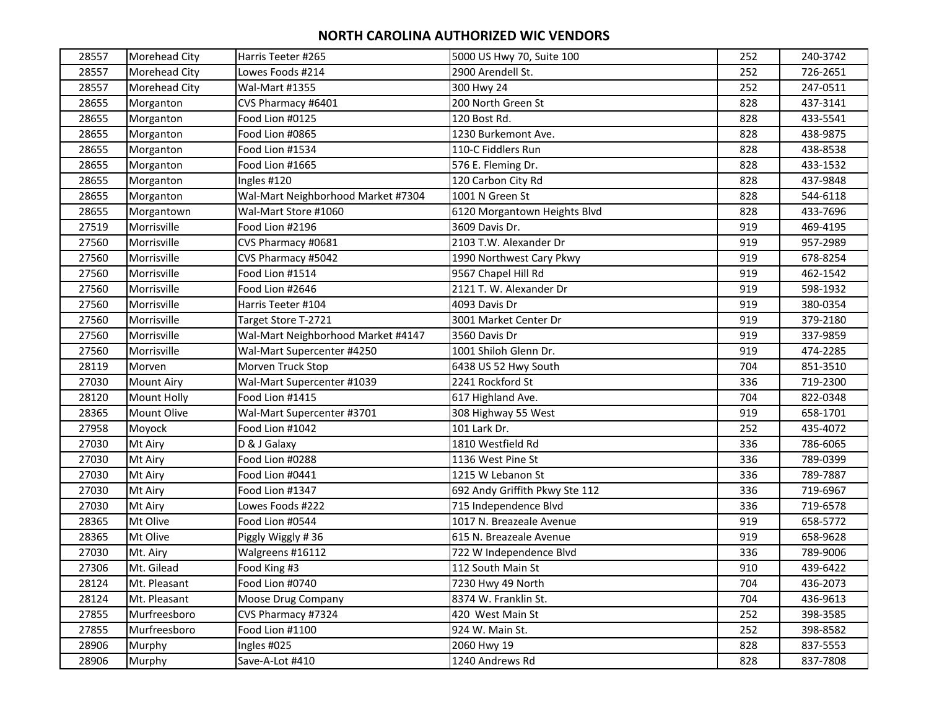| 28557 | <b>Morehead City</b> | Harris Teeter #265                 | 5000 US Hwy 70, Suite 100      | 252 | 240-3742 |
|-------|----------------------|------------------------------------|--------------------------------|-----|----------|
| 28557 | Morehead City        | Lowes Foods #214                   | 2900 Arendell St.              | 252 | 726-2651 |
| 28557 | <b>Morehead City</b> | <b>Wal-Mart #1355</b>              | 300 Hwy 24                     | 252 | 247-0511 |
| 28655 | Morganton            | CVS Pharmacy #6401                 | 200 North Green St             | 828 | 437-3141 |
| 28655 | Morganton            | Food Lion #0125                    | 120 Bost Rd.                   | 828 | 433-5541 |
| 28655 | Morganton            | Food Lion #0865                    | 1230 Burkemont Ave.            | 828 | 438-9875 |
| 28655 | Morganton            | Food Lion #1534                    | 110-C Fiddlers Run             | 828 | 438-8538 |
| 28655 | Morganton            | Food Lion #1665                    | 576 E. Fleming Dr.             | 828 | 433-1532 |
| 28655 | Morganton            | Ingles #120                        | 120 Carbon City Rd             | 828 | 437-9848 |
| 28655 | Morganton            | Wal-Mart Neighborhood Market #7304 | 1001 N Green St                | 828 | 544-6118 |
| 28655 | Morgantown           | Wal-Mart Store #1060               | 6120 Morgantown Heights Blvd   | 828 | 433-7696 |
| 27519 | Morrisville          | Food Lion #2196                    | 3609 Davis Dr.                 | 919 | 469-4195 |
| 27560 | Morrisville          | CVS Pharmacy #0681                 | 2103 T.W. Alexander Dr         | 919 | 957-2989 |
| 27560 | Morrisville          | CVS Pharmacy #5042                 | 1990 Northwest Cary Pkwy       | 919 | 678-8254 |
| 27560 | Morrisville          | Food Lion #1514                    | 9567 Chapel Hill Rd            | 919 | 462-1542 |
| 27560 | Morrisville          | Food Lion #2646                    | 2121 T. W. Alexander Dr        | 919 | 598-1932 |
| 27560 | Morrisville          | Harris Teeter #104                 | 4093 Davis Dr                  | 919 | 380-0354 |
| 27560 | Morrisville          | Target Store T-2721                | 3001 Market Center Dr          | 919 | 379-2180 |
| 27560 | Morrisville          | Wal-Mart Neighborhood Market #4147 | 3560 Davis Dr                  | 919 | 337-9859 |
| 27560 | Morrisville          | Wal-Mart Supercenter #4250         | 1001 Shiloh Glenn Dr.          | 919 | 474-2285 |
| 28119 | Morven               | Morven Truck Stop                  | 6438 US 52 Hwy South           | 704 | 851-3510 |
| 27030 | <b>Mount Airy</b>    | Wal-Mart Supercenter #1039         | 2241 Rockford St               | 336 | 719-2300 |
| 28120 | Mount Holly          | Food Lion #1415                    | 617 Highland Ave.              | 704 | 822-0348 |
| 28365 | <b>Mount Olive</b>   | Wal-Mart Supercenter #3701         | 308 Highway 55 West            | 919 | 658-1701 |
| 27958 | Moyock               | Food Lion #1042                    | 101 Lark Dr.                   | 252 | 435-4072 |
| 27030 | Mt Airy              | D & J Galaxy                       | 1810 Westfield Rd              | 336 | 786-6065 |
| 27030 | Mt Airy              | Food Lion #0288                    | 1136 West Pine St              | 336 | 789-0399 |
| 27030 | Mt Airy              | Food Lion #0441                    | 1215 W Lebanon St              | 336 | 789-7887 |
| 27030 | Mt Airy              | Food Lion #1347                    | 692 Andy Griffith Pkwy Ste 112 | 336 | 719-6967 |
| 27030 | Mt Airy              | Lowes Foods #222                   | 715 Independence Blvd          | 336 | 719-6578 |
| 28365 | Mt Olive             | Food Lion #0544                    | 1017 N. Breazeale Avenue       | 919 | 658-5772 |
| 28365 | Mt Olive             | Piggly Wiggly #36                  | 615 N. Breazeale Avenue        | 919 | 658-9628 |
| 27030 | Mt. Airy             | Walgreens #16112                   | 722 W Independence Blvd        | 336 | 789-9006 |
| 27306 | Mt. Gilead           | Food King #3                       | 112 South Main St              | 910 | 439-6422 |
| 28124 | Mt. Pleasant         | Food Lion #0740                    | 7230 Hwy 49 North              | 704 | 436-2073 |
| 28124 | Mt. Pleasant         | Moose Drug Company                 | 8374 W. Franklin St.           | 704 | 436-9613 |
| 27855 | Murfreesboro         | CVS Pharmacy #7324                 | 420 West Main St               | 252 | 398-3585 |
| 27855 | Murfreesboro         | Food Lion #1100                    | 924 W. Main St.                | 252 | 398-8582 |
| 28906 | Murphy               | Ingles #025                        | 2060 Hwy 19                    | 828 | 837-5553 |
| 28906 | Murphy               | Save-A-Lot #410                    | 1240 Andrews Rd                | 828 | 837-7808 |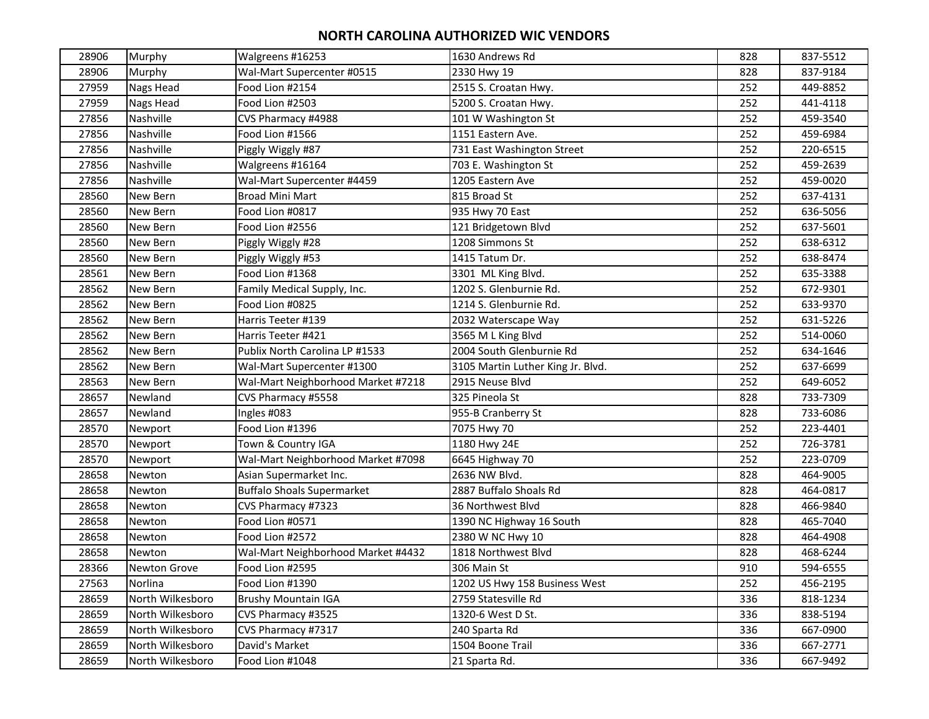| 28906 | Murphy              | Walgreens #16253                   | 1630 Andrews Rd                   | 828 | 837-5512 |
|-------|---------------------|------------------------------------|-----------------------------------|-----|----------|
| 28906 | Murphy              | Wal-Mart Supercenter #0515         | 2330 Hwy 19                       | 828 | 837-9184 |
| 27959 | <b>Nags Head</b>    | Food Lion #2154                    | 2515 S. Croatan Hwy.              | 252 | 449-8852 |
| 27959 | Nags Head           | Food Lion #2503                    | 5200 S. Croatan Hwy.              | 252 | 441-4118 |
| 27856 | Nashville           | CVS Pharmacy #4988                 | 101 W Washington St               | 252 | 459-3540 |
| 27856 | Nashville           | Food Lion #1566                    | 1151 Eastern Ave.                 | 252 | 459-6984 |
| 27856 | Nashville           | Piggly Wiggly #87                  | 731 East Washington Street        | 252 | 220-6515 |
| 27856 | Nashville           | Walgreens #16164                   | 703 E. Washington St              | 252 | 459-2639 |
| 27856 | Nashville           | Wal-Mart Supercenter #4459         | 1205 Eastern Ave                  | 252 | 459-0020 |
| 28560 | New Bern            | <b>Broad Mini Mart</b>             | 815 Broad St                      | 252 | 637-4131 |
| 28560 | New Bern            | Food Lion #0817                    | 935 Hwy 70 East                   | 252 | 636-5056 |
| 28560 | New Bern            | Food Lion #2556                    | 121 Bridgetown Blvd               | 252 | 637-5601 |
| 28560 | New Bern            | Piggly Wiggly #28                  | 1208 Simmons St                   | 252 | 638-6312 |
| 28560 | New Bern            | Piggly Wiggly #53                  | 1415 Tatum Dr.                    | 252 | 638-8474 |
| 28561 | New Bern            | Food Lion #1368                    | 3301 ML King Blvd.                | 252 | 635-3388 |
| 28562 | New Bern            | Family Medical Supply, Inc.        | 1202 S. Glenburnie Rd.            | 252 | 672-9301 |
| 28562 | New Bern            | Food Lion #0825                    | 1214 S. Glenburnie Rd.            | 252 | 633-9370 |
| 28562 | New Bern            | Harris Teeter #139                 | 2032 Waterscape Way               | 252 | 631-5226 |
| 28562 | New Bern            | Harris Teeter #421                 | 3565 M L King Blvd                | 252 | 514-0060 |
| 28562 | New Bern            | Publix North Carolina LP #1533     | 2004 South Glenburnie Rd          | 252 | 634-1646 |
| 28562 | New Bern            | Wal-Mart Supercenter #1300         | 3105 Martin Luther King Jr. Blvd. | 252 | 637-6699 |
| 28563 | New Bern            | Wal-Mart Neighborhood Market #7218 | 2915 Neuse Blvd                   | 252 | 649-6052 |
| 28657 | Newland             | CVS Pharmacy #5558                 | 325 Pineola St                    | 828 | 733-7309 |
| 28657 | Newland             | Ingles #083                        | 955-B Cranberry St                | 828 | 733-6086 |
| 28570 | Newport             | Food Lion #1396                    | 7075 Hwy 70                       | 252 | 223-4401 |
| 28570 | Newport             | Town & Country IGA                 | 1180 Hwy 24E                      | 252 | 726-3781 |
| 28570 | Newport             | Wal-Mart Neighborhood Market #7098 | 6645 Highway 70                   | 252 | 223-0709 |
| 28658 | Newton              | Asian Supermarket Inc.             | 2636 NW Blvd.                     | 828 | 464-9005 |
| 28658 | Newton              | <b>Buffalo Shoals Supermarket</b>  | 2887 Buffalo Shoals Rd            | 828 | 464-0817 |
| 28658 | Newton              | CVS Pharmacy #7323                 | 36 Northwest Blvd                 | 828 | 466-9840 |
| 28658 | Newton              | Food Lion #0571                    | 1390 NC Highway 16 South          | 828 | 465-7040 |
| 28658 | Newton              | Food Lion #2572                    | 2380 W NC Hwy 10                  | 828 | 464-4908 |
| 28658 | Newton              | Wal-Mart Neighborhood Market #4432 | 1818 Northwest Blvd               | 828 | 468-6244 |
| 28366 | <b>Newton Grove</b> | Food Lion #2595                    | 306 Main St                       | 910 | 594-6555 |
| 27563 | Norlina             | Food Lion #1390                    | 1202 US Hwy 158 Business West     | 252 | 456-2195 |
| 28659 | North Wilkesboro    | <b>Brushy Mountain IGA</b>         | 2759 Statesville Rd               | 336 | 818-1234 |
| 28659 | North Wilkesboro    | CVS Pharmacy #3525                 | 1320-6 West D St.                 | 336 | 838-5194 |
| 28659 | North Wilkesboro    | CVS Pharmacy #7317                 | 240 Sparta Rd                     | 336 | 667-0900 |
| 28659 | North Wilkesboro    | David's Market                     | 1504 Boone Trail                  | 336 | 667-2771 |
| 28659 | North Wilkesboro    | Food Lion #1048                    | 21 Sparta Rd.                     | 336 | 667-9492 |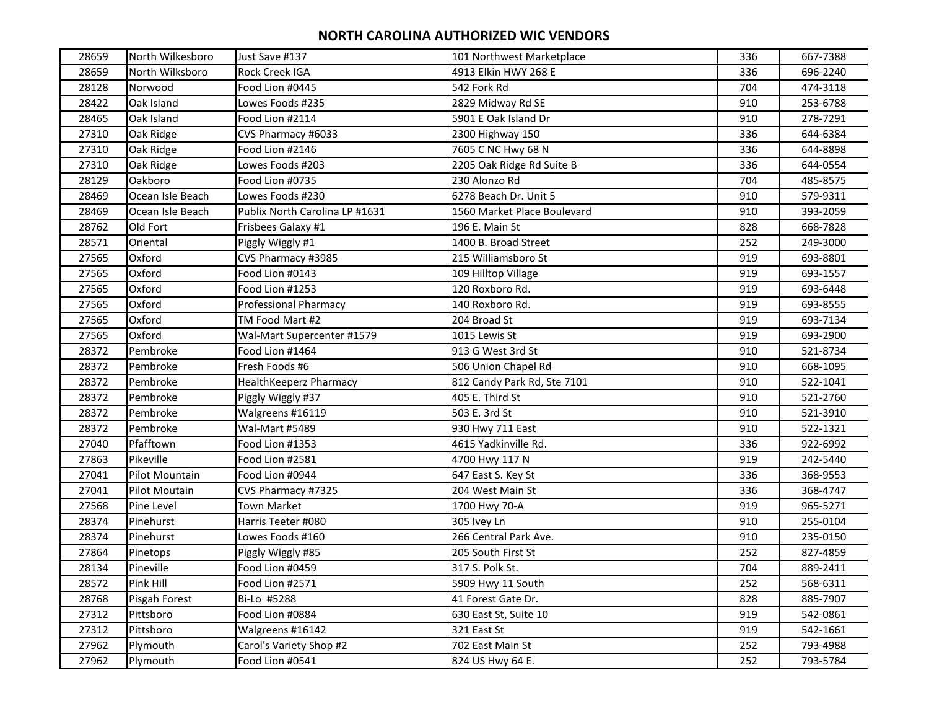| 28659 | North Wilkesboro | Just Save #137                 | 101 Northwest Marketplace   | 336 | 667-7388 |
|-------|------------------|--------------------------------|-----------------------------|-----|----------|
| 28659 | North Wilksboro  | Rock Creek IGA                 | 4913 Elkin HWY 268 E        | 336 | 696-2240 |
| 28128 | Norwood          | Food Lion #0445                | 542 Fork Rd                 | 704 | 474-3118 |
| 28422 | Oak Island       | Lowes Foods #235               | 2829 Midway Rd SE           | 910 | 253-6788 |
| 28465 | Oak Island       | Food Lion #2114                | 5901 E Oak Island Dr        | 910 | 278-7291 |
| 27310 | Oak Ridge        | CVS Pharmacy #6033             | 2300 Highway 150            | 336 | 644-6384 |
| 27310 | Oak Ridge        | Food Lion #2146                | 7605 C NC Hwy 68 N          | 336 | 644-8898 |
| 27310 | Oak Ridge        | Lowes Foods #203               | 2205 Oak Ridge Rd Suite B   | 336 | 644-0554 |
| 28129 | Oakboro          | Food Lion #0735                | 230 Alonzo Rd               | 704 | 485-8575 |
| 28469 | Ocean Isle Beach | Lowes Foods #230               | 6278 Beach Dr. Unit 5       | 910 | 579-9311 |
| 28469 | Ocean Isle Beach | Publix North Carolina LP #1631 | 1560 Market Place Boulevard | 910 | 393-2059 |
| 28762 | Old Fort         | Frisbees Galaxy #1             | 196 E. Main St              | 828 | 668-7828 |
| 28571 | Oriental         | Piggly Wiggly #1               | 1400 B. Broad Street        | 252 | 249-3000 |
| 27565 | Oxford           | CVS Pharmacy #3985             | 215 Williamsboro St         | 919 | 693-8801 |
| 27565 | Oxford           | Food Lion #0143                | 109 Hilltop Village         | 919 | 693-1557 |
| 27565 | Oxford           | Food Lion #1253                | 120 Roxboro Rd.             | 919 | 693-6448 |
| 27565 | Oxford           | <b>Professional Pharmacy</b>   | 140 Roxboro Rd.             | 919 | 693-8555 |
| 27565 | Oxford           | TM Food Mart #2                | 204 Broad St                | 919 | 693-7134 |
| 27565 | Oxford           | Wal-Mart Supercenter #1579     | 1015 Lewis St               | 919 | 693-2900 |
| 28372 | Pembroke         | Food Lion #1464                | 913 G West 3rd St           | 910 | 521-8734 |
| 28372 | Pembroke         | Fresh Foods #6                 | 506 Union Chapel Rd         | 910 | 668-1095 |
| 28372 | Pembroke         | HealthKeeperz Pharmacy         | 812 Candy Park Rd, Ste 7101 | 910 | 522-1041 |
| 28372 | Pembroke         | Piggly Wiggly #37              | 405 E. Third St             | 910 | 521-2760 |
| 28372 | Pembroke         | Walgreens #16119               | 503 E. 3rd St               | 910 | 521-3910 |
| 28372 | Pembroke         | Wal-Mart #5489                 | 930 Hwy 711 East            | 910 | 522-1321 |
| 27040 | Pfafftown        | Food Lion #1353                | 4615 Yadkinville Rd.        | 336 | 922-6992 |
| 27863 | Pikeville        | Food Lion #2581                | 4700 Hwy 117 N              | 919 | 242-5440 |
| 27041 | Pilot Mountain   | Food Lion #0944                | 647 East S. Key St          | 336 | 368-9553 |
| 27041 | Pilot Moutain    | CVS Pharmacy #7325             | 204 West Main St            | 336 | 368-4747 |
| 27568 | Pine Level       | <b>Town Market</b>             | 1700 Hwy 70-A               | 919 | 965-5271 |
| 28374 | Pinehurst        | Harris Teeter #080             | 305 Ivey Ln                 | 910 | 255-0104 |
| 28374 | Pinehurst        | Lowes Foods #160               | 266 Central Park Ave.       | 910 | 235-0150 |
| 27864 | Pinetops         | Piggly Wiggly #85              | 205 South First St          | 252 | 827-4859 |
| 28134 | Pineville        | Food Lion #0459                | 317 S. Polk St.             | 704 | 889-2411 |
| 28572 | Pink Hill        | Food Lion #2571                | 5909 Hwy 11 South           | 252 | 568-6311 |
| 28768 | Pisgah Forest    | Bi-Lo #5288                    | 41 Forest Gate Dr.          | 828 | 885-7907 |
| 27312 | Pittsboro        | Food Lion #0884                | 630 East St, Suite 10       | 919 | 542-0861 |
| 27312 | Pittsboro        | Walgreens #16142               | 321 East St                 | 919 | 542-1661 |
| 27962 | Plymouth         | Carol's Variety Shop #2        | 702 East Main St            | 252 | 793-4988 |
| 27962 | Plymouth         | Food Lion #0541                | 824 US Hwy 64 E.            | 252 | 793-5784 |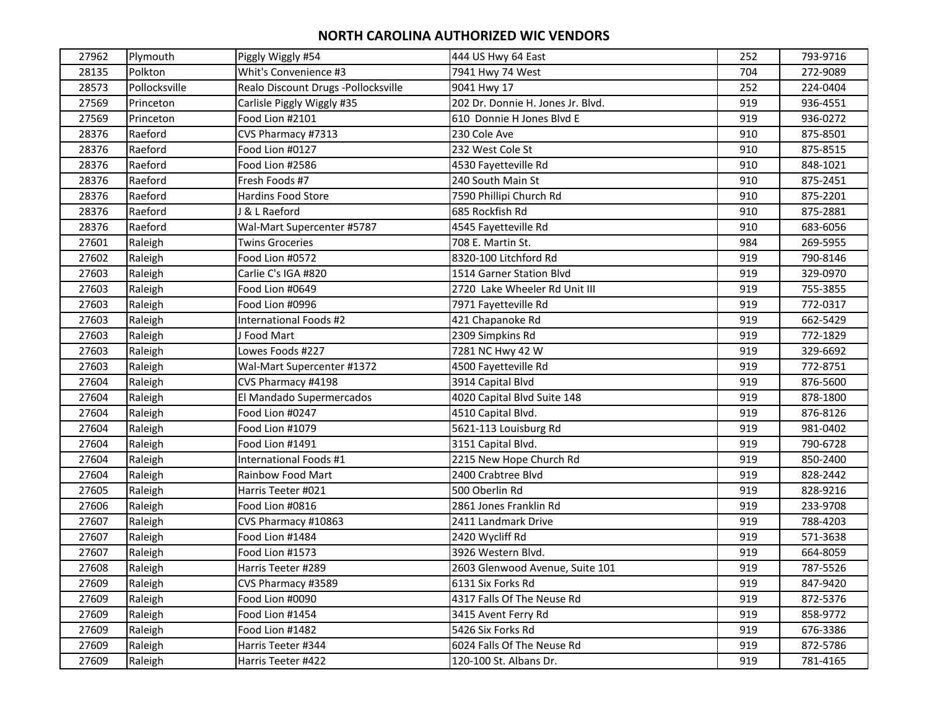| 27962 | Plymouth      | Piggly Wiggly #54                   | 444 US Hwy 64 East                | 252 | 793-9716 |
|-------|---------------|-------------------------------------|-----------------------------------|-----|----------|
| 28135 | Polkton       | Whit's Convenience #3               | 7941 Hwy 74 West                  | 704 | 272-9089 |
| 28573 | Pollocksville | Realo Discount Drugs -Pollocksville | 9041 Hwy 17                       | 252 | 224-0404 |
| 27569 | Princeton     | Carlisle Piggly Wiggly #35          | 202 Dr. Donnie H. Jones Jr. Blvd. | 919 | 936-4551 |
| 27569 | Princeton     | Food Lion #2101                     | 610 Donnie H Jones Blvd E         | 919 | 936-0272 |
| 28376 | Raeford       | CVS Pharmacy #7313                  | 230 Cole Ave                      | 910 | 875-8501 |
| 28376 | Raeford       | Food Lion #0127                     | 232 West Cole St                  | 910 | 875-8515 |
| 28376 | Raeford       | Food Lion #2586                     | 4530 Fayetteville Rd              | 910 | 848-1021 |
| 28376 | Raeford       | Fresh Foods #7                      | 240 South Main St                 | 910 | 875-2451 |
| 28376 | Raeford       | <b>Hardins Food Store</b>           | 7590 Phillipi Church Rd           | 910 | 875-2201 |
| 28376 | Raeford       | & L Raeford                         | 685 Rockfish Rd                   | 910 | 875-2881 |
| 28376 | Raeford       | Wal-Mart Supercenter #5787          | 4545 Fayetteville Rd              | 910 | 683-6056 |
| 27601 | Raleigh       | <b>Twins Groceries</b>              | 708 E. Martin St.                 | 984 | 269-5955 |
| 27602 | Raleigh       | Food Lion #0572                     | 8320-100 Litchford Rd             | 919 | 790-8146 |
| 27603 | Raleigh       | Carlie C's IGA #820                 | 1514 Garner Station Blvd          | 919 | 329-0970 |
| 27603 | Raleigh       | Food Lion #0649                     | 2720 Lake Wheeler Rd Unit III     | 919 | 755-3855 |
| 27603 | Raleigh       | Food Lion #0996                     | 7971 Fayetteville Rd              | 919 | 772-0317 |
| 27603 | Raleigh       | International Foods #2              | 421 Chapanoke Rd                  | 919 | 662-5429 |
| 27603 | Raleigh       | J Food Mart                         | 2309 Simpkins Rd                  | 919 | 772-1829 |
| 27603 | Raleigh       | Lowes Foods #227                    | 7281 NC Hwy 42 W                  | 919 | 329-6692 |
| 27603 | Raleigh       | Wal-Mart Supercenter #1372          | 4500 Fayetteville Rd              | 919 | 772-8751 |
| 27604 | Raleigh       | CVS Pharmacy #4198                  | 3914 Capital Blvd                 | 919 | 876-5600 |
| 27604 | Raleigh       | El Mandado Supermercados            | 4020 Capital Blvd Suite 148       | 919 | 878-1800 |
| 27604 | Raleigh       | Food Lion #0247                     | 4510 Capital Blvd.                | 919 | 876-8126 |
| 27604 | Raleigh       | Food Lion #1079                     | 5621-113 Louisburg Rd             | 919 | 981-0402 |
| 27604 | Raleigh       | Food Lion #1491                     | 3151 Capital Blvd.                | 919 | 790-6728 |
| 27604 | Raleigh       | International Foods #1              | 2215 New Hope Church Rd           | 919 | 850-2400 |
| 27604 | Raleigh       | Rainbow Food Mart                   | 2400 Crabtree Blvd                | 919 | 828-2442 |
| 27605 | Raleigh       | Harris Teeter #021                  | 500 Oberlin Rd                    | 919 | 828-9216 |
| 27606 | Raleigh       | Food Lion #0816                     | 2861 Jones Franklin Rd            | 919 | 233-9708 |
| 27607 | Raleigh       | CVS Pharmacy #10863                 | 2411 Landmark Drive               | 919 | 788-4203 |
| 27607 | Raleigh       | Food Lion #1484                     | 2420 Wycliff Rd                   | 919 | 571-3638 |
| 27607 | Raleigh       | Food Lion #1573                     | 3926 Western Blvd.                | 919 | 664-8059 |
| 27608 | Raleigh       | Harris Teeter #289                  | 2603 Glenwood Avenue, Suite 101   | 919 | 787-5526 |
| 27609 | Raleigh       | CVS Pharmacy #3589                  | 6131 Six Forks Rd                 | 919 | 847-9420 |
| 27609 | Raleigh       | Food Lion #0090                     | 4317 Falls Of The Neuse Rd        | 919 | 872-5376 |
| 27609 | Raleigh       | Food Lion #1454                     | 3415 Avent Ferry Rd               | 919 | 858-9772 |
| 27609 | Raleigh       | Food Lion #1482                     | 5426 Six Forks Rd                 | 919 | 676-3386 |
| 27609 | Raleigh       | Harris Teeter #344                  | 6024 Falls Of The Neuse Rd        | 919 | 872-5786 |
| 27609 | Raleigh       | Harris Teeter #422                  | 120-100 St. Albans Dr.            | 919 | 781-4165 |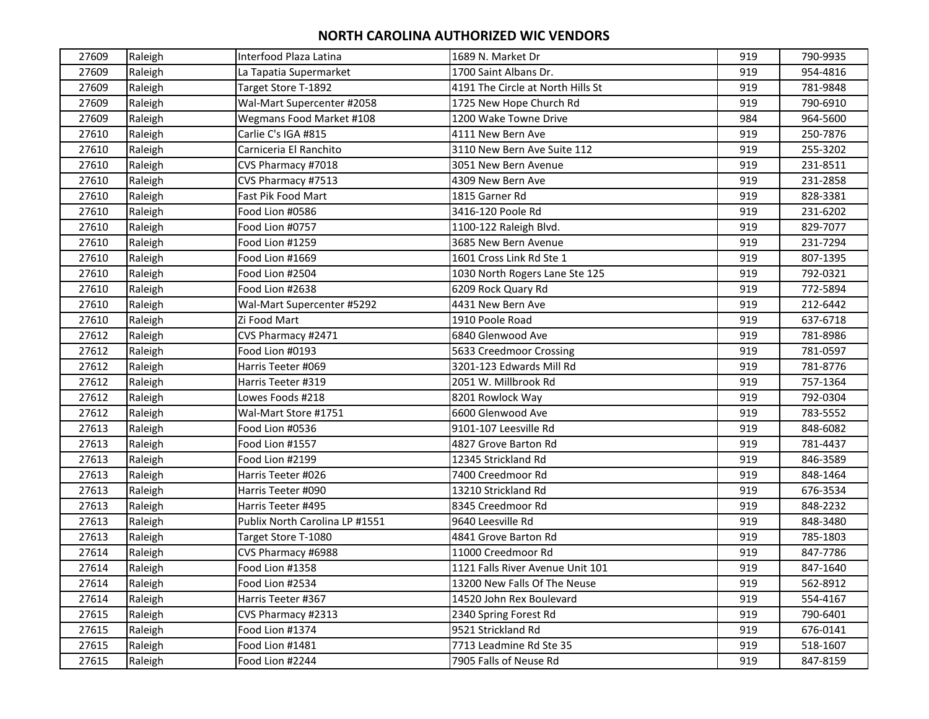| 27609 | Raleigh | Interfood Plaza Latina         | 1689 N. Market Dr                 | 919 | 790-9935 |
|-------|---------|--------------------------------|-----------------------------------|-----|----------|
| 27609 | Raleigh | La Tapatia Supermarket         | 1700 Saint Albans Dr.             | 919 | 954-4816 |
| 27609 | Raleigh | Target Store T-1892            | 4191 The Circle at North Hills St | 919 | 781-9848 |
| 27609 | Raleigh | Wal-Mart Supercenter #2058     | 1725 New Hope Church Rd           | 919 | 790-6910 |
| 27609 | Raleigh | Wegmans Food Market #108       | 1200 Wake Towne Drive             | 984 | 964-5600 |
| 27610 | Raleigh | Carlie C's IGA #815            | 4111 New Bern Ave                 | 919 | 250-7876 |
| 27610 | Raleigh | Carniceria El Ranchito         | 3110 New Bern Ave Suite 112       | 919 | 255-3202 |
| 27610 | Raleigh | CVS Pharmacy #7018             | 3051 New Bern Avenue              | 919 | 231-8511 |
| 27610 | Raleigh | CVS Pharmacy #7513             | 4309 New Bern Ave                 | 919 | 231-2858 |
| 27610 | Raleigh | Fast Pik Food Mart             | 1815 Garner Rd                    | 919 | 828-3381 |
| 27610 | Raleigh | Food Lion #0586                | 3416-120 Poole Rd                 | 919 | 231-6202 |
| 27610 | Raleigh | Food Lion #0757                | 1100-122 Raleigh Blvd.            | 919 | 829-7077 |
| 27610 | Raleigh | Food Lion #1259                | 3685 New Bern Avenue              | 919 | 231-7294 |
| 27610 | Raleigh | Food Lion #1669                | 1601 Cross Link Rd Ste 1          | 919 | 807-1395 |
| 27610 | Raleigh | Food Lion #2504                | 1030 North Rogers Lane Ste 125    | 919 | 792-0321 |
| 27610 | Raleigh | Food Lion #2638                | 6209 Rock Quary Rd                | 919 | 772-5894 |
| 27610 | Raleigh | Wal-Mart Supercenter #5292     | 4431 New Bern Ave                 | 919 | 212-6442 |
| 27610 | Raleigh | Zi Food Mart                   | 1910 Poole Road                   | 919 | 637-6718 |
| 27612 | Raleigh | CVS Pharmacy #2471             | 6840 Glenwood Ave                 | 919 | 781-8986 |
| 27612 | Raleigh | Food Lion #0193                | 5633 Creedmoor Crossing           | 919 | 781-0597 |
| 27612 | Raleigh | Harris Teeter #069             | 3201-123 Edwards Mill Rd          | 919 | 781-8776 |
| 27612 | Raleigh | Harris Teeter #319             | 2051 W. Millbrook Rd              | 919 | 757-1364 |
| 27612 | Raleigh | Lowes Foods #218               | 8201 Rowlock Way                  | 919 | 792-0304 |
| 27612 | Raleigh | Wal-Mart Store #1751           | 6600 Glenwood Ave                 | 919 | 783-5552 |
| 27613 | Raleigh | Food Lion #0536                | 9101-107 Leesville Rd             | 919 | 848-6082 |
| 27613 | Raleigh | Food Lion #1557                | 4827 Grove Barton Rd              | 919 | 781-4437 |
| 27613 | Raleigh | Food Lion #2199                | 12345 Strickland Rd               | 919 | 846-3589 |
| 27613 | Raleigh | Harris Teeter #026             | 7400 Creedmoor Rd                 | 919 | 848-1464 |
| 27613 | Raleigh | Harris Teeter #090             | 13210 Strickland Rd               | 919 | 676-3534 |
| 27613 | Raleigh | Harris Teeter #495             | 8345 Creedmoor Rd                 | 919 | 848-2232 |
| 27613 | Raleigh | Publix North Carolina LP #1551 | 9640 Leesville Rd                 | 919 | 848-3480 |
| 27613 | Raleigh | Target Store T-1080            | 4841 Grove Barton Rd              | 919 | 785-1803 |
| 27614 | Raleigh | CVS Pharmacy #6988             | 11000 Creedmoor Rd                | 919 | 847-7786 |
| 27614 | Raleigh | Food Lion #1358                | 1121 Falls River Avenue Unit 101  | 919 | 847-1640 |
| 27614 | Raleigh | Food Lion #2534                | 13200 New Falls Of The Neuse      | 919 | 562-8912 |
| 27614 | Raleigh | Harris Teeter #367             | 14520 John Rex Boulevard          | 919 | 554-4167 |
| 27615 | Raleigh | CVS Pharmacy #2313             | 2340 Spring Forest Rd             | 919 | 790-6401 |
| 27615 | Raleigh | Food Lion #1374                | 9521 Strickland Rd                | 919 | 676-0141 |
| 27615 | Raleigh | Food Lion #1481                | 7713 Leadmine Rd Ste 35           | 919 | 518-1607 |
| 27615 | Raleigh | Food Lion #2244                | 7905 Falls of Neuse Rd            | 919 | 847-8159 |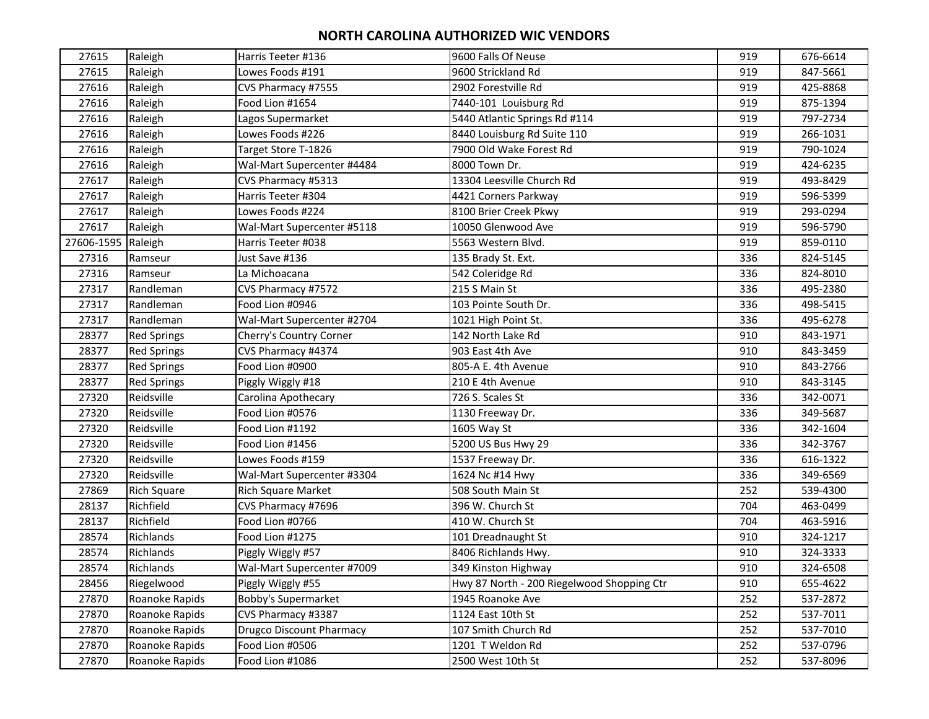| 27615              | Raleigh            | Harris Teeter #136              | 9600 Falls Of Neuse                        | 919 | 676-6614 |
|--------------------|--------------------|---------------------------------|--------------------------------------------|-----|----------|
| 27615              | Raleigh            | Lowes Foods #191                | 9600 Strickland Rd                         | 919 | 847-5661 |
| 27616              | Raleigh            | CVS Pharmacy #7555              | 2902 Forestville Rd                        | 919 | 425-8868 |
| 27616              | Raleigh            | Food Lion #1654                 | 7440-101 Louisburg Rd                      | 919 | 875-1394 |
| 27616              | Raleigh            | Lagos Supermarket               | 5440 Atlantic Springs Rd #114              | 919 | 797-2734 |
| 27616              | Raleigh            | Lowes Foods #226                | 8440 Louisburg Rd Suite 110                | 919 | 266-1031 |
| 27616              | Raleigh            | Target Store T-1826             | 7900 Old Wake Forest Rd                    | 919 | 790-1024 |
| 27616              | Raleigh            | Wal-Mart Supercenter #4484      | 8000 Town Dr.                              | 919 | 424-6235 |
| 27617              | Raleigh            | CVS Pharmacy #5313              | 13304 Leesville Church Rd                  | 919 | 493-8429 |
| 27617              | Raleigh            | Harris Teeter #304              | 4421 Corners Parkway                       | 919 | 596-5399 |
| 27617              | Raleigh            | Lowes Foods #224                | 8100 Brier Creek Pkwy                      | 919 | 293-0294 |
| 27617              | Raleigh            | Wal-Mart Supercenter #5118      | 10050 Glenwood Ave                         | 919 | 596-5790 |
| 27606-1595 Raleigh |                    | Harris Teeter #038              | 5563 Western Blvd.                         | 919 | 859-0110 |
| 27316              | Ramseur            | Just Save #136                  | 135 Brady St. Ext.                         | 336 | 824-5145 |
| 27316              | Ramseur            | La Michoacana                   | 542 Coleridge Rd                           | 336 | 824-8010 |
| 27317              | Randleman          | CVS Pharmacy #7572              | 215 S Main St                              | 336 | 495-2380 |
| 27317              | Randleman          | Food Lion #0946                 | 103 Pointe South Dr.                       | 336 | 498-5415 |
| 27317              | Randleman          | Wal-Mart Supercenter #2704      | 1021 High Point St.                        | 336 | 495-6278 |
| 28377              | <b>Red Springs</b> | Cherry's Country Corner         | 142 North Lake Rd                          | 910 | 843-1971 |
| 28377              | <b>Red Springs</b> | CVS Pharmacy #4374              | 903 East 4th Ave                           | 910 | 843-3459 |
| 28377              | <b>Red Springs</b> | Food Lion #0900                 | 805-A E. 4th Avenue                        | 910 | 843-2766 |
| 28377              | <b>Red Springs</b> | Piggly Wiggly #18               | 210 E 4th Avenue                           | 910 | 843-3145 |
| 27320              | Reidsville         | Carolina Apothecary             | 726 S. Scales St                           | 336 | 342-0071 |
| 27320              | Reidsville         | Food Lion #0576                 | 1130 Freeway Dr.                           | 336 | 349-5687 |
| 27320              | Reidsville         | Food Lion #1192                 | 1605 Way St                                | 336 | 342-1604 |
| 27320              | Reidsville         | Food Lion #1456                 | 5200 US Bus Hwy 29                         | 336 | 342-3767 |
| 27320              | Reidsville         | Lowes Foods #159                | 1537 Freeway Dr.                           | 336 | 616-1322 |
| 27320              | Reidsville         | Wal-Mart Supercenter #3304      | 1624 Nc #14 Hwy                            | 336 | 349-6569 |
| 27869              | <b>Rich Square</b> | <b>Rich Square Market</b>       | 508 South Main St                          | 252 | 539-4300 |
| 28137              | Richfield          | CVS Pharmacy #7696              | 396 W. Church St                           | 704 | 463-0499 |
| 28137              | Richfield          | Food Lion #0766                 | 410 W. Church St                           | 704 | 463-5916 |
| 28574              | Richlands          | Food Lion #1275                 | 101 Dreadnaught St                         | 910 | 324-1217 |
| 28574              | Richlands          | Piggly Wiggly #57               | 8406 Richlands Hwy.                        | 910 | 324-3333 |
| 28574              | Richlands          | Wal-Mart Supercenter #7009      | 349 Kinston Highway                        | 910 | 324-6508 |
| 28456              | Riegelwood         | Piggly Wiggly #55               | Hwy 87 North - 200 Riegelwood Shopping Ctr | 910 | 655-4622 |
| 27870              | Roanoke Rapids     | <b>Bobby's Supermarket</b>      | 1945 Roanoke Ave                           | 252 | 537-2872 |
| 27870              | Roanoke Rapids     | CVS Pharmacy #3387              | 1124 East 10th St                          | 252 | 537-7011 |
| 27870              | Roanoke Rapids     | <b>Drugco Discount Pharmacy</b> | 107 Smith Church Rd                        | 252 | 537-7010 |
| 27870              | Roanoke Rapids     | Food Lion #0506                 | 1201 T Weldon Rd                           | 252 | 537-0796 |
| 27870              | Roanoke Rapids     | Food Lion #1086                 | 2500 West 10th St                          | 252 | 537-8096 |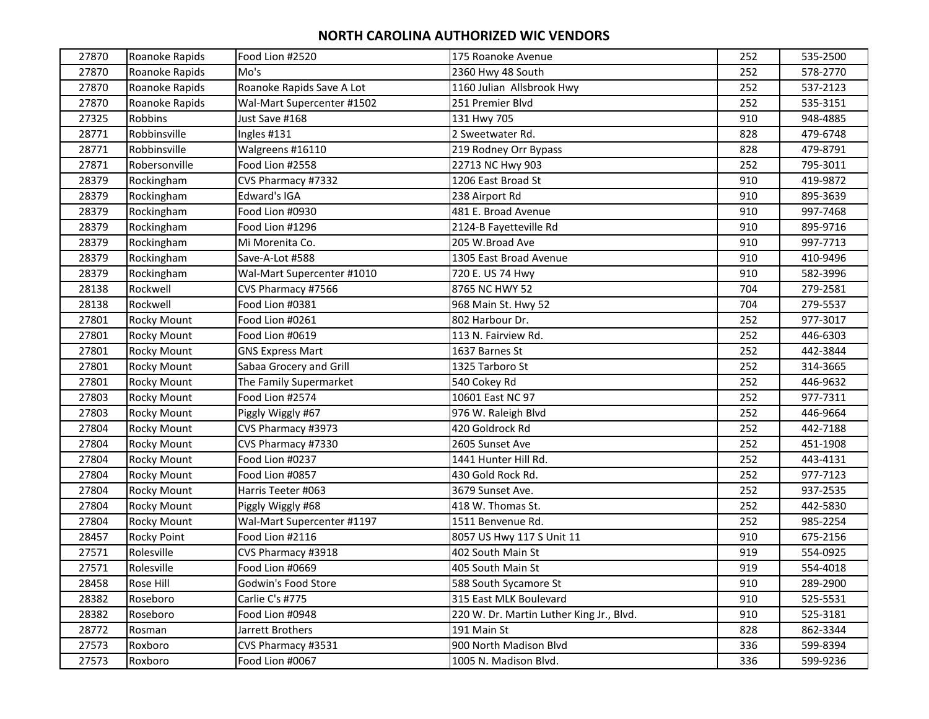| 27870 | Roanoke Rapids     | Food Lion #2520            | 175 Roanoke Avenue                       | 252 | 535-2500 |
|-------|--------------------|----------------------------|------------------------------------------|-----|----------|
| 27870 | Roanoke Rapids     | Mo's                       | 2360 Hwy 48 South                        | 252 | 578-2770 |
| 27870 | Roanoke Rapids     | Roanoke Rapids Save A Lot  | 1160 Julian Allsbrook Hwy                | 252 | 537-2123 |
| 27870 | Roanoke Rapids     | Wal-Mart Supercenter #1502 | 251 Premier Blvd                         | 252 | 535-3151 |
| 27325 | Robbins            | Just Save #168             | 131 Hwy 705                              | 910 | 948-4885 |
| 28771 | Robbinsville       | Ingles #131                | 2 Sweetwater Rd.                         | 828 | 479-6748 |
| 28771 | Robbinsville       | Walgreens #16110           | 219 Rodney Orr Bypass                    | 828 | 479-8791 |
| 27871 | Robersonville      | Food Lion #2558            | 22713 NC Hwy 903                         | 252 | 795-3011 |
| 28379 | Rockingham         | CVS Pharmacy #7332         | 1206 East Broad St                       | 910 | 419-9872 |
| 28379 | Rockingham         | Edward's IGA               | 238 Airport Rd                           | 910 | 895-3639 |
| 28379 | Rockingham         | Food Lion #0930            | 481 E. Broad Avenue                      | 910 | 997-7468 |
| 28379 | Rockingham         | Food Lion #1296            | 2124-B Fayetteville Rd                   | 910 | 895-9716 |
| 28379 | Rockingham         | Mi Morenita Co.            | 205 W.Broad Ave                          | 910 | 997-7713 |
| 28379 | Rockingham         | Save-A-Lot #588            | 1305 East Broad Avenue                   | 910 | 410-9496 |
| 28379 | Rockingham         | Wal-Mart Supercenter #1010 | 720 E. US 74 Hwy                         | 910 | 582-3996 |
| 28138 | Rockwell           | CVS Pharmacy #7566         | 8765 NC HWY 52                           | 704 | 279-2581 |
| 28138 | Rockwell           | Food Lion #0381            | 968 Main St. Hwy 52                      | 704 | 279-5537 |
| 27801 | <b>Rocky Mount</b> | Food Lion #0261            | 802 Harbour Dr.                          | 252 | 977-3017 |
| 27801 | <b>Rocky Mount</b> | Food Lion #0619            | 113 N. Fairview Rd.                      | 252 | 446-6303 |
| 27801 | <b>Rocky Mount</b> | <b>GNS Express Mart</b>    | 1637 Barnes St                           | 252 | 442-3844 |
| 27801 | Rocky Mount        | Sabaa Grocery and Grill    | 1325 Tarboro St                          | 252 | 314-3665 |
| 27801 | Rocky Mount        | The Family Supermarket     | 540 Cokey Rd                             | 252 | 446-9632 |
| 27803 | <b>Rocky Mount</b> | Food Lion #2574            | 10601 East NC 97                         | 252 | 977-7311 |
| 27803 | <b>Rocky Mount</b> | Piggly Wiggly #67          | 976 W. Raleigh Blvd                      | 252 | 446-9664 |
| 27804 | Rocky Mount        | CVS Pharmacy #3973         | 420 Goldrock Rd                          | 252 | 442-7188 |
| 27804 | Rocky Mount        | CVS Pharmacy #7330         | 2605 Sunset Ave                          | 252 | 451-1908 |
| 27804 | Rocky Mount        | Food Lion #0237            | 1441 Hunter Hill Rd.                     | 252 | 443-4131 |
| 27804 | <b>Rocky Mount</b> | Food Lion #0857            | 430 Gold Rock Rd.                        | 252 | 977-7123 |
| 27804 | <b>Rocky Mount</b> | Harris Teeter #063         | 3679 Sunset Ave.                         | 252 | 937-2535 |
| 27804 | Rocky Mount        | Piggly Wiggly #68          | 418 W. Thomas St.                        | 252 | 442-5830 |
| 27804 | Rocky Mount        | Wal-Mart Supercenter #1197 | 1511 Benvenue Rd.                        | 252 | 985-2254 |
| 28457 | Rocky Point        | Food Lion #2116            | 8057 US Hwy 117 S Unit 11                | 910 | 675-2156 |
| 27571 | Rolesville         | CVS Pharmacy #3918         | 402 South Main St                        | 919 | 554-0925 |
| 27571 | Rolesville         | Food Lion #0669            | 405 South Main St                        | 919 | 554-4018 |
| 28458 | Rose Hill          | Godwin's Food Store        | 588 South Sycamore St                    | 910 | 289-2900 |
| 28382 | Roseboro           | Carlie C's #775            | 315 East MLK Boulevard                   | 910 | 525-5531 |
| 28382 | Roseboro           | Food Lion #0948            | 220 W. Dr. Martin Luther King Jr., Blvd. | 910 | 525-3181 |
| 28772 | Rosman             | Jarrett Brothers           | 191 Main St                              | 828 | 862-3344 |
| 27573 | Roxboro            | CVS Pharmacy #3531         | 900 North Madison Blvd                   | 336 | 599-8394 |
| 27573 | Roxboro            | Food Lion #0067            | 1005 N. Madison Blvd.                    | 336 | 599-9236 |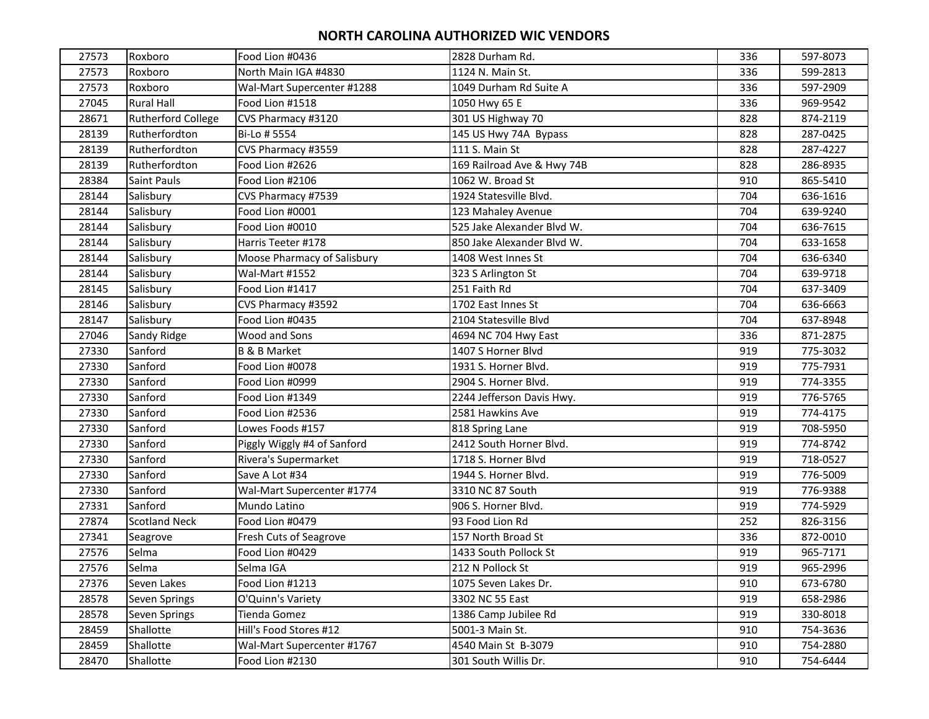| 27573 | Roxboro                   | Food Lion #0436             | 2828 Durham Rd.            | 336 | 597-8073 |
|-------|---------------------------|-----------------------------|----------------------------|-----|----------|
| 27573 | Roxboro                   | North Main IGA #4830        | 1124 N. Main St.           | 336 | 599-2813 |
| 27573 | Roxboro                   | Wal-Mart Supercenter #1288  | 1049 Durham Rd Suite A     | 336 | 597-2909 |
| 27045 | <b>Rural Hall</b>         | Food Lion #1518             | 1050 Hwy 65 E              | 336 | 969-9542 |
| 28671 | <b>Rutherford College</b> | CVS Pharmacy #3120          | 301 US Highway 70          | 828 | 874-2119 |
| 28139 | Rutherfordton             | Bi-Lo # 5554                | 145 US Hwy 74A Bypass      | 828 | 287-0425 |
| 28139 | Rutherfordton             | CVS Pharmacy #3559          | 111 S. Main St             | 828 | 287-4227 |
| 28139 | Rutherfordton             | Food Lion #2626             | 169 Railroad Ave & Hwy 74B | 828 | 286-8935 |
| 28384 | Saint Pauls               | Food Lion #2106             | 1062 W. Broad St           | 910 | 865-5410 |
| 28144 | Salisbury                 | CVS Pharmacy #7539          | 1924 Statesville Blvd.     | 704 | 636-1616 |
| 28144 | Salisbury                 | Food Lion #0001             | 123 Mahaley Avenue         | 704 | 639-9240 |
| 28144 | Salisbury                 | Food Lion #0010             | 525 Jake Alexander Blvd W. | 704 | 636-7615 |
| 28144 | Salisbury                 | Harris Teeter #178          | 850 Jake Alexander Blvd W. | 704 | 633-1658 |
| 28144 | Salisbury                 | Moose Pharmacy of Salisbury | 1408 West Innes St         | 704 | 636-6340 |
| 28144 | Salisbury                 | Wal-Mart #1552              | 323 S Arlington St         | 704 | 639-9718 |
| 28145 | Salisbury                 | Food Lion #1417             | 251 Faith Rd               | 704 | 637-3409 |
| 28146 | Salisbury                 | CVS Pharmacy #3592          | 1702 East Innes St         | 704 | 636-6663 |
| 28147 | Salisbury                 | Food Lion #0435             | 2104 Statesville Blvd      | 704 | 637-8948 |
| 27046 | Sandy Ridge               | Wood and Sons               | 4694 NC 704 Hwy East       | 336 | 871-2875 |
| 27330 | Sanford                   | <b>B &amp; B Market</b>     | 1407 S Horner Blvd         | 919 | 775-3032 |
| 27330 | Sanford                   | Food Lion #0078             | 1931 S. Horner Blvd.       | 919 | 775-7931 |
| 27330 | Sanford                   | Food Lion #0999             | 2904 S. Horner Blvd.       | 919 | 774-3355 |
| 27330 | Sanford                   | Food Lion #1349             | 2244 Jefferson Davis Hwy.  | 919 | 776-5765 |
| 27330 | Sanford                   | Food Lion #2536             | 2581 Hawkins Ave           | 919 | 774-4175 |
| 27330 | Sanford                   | Lowes Foods #157            | 818 Spring Lane            | 919 | 708-5950 |
| 27330 | Sanford                   | Piggly Wiggly #4 of Sanford | 2412 South Horner Blvd.    | 919 | 774-8742 |
| 27330 | Sanford                   | Rivera's Supermarket        | 1718 S. Horner Blvd        | 919 | 718-0527 |
| 27330 | Sanford                   | Save A Lot #34              | 1944 S. Horner Blvd.       | 919 | 776-5009 |
| 27330 | Sanford                   | Wal-Mart Supercenter #1774  | 3310 NC 87 South           | 919 | 776-9388 |
| 27331 | Sanford                   | Mundo Latino                | 906 S. Horner Blvd.        | 919 | 774-5929 |
| 27874 | <b>Scotland Neck</b>      | Food Lion #0479             | 93 Food Lion Rd            | 252 | 826-3156 |
| 27341 | Seagrove                  | Fresh Cuts of Seagrove      | 157 North Broad St         | 336 | 872-0010 |
| 27576 | Selma                     | Food Lion #0429             | 1433 South Pollock St      | 919 | 965-7171 |
| 27576 | Selma                     | Selma IGA                   | 212 N Pollock St           | 919 | 965-2996 |
| 27376 | Seven Lakes               | Food Lion #1213             | 1075 Seven Lakes Dr.       | 910 | 673-6780 |
| 28578 | Seven Springs             | O'Quinn's Variety           | 3302 NC 55 East            | 919 | 658-2986 |
| 28578 | Seven Springs             | Tienda Gomez                | 1386 Camp Jubilee Rd       | 919 | 330-8018 |
| 28459 | Shallotte                 | Hill's Food Stores #12      | 5001-3 Main St.            | 910 | 754-3636 |
| 28459 | Shallotte                 | Wal-Mart Supercenter #1767  | 4540 Main St B-3079        | 910 | 754-2880 |
| 28470 | Shallotte                 | Food Lion #2130             | 301 South Willis Dr.       | 910 | 754-6444 |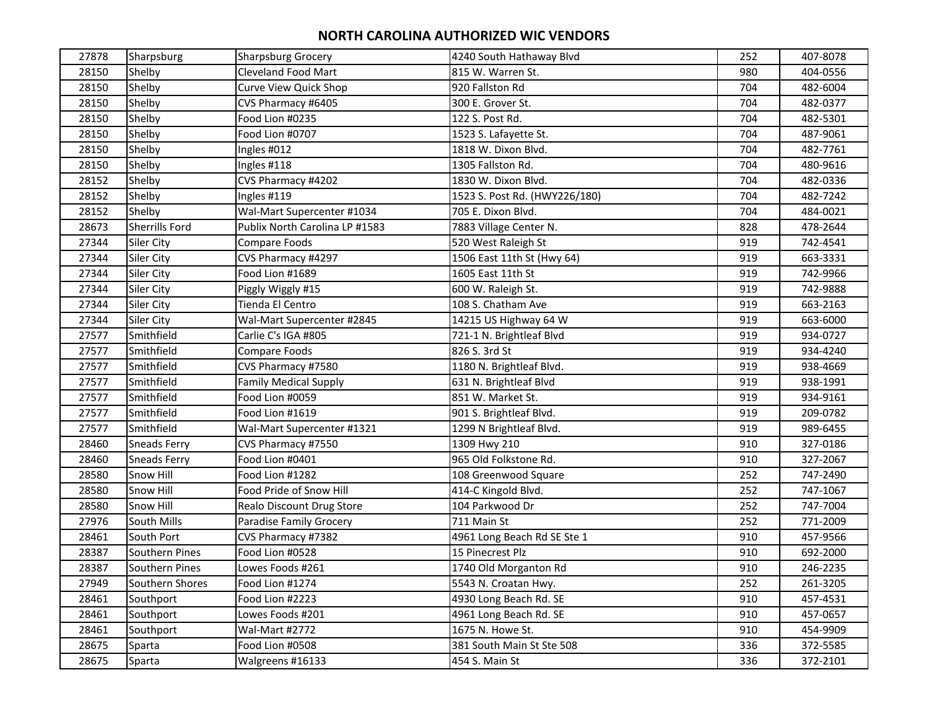| 27878 | Sharpsburg          | <b>Sharpsburg Grocery</b>      | 4240 South Hathaway Blvd      | 252 | 407-8078 |
|-------|---------------------|--------------------------------|-------------------------------|-----|----------|
| 28150 | Shelby              | <b>Cleveland Food Mart</b>     | 815 W. Warren St.             | 980 | 404-0556 |
| 28150 | Shelby              | <b>Curve View Quick Shop</b>   | 920 Fallston Rd               | 704 | 482-6004 |
| 28150 | Shelby              | CVS Pharmacy #6405             | 300 E. Grover St.             | 704 | 482-0377 |
| 28150 | Shelby              | Food Lion #0235                | 122 S. Post Rd.               | 704 | 482-5301 |
| 28150 | Shelby              | Food Lion #0707                | 1523 S. Lafayette St.         | 704 | 487-9061 |
| 28150 | Shelby              | Ingles #012                    | 1818 W. Dixon Blvd.           | 704 | 482-7761 |
| 28150 | Shelby              | Ingles #118                    | 1305 Fallston Rd.             | 704 | 480-9616 |
| 28152 | Shelby              | CVS Pharmacy #4202             | 1830 W. Dixon Blvd.           | 704 | 482-0336 |
| 28152 | Shelby              | Ingles #119                    | 1523 S. Post Rd. (HWY226/180) | 704 | 482-7242 |
| 28152 | Shelby              | Wal-Mart Supercenter #1034     | 705 E. Dixon Blvd.            | 704 | 484-0021 |
| 28673 | Sherrills Ford      | Publix North Carolina LP #1583 | 7883 Village Center N.        | 828 | 478-2644 |
| 27344 | <b>Siler City</b>   | Compare Foods                  | 520 West Raleigh St           | 919 | 742-4541 |
| 27344 | Siler City          | CVS Pharmacy #4297             | 1506 East 11th St (Hwy 64)    | 919 | 663-3331 |
| 27344 | Siler City          | Food Lion #1689                | 1605 East 11th St             | 919 | 742-9966 |
| 27344 | Siler City          | Piggly Wiggly #15              | 600 W. Raleigh St.            | 919 | 742-9888 |
| 27344 | Siler City          | Tienda El Centro               | 108 S. Chatham Ave            | 919 | 663-2163 |
| 27344 | Siler City          | Wal-Mart Supercenter #2845     | 14215 US Highway 64 W         | 919 | 663-6000 |
| 27577 | Smithfield          | Carlie C's IGA #805            | 721-1 N. Brightleaf Blvd      | 919 | 934-0727 |
| 27577 | Smithfield          | Compare Foods                  | 826 S. 3rd St                 | 919 | 934-4240 |
| 27577 | Smithfield          | CVS Pharmacy #7580             | 1180 N. Brightleaf Blvd.      | 919 | 938-4669 |
| 27577 | Smithfield          | <b>Family Medical Supply</b>   | 631 N. Brightleaf Blvd        | 919 | 938-1991 |
| 27577 | Smithfield          | Food Lion #0059                | 851 W. Market St.             | 919 | 934-9161 |
| 27577 | Smithfield          | Food Lion #1619                | 901 S. Brightleaf Blvd.       | 919 | 209-0782 |
| 27577 | Smithfield          | Wal-Mart Supercenter #1321     | 1299 N Brightleaf Blvd.       | 919 | 989-6455 |
| 28460 | <b>Sneads Ferry</b> | CVS Pharmacy #7550             | 1309 Hwy 210                  | 910 | 327-0186 |
| 28460 | <b>Sneads Ferry</b> | Food Lion #0401                | 965 Old Folkstone Rd.         | 910 | 327-2067 |
| 28580 | Snow Hill           | Food Lion #1282                | 108 Greenwood Square          | 252 | 747-2490 |
| 28580 | Snow Hill           | Food Pride of Snow Hill        | 414-C Kingold Blvd.           | 252 | 747-1067 |
| 28580 | Snow Hill           | Realo Discount Drug Store      | 104 Parkwood Dr               | 252 | 747-7004 |
| 27976 | South Mills         | Paradise Family Grocery        | 711 Main St                   | 252 | 771-2009 |
| 28461 | South Port          | CVS Pharmacy #7382             | 4961 Long Beach Rd SE Ste 1   | 910 | 457-9566 |
| 28387 | Southern Pines      | Food Lion #0528                | 15 Pinecrest Plz              | 910 | 692-2000 |
| 28387 | Southern Pines      | Lowes Foods #261               | 1740 Old Morganton Rd         | 910 | 246-2235 |
| 27949 | Southern Shores     | Food Lion #1274                | 5543 N. Croatan Hwy.          | 252 | 261-3205 |
| 28461 | Southport           | Food Lion #2223                | 4930 Long Beach Rd. SE        | 910 | 457-4531 |
| 28461 | Southport           | Lowes Foods #201               | 4961 Long Beach Rd. SE        | 910 | 457-0657 |
| 28461 | Southport           | Wal-Mart #2772                 | 1675 N. Howe St.              | 910 | 454-9909 |
| 28675 | Sparta              | Food Lion #0508                | 381 South Main St Ste 508     | 336 | 372-5585 |
| 28675 | Sparta              | Walgreens #16133               | 454 S. Main St                | 336 | 372-2101 |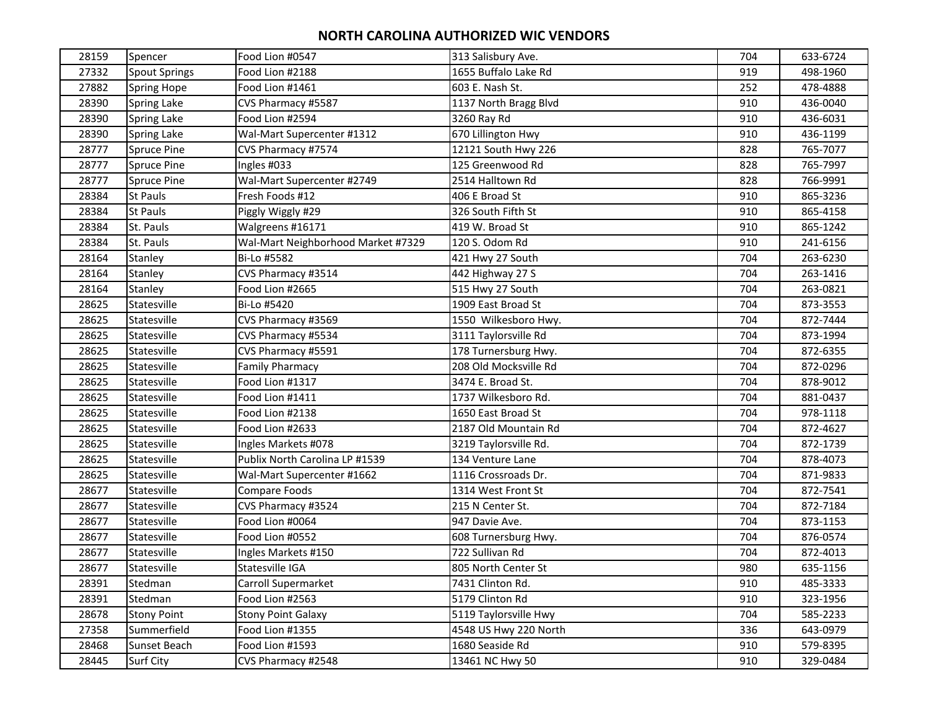| 28159 | Spencer              | Food Lion #0547                    | 313 Salisbury Ave.    | 704 | 633-6724 |
|-------|----------------------|------------------------------------|-----------------------|-----|----------|
| 27332 | <b>Spout Springs</b> | Food Lion #2188                    | 1655 Buffalo Lake Rd  | 919 | 498-1960 |
| 27882 | Spring Hope          | Food Lion #1461                    | 603 E. Nash St.       | 252 | 478-4888 |
| 28390 | Spring Lake          | CVS Pharmacy #5587                 | 1137 North Bragg Blvd | 910 | 436-0040 |
| 28390 | Spring Lake          | Food Lion #2594                    | 3260 Ray Rd           | 910 | 436-6031 |
| 28390 | Spring Lake          | Wal-Mart Supercenter #1312         | 670 Lillington Hwy    | 910 | 436-1199 |
| 28777 | Spruce Pine          | CVS Pharmacy #7574                 | 12121 South Hwy 226   | 828 | 765-7077 |
| 28777 | Spruce Pine          | Ingles #033                        | 125 Greenwood Rd      | 828 | 765-7997 |
| 28777 | <b>Spruce Pine</b>   | Wal-Mart Supercenter #2749         | 2514 Halltown Rd      | 828 | 766-9991 |
| 28384 | St Pauls             | Fresh Foods #12                    | 406 E Broad St        | 910 | 865-3236 |
| 28384 | St Pauls             | Piggly Wiggly #29                  | 326 South Fifth St    | 910 | 865-4158 |
| 28384 | St. Pauls            | Walgreens #16171                   | 419 W. Broad St       | 910 | 865-1242 |
| 28384 | St. Pauls            | Wal-Mart Neighborhood Market #7329 | 120 S. Odom Rd        | 910 | 241-6156 |
| 28164 | Stanley              | Bi-Lo #5582                        | 421 Hwy 27 South      | 704 | 263-6230 |
| 28164 | Stanley              | CVS Pharmacy #3514                 | 442 Highway 27 S      | 704 | 263-1416 |
| 28164 | Stanley              | Food Lion #2665                    | 515 Hwy 27 South      | 704 | 263-0821 |
| 28625 | Statesville          | Bi-Lo #5420                        | 1909 East Broad St    | 704 | 873-3553 |
| 28625 | Statesville          | CVS Pharmacy #3569                 | 1550 Wilkesboro Hwy.  | 704 | 872-7444 |
| 28625 | Statesville          | CVS Pharmacy #5534                 | 3111 Taylorsville Rd  | 704 | 873-1994 |
| 28625 | Statesville          | CVS Pharmacy #5591                 | 178 Turnersburg Hwy.  | 704 | 872-6355 |
| 28625 | Statesville          | <b>Family Pharmacy</b>             | 208 Old Mocksville Rd | 704 | 872-0296 |
| 28625 | Statesville          | Food Lion #1317                    | 3474 E. Broad St.     | 704 | 878-9012 |
| 28625 | Statesville          | Food Lion #1411                    | 1737 Wilkesboro Rd.   | 704 | 881-0437 |
| 28625 | Statesville          | Food Lion #2138                    | 1650 East Broad St    | 704 | 978-1118 |
| 28625 | Statesville          | Food Lion #2633                    | 2187 Old Mountain Rd  | 704 | 872-4627 |
| 28625 | Statesville          | Ingles Markets #078                | 3219 Taylorsville Rd. | 704 | 872-1739 |
| 28625 | Statesville          | Publix North Carolina LP #1539     | 134 Venture Lane      | 704 | 878-4073 |
| 28625 | Statesville          | Wal-Mart Supercenter #1662         | 1116 Crossroads Dr.   | 704 | 871-9833 |
| 28677 | Statesville          | Compare Foods                      | 1314 West Front St    | 704 | 872-7541 |
| 28677 | Statesville          | CVS Pharmacy #3524                 | 215 N Center St.      | 704 | 872-7184 |
| 28677 | Statesville          | Food Lion #0064                    | 947 Davie Ave.        | 704 | 873-1153 |
| 28677 | Statesville          | Food Lion #0552                    | 608 Turnersburg Hwy.  | 704 | 876-0574 |
| 28677 | Statesville          | Ingles Markets #150                | 722 Sullivan Rd       | 704 | 872-4013 |
| 28677 | Statesville          | Statesville IGA                    | 805 North Center St   | 980 | 635-1156 |
| 28391 | Stedman              | Carroll Supermarket                | 7431 Clinton Rd.      | 910 | 485-3333 |
| 28391 | Stedman              | Food Lion #2563                    | 5179 Clinton Rd       | 910 | 323-1956 |
| 28678 | <b>Stony Point</b>   | <b>Stony Point Galaxy</b>          | 5119 Taylorsville Hwy | 704 | 585-2233 |
| 27358 | Summerfield          | Food Lion #1355                    | 4548 US Hwy 220 North | 336 | 643-0979 |
| 28468 | Sunset Beach         | Food Lion #1593                    | 1680 Seaside Rd       | 910 | 579-8395 |
| 28445 | Surf City            | CVS Pharmacy #2548                 | 13461 NC Hwy 50       | 910 | 329-0484 |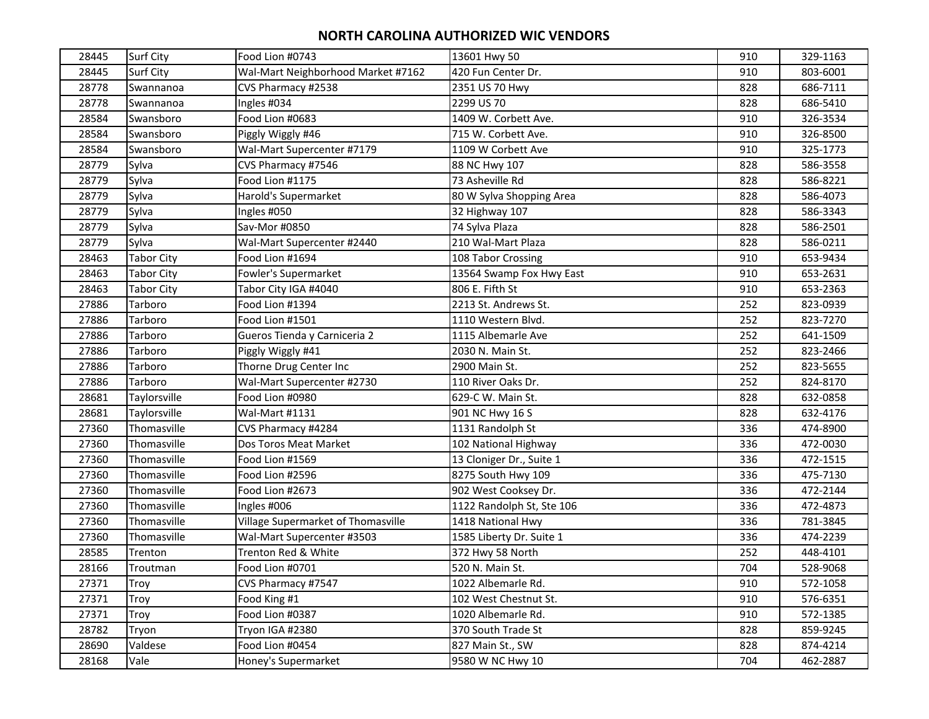| 28445 | Surf City         | Food Lion #0743                    | 13601 Hwy 50              | 910 | 329-1163 |
|-------|-------------------|------------------------------------|---------------------------|-----|----------|
| 28445 | Surf City         | Wal-Mart Neighborhood Market #7162 | 420 Fun Center Dr.        | 910 | 803-6001 |
| 28778 | Swannanoa         | CVS Pharmacy #2538                 | 2351 US 70 Hwy            | 828 | 686-7111 |
| 28778 | Swannanoa         | Ingles #034                        | 2299 US 70                | 828 | 686-5410 |
| 28584 | Swansboro         | Food Lion #0683                    | 1409 W. Corbett Ave.      | 910 | 326-3534 |
| 28584 | Swansboro         | Piggly Wiggly #46                  | 715 W. Corbett Ave.       | 910 | 326-8500 |
| 28584 | Swansboro         | Wal-Mart Supercenter #7179         | 1109 W Corbett Ave        | 910 | 325-1773 |
| 28779 | Sylva             | CVS Pharmacy #7546                 | 88 NC Hwy 107             | 828 | 586-3558 |
| 28779 | Sylva             | Food Lion #1175                    | 73 Asheville Rd           | 828 | 586-8221 |
| 28779 | Sylva             | Harold's Supermarket               | 80 W Sylva Shopping Area  | 828 | 586-4073 |
| 28779 | Sylva             | Ingles #050                        | 32 Highway 107            | 828 | 586-3343 |
| 28779 | Sylva             | Sav-Mor #0850                      | 74 Sylva Plaza            | 828 | 586-2501 |
| 28779 | Sylva             | Wal-Mart Supercenter #2440         | 210 Wal-Mart Plaza        | 828 | 586-0211 |
| 28463 | <b>Tabor City</b> | Food Lion #1694                    | 108 Tabor Crossing        | 910 | 653-9434 |
| 28463 | <b>Tabor City</b> | Fowler's Supermarket               | 13564 Swamp Fox Hwy East  | 910 | 653-2631 |
| 28463 | Tabor City        | Tabor City IGA #4040               | 806 E. Fifth St           | 910 | 653-2363 |
| 27886 | Tarboro           | Food Lion #1394                    | 2213 St. Andrews St.      | 252 | 823-0939 |
| 27886 | Tarboro           | Food Lion #1501                    | 1110 Western Blvd.        | 252 | 823-7270 |
| 27886 | Tarboro           | Gueros Tienda y Carniceria 2       | 1115 Albemarle Ave        | 252 | 641-1509 |
| 27886 | Tarboro           | Piggly Wiggly #41                  | 2030 N. Main St.          | 252 | 823-2466 |
| 27886 | Tarboro           | Thorne Drug Center Inc             | 2900 Main St.             | 252 | 823-5655 |
| 27886 | Tarboro           | Wal-Mart Supercenter #2730         | 110 River Oaks Dr.        | 252 | 824-8170 |
| 28681 | Taylorsville      | Food Lion #0980                    | 629-C W. Main St.         | 828 | 632-0858 |
| 28681 | Taylorsville      | Wal-Mart #1131                     | 901 NC Hwy 16 S           | 828 | 632-4176 |
| 27360 | Thomasville       | CVS Pharmacy #4284                 | 1131 Randolph St          | 336 | 474-8900 |
| 27360 | Thomasville       | Dos Toros Meat Market              | 102 National Highway      | 336 | 472-0030 |
| 27360 | Thomasville       | Food Lion #1569                    | 13 Cloniger Dr., Suite 1  | 336 | 472-1515 |
| 27360 | Thomasville       | Food Lion #2596                    | 8275 South Hwy 109        | 336 | 475-7130 |
| 27360 | Thomasville       | Food Lion #2673                    | 902 West Cooksey Dr.      | 336 | 472-2144 |
| 27360 | Thomasville       | Ingles #006                        | 1122 Randolph St, Ste 106 | 336 | 472-4873 |
| 27360 | Thomasville       | Village Supermarket of Thomasville | 1418 National Hwy         | 336 | 781-3845 |
| 27360 | Thomasville       | Wal-Mart Supercenter #3503         | 1585 Liberty Dr. Suite 1  | 336 | 474-2239 |
| 28585 | Trenton           | Trenton Red & White                | 372 Hwy 58 North          | 252 | 448-4101 |
| 28166 | Troutman          | Food Lion #0701                    | 520 N. Main St.           | 704 | 528-9068 |
| 27371 | Troy              | CVS Pharmacy #7547                 | 1022 Albemarle Rd.        | 910 | 572-1058 |
| 27371 | Troy              | Food King #1                       | 102 West Chestnut St.     | 910 | 576-6351 |
| 27371 | Troy              | Food Lion #0387                    | 1020 Albemarle Rd.        | 910 | 572-1385 |
| 28782 | Tryon             | Tryon IGA #2380                    | 370 South Trade St        | 828 | 859-9245 |
| 28690 | Valdese           | Food Lion #0454                    | 827 Main St., SW          | 828 | 874-4214 |
| 28168 | Vale              | Honey's Supermarket                | 9580 W NC Hwy 10          | 704 | 462-2887 |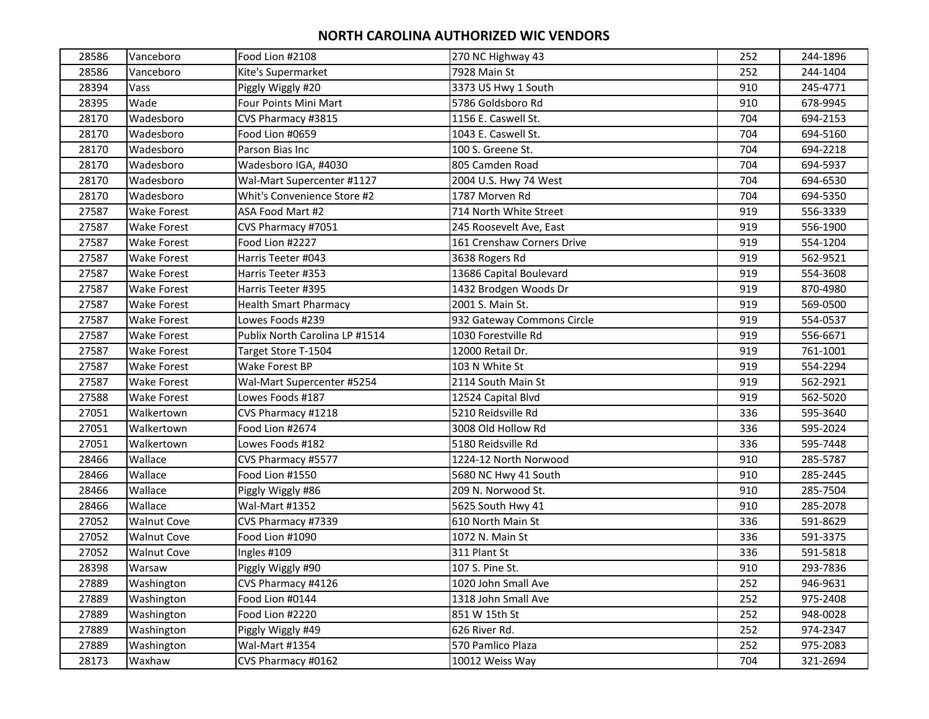| 28586 | Vanceboro          | Food Lion #2108                | 270 NC Highway 43          | 252 | 244-1896 |
|-------|--------------------|--------------------------------|----------------------------|-----|----------|
| 28586 | Vanceboro          | Kite's Supermarket             | 7928 Main St               | 252 | 244-1404 |
| 28394 | Vass               | Piggly Wiggly #20              | 3373 US Hwy 1 South        | 910 | 245-4771 |
| 28395 | Wade               | Four Points Mini Mart          | 5786 Goldsboro Rd          | 910 | 678-9945 |
| 28170 | Wadesboro          | CVS Pharmacy #3815             | 1156 E. Caswell St.        | 704 | 694-2153 |
| 28170 | Wadesboro          | Food Lion #0659                | 1043 E. Caswell St.        | 704 | 694-5160 |
| 28170 | Wadesboro          | Parson Bias Inc                | 100 S. Greene St.          | 704 | 694-2218 |
| 28170 | Wadesboro          | Wadesboro IGA, #4030           | 805 Camden Road            | 704 | 694-5937 |
| 28170 | Wadesboro          | Wal-Mart Supercenter #1127     | 2004 U.S. Hwy 74 West      | 704 | 694-6530 |
| 28170 | Wadesboro          | Whit's Convenience Store #2    | 1787 Morven Rd             | 704 | 694-5350 |
| 27587 | <b>Wake Forest</b> | ASA Food Mart #2               | 714 North White Street     | 919 | 556-3339 |
| 27587 | <b>Wake Forest</b> | CVS Pharmacy #7051             | 245 Roosevelt Ave, East    | 919 | 556-1900 |
| 27587 | <b>Wake Forest</b> | Food Lion #2227                | 161 Crenshaw Corners Drive | 919 | 554-1204 |
| 27587 | <b>Wake Forest</b> | Harris Teeter #043             | 3638 Rogers Rd             | 919 | 562-9521 |
| 27587 | <b>Wake Forest</b> | Harris Teeter #353             | 13686 Capital Boulevard    | 919 | 554-3608 |
| 27587 | <b>Wake Forest</b> | Harris Teeter #395             | 1432 Brodgen Woods Dr      | 919 | 870-4980 |
| 27587 | <b>Wake Forest</b> | <b>Health Smart Pharmacy</b>   | 2001 S. Main St.           | 919 | 569-0500 |
| 27587 | <b>Wake Forest</b> | Lowes Foods #239               | 932 Gateway Commons Circle | 919 | 554-0537 |
| 27587 | <b>Wake Forest</b> | Publix North Carolina LP #1514 | 1030 Forestville Rd        | 919 | 556-6671 |
| 27587 | <b>Wake Forest</b> | Target Store T-1504            | 12000 Retail Dr.           | 919 | 761-1001 |
| 27587 | Wake Forest        | Wake Forest BP                 | 103 N White St             | 919 | 554-2294 |
| 27587 | <b>Wake Forest</b> | Wal-Mart Supercenter #5254     | 2114 South Main St         | 919 | 562-2921 |
| 27588 | <b>Wake Forest</b> | Lowes Foods #187               | 12524 Capital Blvd         | 919 | 562-5020 |
| 27051 | Walkertown         | CVS Pharmacy #1218             | 5210 Reidsville Rd         | 336 | 595-3640 |
| 27051 | Walkertown         | Food Lion #2674                | 3008 Old Hollow Rd         | 336 | 595-2024 |
| 27051 | Walkertown         | Lowes Foods #182               | 5180 Reidsville Rd         | 336 | 595-7448 |
| 28466 | Wallace            | CVS Pharmacy #5577             | 1224-12 North Norwood      | 910 | 285-5787 |
| 28466 | Wallace            | Food Lion #1550                | 5680 NC Hwy 41 South       | 910 | 285-2445 |
| 28466 | Wallace            | Piggly Wiggly #86              | 209 N. Norwood St.         | 910 | 285-7504 |
| 28466 | Wallace            | Wal-Mart #1352                 | 5625 South Hwy 41          | 910 | 285-2078 |
| 27052 | <b>Walnut Cove</b> | CVS Pharmacy #7339             | 610 North Main St          | 336 | 591-8629 |
| 27052 | <b>Walnut Cove</b> | Food Lion #1090                | 1072 N. Main St            | 336 | 591-3375 |
| 27052 | <b>Walnut Cove</b> | Ingles #109                    | 311 Plant St               | 336 | 591-5818 |
| 28398 | Warsaw             | Piggly Wiggly #90              | 107 S. Pine St.            | 910 | 293-7836 |
| 27889 | Washington         | CVS Pharmacy #4126             | 1020 John Small Ave        | 252 | 946-9631 |
| 27889 | Washington         | Food Lion #0144                | 1318 John Small Ave        | 252 | 975-2408 |
| 27889 | Washington         | Food Lion #2220                | 851 W 15th St              | 252 | 948-0028 |
| 27889 | Washington         | Piggly Wiggly #49              | 626 River Rd.              | 252 | 974-2347 |
| 27889 | Washington         | Wal-Mart #1354                 | 570 Pamlico Plaza          | 252 | 975-2083 |
| 28173 | Waxhaw             | CVS Pharmacy #0162             | 10012 Weiss Way            | 704 | 321-2694 |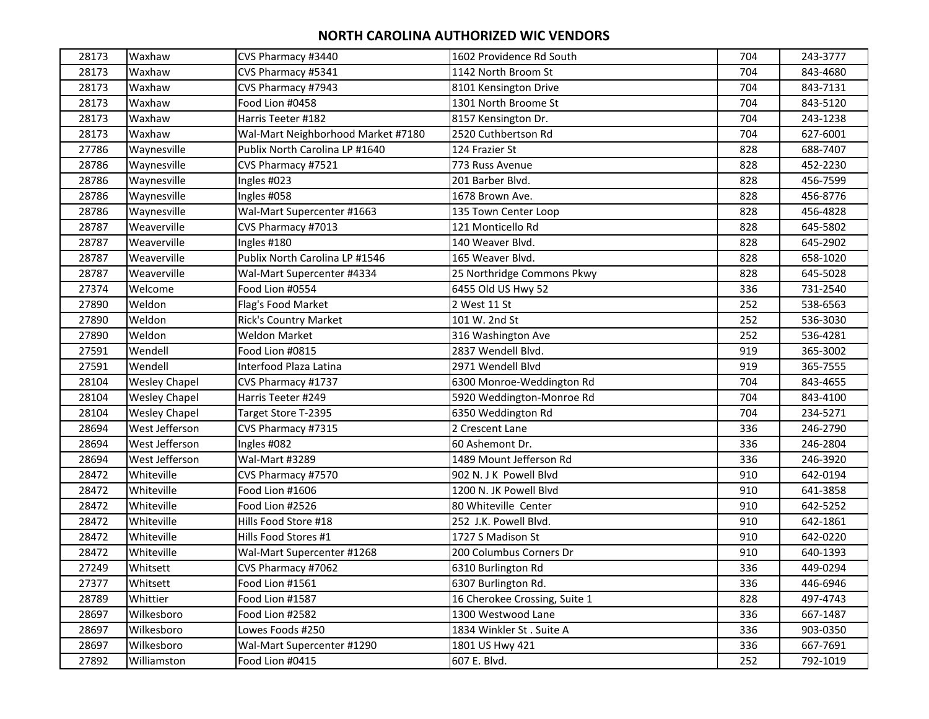| 28173 | Waxhaw               | CVS Pharmacy #3440                 | 1602 Providence Rd South      | 704 | 243-3777 |
|-------|----------------------|------------------------------------|-------------------------------|-----|----------|
| 28173 | Waxhaw               | CVS Pharmacy #5341                 | 1142 North Broom St           | 704 | 843-4680 |
| 28173 | Waxhaw               | CVS Pharmacy #7943                 | 8101 Kensington Drive         | 704 | 843-7131 |
| 28173 | Waxhaw               | Food Lion #0458                    | 1301 North Broome St          | 704 | 843-5120 |
| 28173 | Waxhaw               | Harris Teeter #182                 | 8157 Kensington Dr.           | 704 | 243-1238 |
| 28173 | Waxhaw               | Wal-Mart Neighborhood Market #7180 | 2520 Cuthbertson Rd           | 704 | 627-6001 |
| 27786 | Waynesville          | Publix North Carolina LP #1640     | 124 Frazier St                | 828 | 688-7407 |
| 28786 | Waynesville          | CVS Pharmacy #7521                 | 773 Russ Avenue               | 828 | 452-2230 |
| 28786 | Waynesville          | Ingles #023                        | 201 Barber Blvd.              | 828 | 456-7599 |
| 28786 | Waynesville          | Ingles #058                        | 1678 Brown Ave.               | 828 | 456-8776 |
| 28786 | Waynesville          | Wal-Mart Supercenter #1663         | 135 Town Center Loop          | 828 | 456-4828 |
| 28787 | Weaverville          | CVS Pharmacy #7013                 | 121 Monticello Rd             | 828 | 645-5802 |
| 28787 | Weaverville          | Ingles #180                        | 140 Weaver Blvd.              | 828 | 645-2902 |
| 28787 | Weaverville          | Publix North Carolina LP #1546     | 165 Weaver Blvd.              | 828 | 658-1020 |
| 28787 | Weaverville          | Wal-Mart Supercenter #4334         | 25 Northridge Commons Pkwy    | 828 | 645-5028 |
| 27374 | Welcome              | Food Lion #0554                    | 6455 Old US Hwy 52            | 336 | 731-2540 |
| 27890 | Weldon               | Flag's Food Market                 | 2 West 11 St                  | 252 | 538-6563 |
| 27890 | Weldon               | <b>Rick's Country Market</b>       | 101 W. 2nd St                 | 252 | 536-3030 |
| 27890 | Weldon               | <b>Weldon Market</b>               | 316 Washington Ave            | 252 | 536-4281 |
| 27591 | Wendell              | Food Lion #0815                    | 2837 Wendell Blvd.            | 919 | 365-3002 |
| 27591 | Wendell              | Interfood Plaza Latina             | 2971 Wendell Blvd             | 919 | 365-7555 |
| 28104 | <b>Wesley Chapel</b> | CVS Pharmacy #1737                 | 6300 Monroe-Weddington Rd     | 704 | 843-4655 |
| 28104 | <b>Wesley Chapel</b> | Harris Teeter #249                 | 5920 Weddington-Monroe Rd     | 704 | 843-4100 |
| 28104 | <b>Wesley Chapel</b> | Target Store T-2395                | 6350 Weddington Rd            | 704 | 234-5271 |
| 28694 | West Jefferson       | CVS Pharmacy #7315                 | 2 Crescent Lane               | 336 | 246-2790 |
| 28694 | West Jefferson       | Ingles #082                        | 60 Ashemont Dr.               | 336 | 246-2804 |
| 28694 | West Jefferson       | Wal-Mart #3289                     | 1489 Mount Jefferson Rd       | 336 | 246-3920 |
| 28472 | Whiteville           | CVS Pharmacy #7570                 | 902 N. J K Powell Blvd        | 910 | 642-0194 |
| 28472 | Whiteville           | Food Lion #1606                    | 1200 N. JK Powell Blvd        | 910 | 641-3858 |
| 28472 | Whiteville           | Food Lion #2526                    | 80 Whiteville Center          | 910 | 642-5252 |
| 28472 | Whiteville           | Hills Food Store #18               | 252 J.K. Powell Blvd.         | 910 | 642-1861 |
| 28472 | Whiteville           | Hills Food Stores #1               | 1727 S Madison St             | 910 | 642-0220 |
| 28472 | Whiteville           | Wal-Mart Supercenter #1268         | 200 Columbus Corners Dr       | 910 | 640-1393 |
| 27249 | Whitsett             | CVS Pharmacy #7062                 | 6310 Burlington Rd            | 336 | 449-0294 |
| 27377 | Whitsett             | Food Lion #1561                    | 6307 Burlington Rd.           | 336 | 446-6946 |
| 28789 | Whittier             | Food Lion #1587                    | 16 Cherokee Crossing, Suite 1 | 828 | 497-4743 |
| 28697 | Wilkesboro           | Food Lion #2582                    | 1300 Westwood Lane            | 336 | 667-1487 |
| 28697 | Wilkesboro           | Lowes Foods #250                   | 1834 Winkler St. Suite A      | 336 | 903-0350 |
| 28697 | Wilkesboro           | Wal-Mart Supercenter #1290         | 1801 US Hwy 421               | 336 | 667-7691 |
| 27892 | Williamston          | Food Lion #0415                    | 607 E. Blvd.                  | 252 | 792-1019 |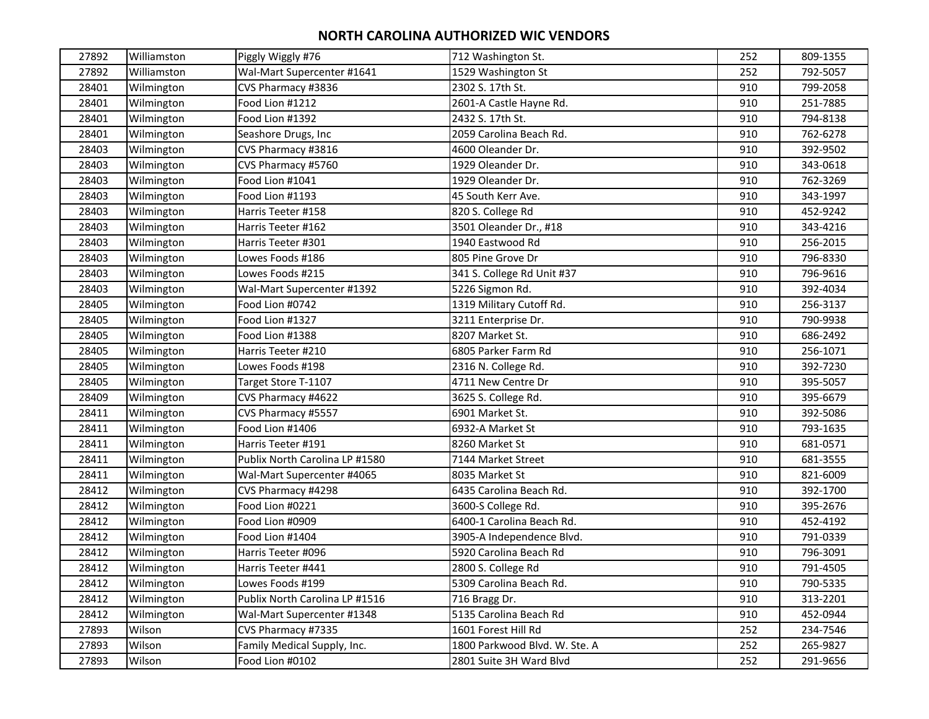| 27892 | Williamston | Piggly Wiggly #76              | 712 Washington St.            | 252 | 809-1355 |
|-------|-------------|--------------------------------|-------------------------------|-----|----------|
| 27892 | Williamston | Wal-Mart Supercenter #1641     | 1529 Washington St            | 252 | 792-5057 |
| 28401 | Wilmington  | CVS Pharmacy #3836             | 2302 S. 17th St.              | 910 | 799-2058 |
| 28401 | Wilmington  | Food Lion #1212                | 2601-A Castle Hayne Rd.       | 910 | 251-7885 |
| 28401 | Wilmington  | Food Lion #1392                | 2432 S. 17th St.              | 910 | 794-8138 |
| 28401 | Wilmington  | Seashore Drugs, Inc            | 2059 Carolina Beach Rd.       | 910 | 762-6278 |
| 28403 | Wilmington  | CVS Pharmacy #3816             | 4600 Oleander Dr.             | 910 | 392-9502 |
| 28403 | Wilmington  | CVS Pharmacy #5760             | 1929 Oleander Dr.             | 910 | 343-0618 |
| 28403 | Wilmington  | Food Lion #1041                | 1929 Oleander Dr.             | 910 | 762-3269 |
| 28403 | Wilmington  | Food Lion #1193                | 45 South Kerr Ave.            | 910 | 343-1997 |
| 28403 | Wilmington  | Harris Teeter #158             | 820 S. College Rd             | 910 | 452-9242 |
| 28403 | Wilmington  | Harris Teeter #162             | 3501 Oleander Dr., #18        | 910 | 343-4216 |
| 28403 | Wilmington  | Harris Teeter #301             | 1940 Eastwood Rd              | 910 | 256-2015 |
| 28403 | Wilmington  | Lowes Foods #186               | 805 Pine Grove Dr             | 910 | 796-8330 |
| 28403 | Wilmington  | Lowes Foods #215               | 341 S. College Rd Unit #37    | 910 | 796-9616 |
| 28403 | Wilmington  | Wal-Mart Supercenter #1392     | 5226 Sigmon Rd.               | 910 | 392-4034 |
| 28405 | Wilmington  | Food Lion #0742                | 1319 Military Cutoff Rd.      | 910 | 256-3137 |
| 28405 | Wilmington  | Food Lion #1327                | 3211 Enterprise Dr.           | 910 | 790-9938 |
| 28405 | Wilmington  | Food Lion #1388                | 8207 Market St.               | 910 | 686-2492 |
| 28405 | Wilmington  | Harris Teeter #210             | 6805 Parker Farm Rd           | 910 | 256-1071 |
| 28405 | Wilmington  | Lowes Foods #198               | 2316 N. College Rd.           | 910 | 392-7230 |
| 28405 | Wilmington  | Target Store T-1107            | 4711 New Centre Dr            | 910 | 395-5057 |
| 28409 | Wilmington  | CVS Pharmacy #4622             | 3625 S. College Rd.           | 910 | 395-6679 |
| 28411 | Wilmington  | CVS Pharmacy #5557             | 6901 Market St.               | 910 | 392-5086 |
| 28411 | Wilmington  | Food Lion #1406                | 6932-A Market St              | 910 | 793-1635 |
| 28411 | Wilmington  | Harris Teeter #191             | 8260 Market St                | 910 | 681-0571 |
| 28411 | Wilmington  | Publix North Carolina LP #1580 | 7144 Market Street            | 910 | 681-3555 |
| 28411 | Wilmington  | Wal-Mart Supercenter #4065     | 8035 Market St                | 910 | 821-6009 |
| 28412 | Wilmington  | CVS Pharmacy #4298             | 6435 Carolina Beach Rd.       | 910 | 392-1700 |
| 28412 | Wilmington  | Food Lion #0221                | 3600-S College Rd.            | 910 | 395-2676 |
| 28412 | Wilmington  | Food Lion #0909                | 6400-1 Carolina Beach Rd.     | 910 | 452-4192 |
| 28412 | Wilmington  | Food Lion #1404                | 3905-A Independence Blvd.     | 910 | 791-0339 |
| 28412 | Wilmington  | Harris Teeter #096             | 5920 Carolina Beach Rd        | 910 | 796-3091 |
| 28412 | Wilmington  | Harris Teeter #441             | 2800 S. College Rd            | 910 | 791-4505 |
| 28412 | Wilmington  | Lowes Foods #199               | 5309 Carolina Beach Rd.       | 910 | 790-5335 |
| 28412 | Wilmington  | Publix North Carolina LP #1516 | 716 Bragg Dr.                 | 910 | 313-2201 |
| 28412 | Wilmington  | Wal-Mart Supercenter #1348     | 5135 Carolina Beach Rd        | 910 | 452-0944 |
| 27893 | Wilson      | CVS Pharmacy #7335             | 1601 Forest Hill Rd           | 252 | 234-7546 |
| 27893 | Wilson      | Family Medical Supply, Inc.    | 1800 Parkwood Blvd. W. Ste. A | 252 | 265-9827 |
| 27893 | Wilson      | Food Lion #0102                | 2801 Suite 3H Ward Blvd       | 252 | 291-9656 |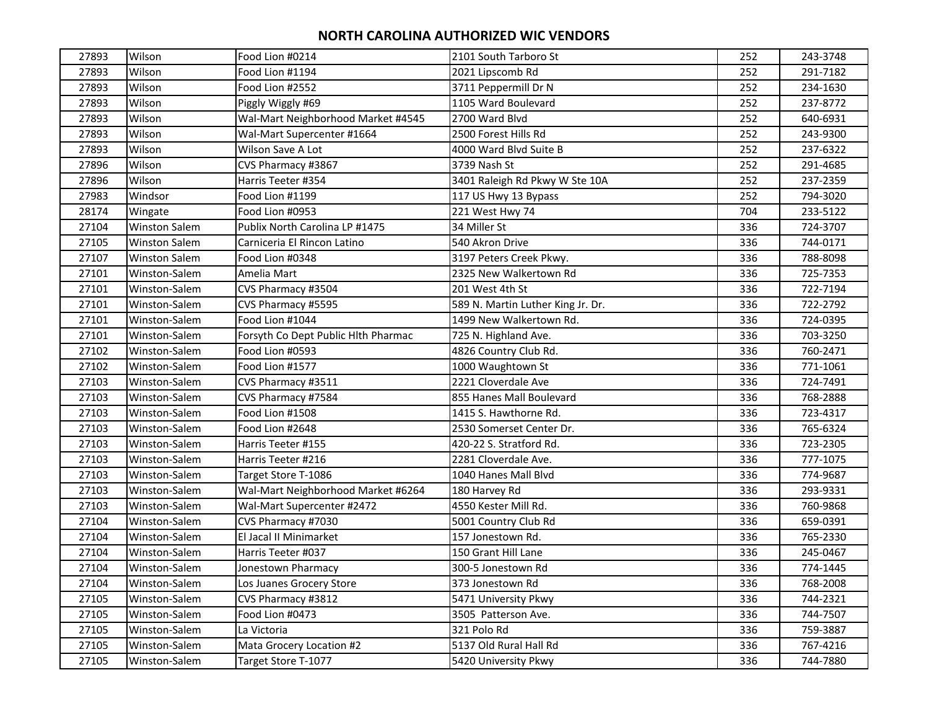| 27893 | Wilson               | Food Lion #0214                     | 2101 South Tarboro St             | 252 | 243-3748 |
|-------|----------------------|-------------------------------------|-----------------------------------|-----|----------|
| 27893 | Wilson               | Food Lion #1194                     | 2021 Lipscomb Rd                  | 252 | 291-7182 |
| 27893 | Wilson               | Food Lion #2552                     | 3711 Peppermill Dr N              | 252 | 234-1630 |
| 27893 | Wilson               | Piggly Wiggly #69                   | 1105 Ward Boulevard               | 252 | 237-8772 |
| 27893 | Wilson               | Wal-Mart Neighborhood Market #4545  | 2700 Ward Blvd                    | 252 | 640-6931 |
| 27893 | Wilson               | Wal-Mart Supercenter #1664          | 2500 Forest Hills Rd              | 252 | 243-9300 |
| 27893 | Wilson               | Wilson Save A Lot                   | 4000 Ward Blvd Suite B            | 252 | 237-6322 |
| 27896 | Wilson               | CVS Pharmacy #3867                  | 3739 Nash St                      | 252 | 291-4685 |
| 27896 | Wilson               | Harris Teeter #354                  | 3401 Raleigh Rd Pkwy W Ste 10A    | 252 | 237-2359 |
| 27983 | Windsor              | Food Lion #1199                     | 117 US Hwy 13 Bypass              | 252 | 794-3020 |
| 28174 | Wingate              | Food Lion #0953                     | 221 West Hwy 74                   | 704 | 233-5122 |
| 27104 | <b>Winston Salem</b> | Publix North Carolina LP #1475      | 34 Miller St                      | 336 | 724-3707 |
| 27105 | <b>Winston Salem</b> | Carniceria El Rincon Latino         | 540 Akron Drive                   | 336 | 744-0171 |
| 27107 | <b>Winston Salem</b> | Food Lion #0348                     | 3197 Peters Creek Pkwy.           | 336 | 788-8098 |
| 27101 | Winston-Salem        | Amelia Mart                         | 2325 New Walkertown Rd            | 336 | 725-7353 |
| 27101 | Winston-Salem        | CVS Pharmacy #3504                  | 201 West 4th St                   | 336 | 722-7194 |
| 27101 | Winston-Salem        | CVS Pharmacy #5595                  | 589 N. Martin Luther King Jr. Dr. | 336 | 722-2792 |
| 27101 | Winston-Salem        | Food Lion #1044                     | 1499 New Walkertown Rd.           | 336 | 724-0395 |
| 27101 | Winston-Salem        | Forsyth Co Dept Public Hlth Pharmac | 725 N. Highland Ave.              | 336 | 703-3250 |
| 27102 | Winston-Salem        | Food Lion #0593                     | 4826 Country Club Rd.             | 336 | 760-2471 |
| 27102 | Winston-Salem        | Food Lion #1577                     | 1000 Waughtown St                 | 336 | 771-1061 |
| 27103 | Winston-Salem        | CVS Pharmacy #3511                  | 2221 Cloverdale Ave               | 336 | 724-7491 |
| 27103 | Winston-Salem        | CVS Pharmacy #7584                  | 855 Hanes Mall Boulevard          | 336 | 768-2888 |
| 27103 | Winston-Salem        | Food Lion #1508                     | 1415 S. Hawthorne Rd.             | 336 | 723-4317 |
| 27103 | Winston-Salem        | Food Lion #2648                     | 2530 Somerset Center Dr.          | 336 | 765-6324 |
| 27103 | Winston-Salem        | Harris Teeter #155                  | 420-22 S. Stratford Rd.           | 336 | 723-2305 |
| 27103 | Winston-Salem        | Harris Teeter #216                  | 2281 Cloverdale Ave.              | 336 | 777-1075 |
| 27103 | Winston-Salem        | Target Store T-1086                 | 1040 Hanes Mall Blvd              | 336 | 774-9687 |
| 27103 | Winston-Salem        | Wal-Mart Neighborhood Market #6264  | 180 Harvey Rd                     | 336 | 293-9331 |
| 27103 | Winston-Salem        | Wal-Mart Supercenter #2472          | 4550 Kester Mill Rd.              | 336 | 760-9868 |
| 27104 | Winston-Salem        | CVS Pharmacy #7030                  | 5001 Country Club Rd              | 336 | 659-0391 |
| 27104 | Winston-Salem        | El Jacal II Minimarket              | 157 Jonestown Rd.                 | 336 | 765-2330 |
| 27104 | Winston-Salem        | Harris Teeter #037                  | 150 Grant Hill Lane               | 336 | 245-0467 |
| 27104 | Winston-Salem        | Jonestown Pharmacy                  | 300-5 Jonestown Rd                | 336 | 774-1445 |
| 27104 | Winston-Salem        | Los Juanes Grocery Store            | 373 Jonestown Rd                  | 336 | 768-2008 |
| 27105 | Winston-Salem        | CVS Pharmacy #3812                  | 5471 University Pkwy              | 336 | 744-2321 |
| 27105 | Winston-Salem        | Food Lion #0473                     | 3505 Patterson Ave.               | 336 | 744-7507 |
| 27105 | Winston-Salem        | La Victoria                         | 321 Polo Rd                       | 336 | 759-3887 |
| 27105 | Winston-Salem        | Mata Grocery Location #2            | 5137 Old Rural Hall Rd            | 336 | 767-4216 |
| 27105 | Winston-Salem        | Target Store T-1077                 | 5420 University Pkwy              | 336 | 744-7880 |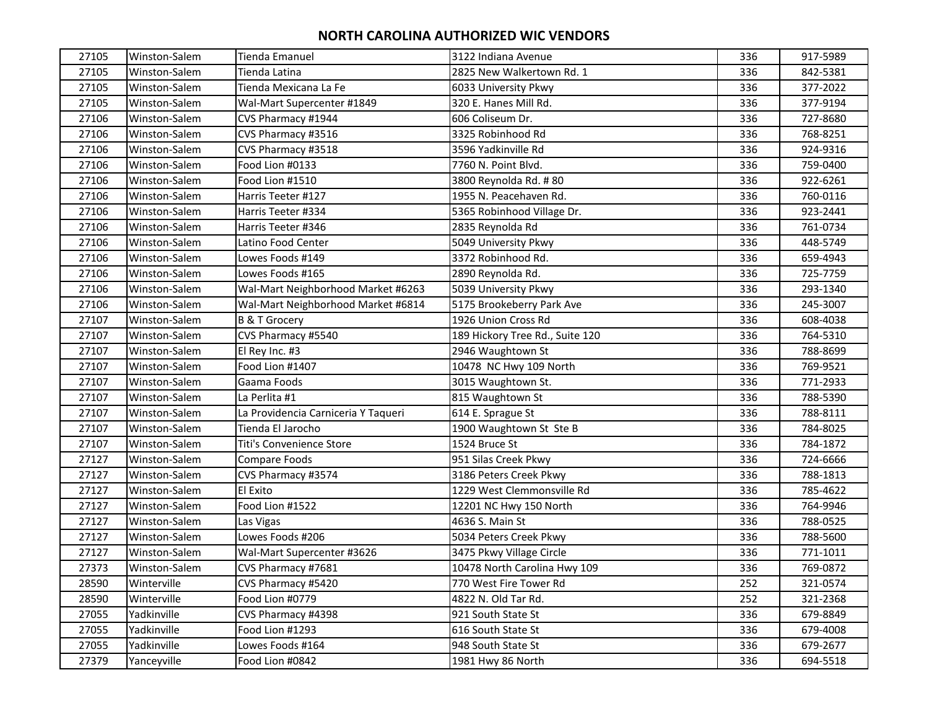| 27105 | Winston-Salem | Tienda Emanuel                      | 3122 Indiana Avenue             | 336 | 917-5989 |
|-------|---------------|-------------------------------------|---------------------------------|-----|----------|
| 27105 | Winston-Salem | Tienda Latina                       | 2825 New Walkertown Rd. 1       | 336 | 842-5381 |
| 27105 | Winston-Salem | Tienda Mexicana La Fe               | 6033 University Pkwy            | 336 | 377-2022 |
| 27105 | Winston-Salem | Wal-Mart Supercenter #1849          | 320 E. Hanes Mill Rd.           | 336 | 377-9194 |
| 27106 | Winston-Salem | CVS Pharmacy #1944                  | 606 Coliseum Dr.                | 336 | 727-8680 |
| 27106 | Winston-Salem | CVS Pharmacy #3516                  | 3325 Robinhood Rd               | 336 | 768-8251 |
| 27106 | Winston-Salem | CVS Pharmacy #3518                  | 3596 Yadkinville Rd             | 336 | 924-9316 |
| 27106 | Winston-Salem | Food Lion #0133                     | 7760 N. Point Blvd.             | 336 | 759-0400 |
| 27106 | Winston-Salem | Food Lion #1510                     | 3800 Reynolda Rd. #80           | 336 | 922-6261 |
| 27106 | Winston-Salem | Harris Teeter #127                  | 1955 N. Peacehaven Rd.          | 336 | 760-0116 |
| 27106 | Winston-Salem | Harris Teeter #334                  | 5365 Robinhood Village Dr.      | 336 | 923-2441 |
| 27106 | Winston-Salem | Harris Teeter #346                  | 2835 Reynolda Rd                | 336 | 761-0734 |
| 27106 | Winston-Salem | Latino Food Center                  | 5049 University Pkwy            | 336 | 448-5749 |
| 27106 | Winston-Salem | Lowes Foods #149                    | 3372 Robinhood Rd.              | 336 | 659-4943 |
| 27106 | Winston-Salem | Lowes Foods #165                    | 2890 Reynolda Rd.               | 336 | 725-7759 |
| 27106 | Winston-Salem | Wal-Mart Neighborhood Market #6263  | 5039 University Pkwy            | 336 | 293-1340 |
| 27106 | Winston-Salem | Wal-Mart Neighborhood Market #6814  | 5175 Brookeberry Park Ave       | 336 | 245-3007 |
| 27107 | Winston-Salem | <b>B &amp; T Grocery</b>            | 1926 Union Cross Rd             | 336 | 608-4038 |
| 27107 | Winston-Salem | CVS Pharmacy #5540                  | 189 Hickory Tree Rd., Suite 120 | 336 | 764-5310 |
| 27107 | Winston-Salem | El Rey Inc. #3                      | 2946 Waughtown St               | 336 | 788-8699 |
| 27107 | Winston-Salem | Food Lion #1407                     | 10478 NC Hwy 109 North          | 336 | 769-9521 |
| 27107 | Winston-Salem | Gaama Foods                         | 3015 Waughtown St.              | 336 | 771-2933 |
| 27107 | Winston-Salem | La Perlita #1                       | 815 Waughtown St                | 336 | 788-5390 |
| 27107 | Winston-Salem | La Providencia Carniceria Y Taqueri | 614 E. Sprague St               | 336 | 788-8111 |
| 27107 | Winston-Salem | Tienda El Jarocho                   | 1900 Waughtown St Ste B         | 336 | 784-8025 |
| 27107 | Winston-Salem | Titi's Convenience Store            | 1524 Bruce St                   | 336 | 784-1872 |
| 27127 | Winston-Salem | Compare Foods                       | 951 Silas Creek Pkwy            | 336 | 724-6666 |
| 27127 | Winston-Salem | CVS Pharmacy #3574                  | 3186 Peters Creek Pkwy          | 336 | 788-1813 |
| 27127 | Winston-Salem | El Exito                            | 1229 West Clemmonsville Rd      | 336 | 785-4622 |
| 27127 | Winston-Salem | Food Lion #1522                     | 12201 NC Hwy 150 North          | 336 | 764-9946 |
| 27127 | Winston-Salem | Las Vigas                           | 4636 S. Main St                 | 336 | 788-0525 |
| 27127 | Winston-Salem | Lowes Foods #206                    | 5034 Peters Creek Pkwy          | 336 | 788-5600 |
| 27127 | Winston-Salem | Wal-Mart Supercenter #3626          | 3475 Pkwy Village Circle        | 336 | 771-1011 |
| 27373 | Winston-Salem | CVS Pharmacy #7681                  | 10478 North Carolina Hwy 109    | 336 | 769-0872 |
| 28590 | Winterville   | CVS Pharmacy #5420                  | 770 West Fire Tower Rd          | 252 | 321-0574 |
| 28590 | Winterville   | Food Lion #0779                     | 4822 N. Old Tar Rd.             | 252 | 321-2368 |
| 27055 | Yadkinville   | CVS Pharmacy #4398                  | 921 South State St              | 336 | 679-8849 |
| 27055 | Yadkinville   | Food Lion #1293                     | 616 South State St              | 336 | 679-4008 |
| 27055 | Yadkinville   | Lowes Foods #164                    | 948 South State St              | 336 | 679-2677 |
| 27379 | Yanceyville   | Food Lion #0842                     | 1981 Hwy 86 North               | 336 | 694-5518 |